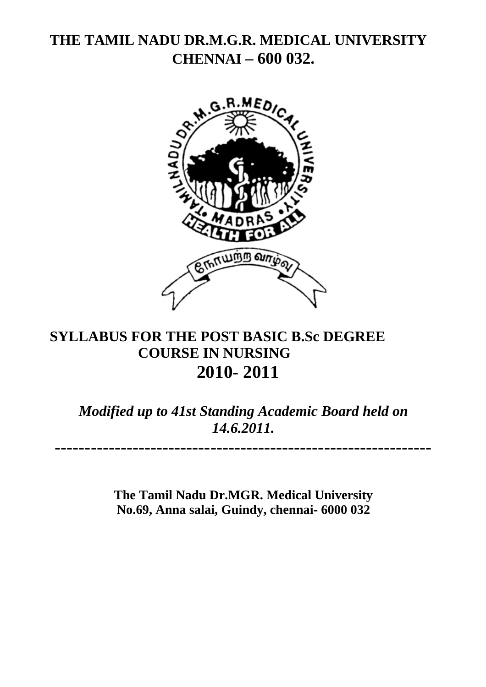# **THE TAMIL NADU DR.M.G.R. MEDICAL UNIVERSITY CHENNAI – 600 032.**



# **SYLLABUS FOR THE POST BASIC B.Sc DEGREE COURSE IN NURSING 2010- 2011**

*Modified up to 41st Standing Academic Board held on 14.6.2011.* 

**---------------------------------------------------------------** 

**The Tamil Nadu Dr.MGR. Medical University No.69, Anna salai, Guindy, chennai- 6000 032**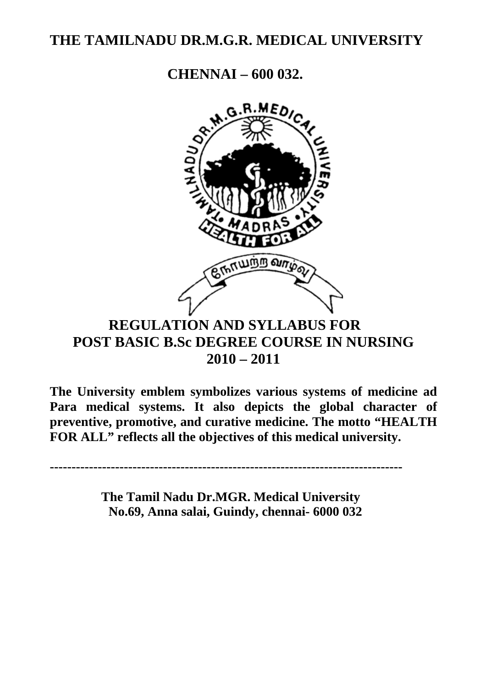# **THE TAMILNADU DR.M.G.R. MEDICAL UNIVERSITY**

**CHENNAI – 600 032.** 



# **REGULATION AND SYLLABUS FOR POST BASIC B.Sc DEGREE COURSE IN NURSING 2010 – 2011**

**The University emblem symbolizes various systems of medicine ad Para medical systems. It also depicts the global character of preventive, promotive, and curative medicine. The motto "HEALTH FOR ALL" reflects all the objectives of this medical university.** 

**---------------------------------------------------------------------------------** 

 **The Tamil Nadu Dr.MGR. Medical University No.69, Anna salai, Guindy, chennai- 6000 032**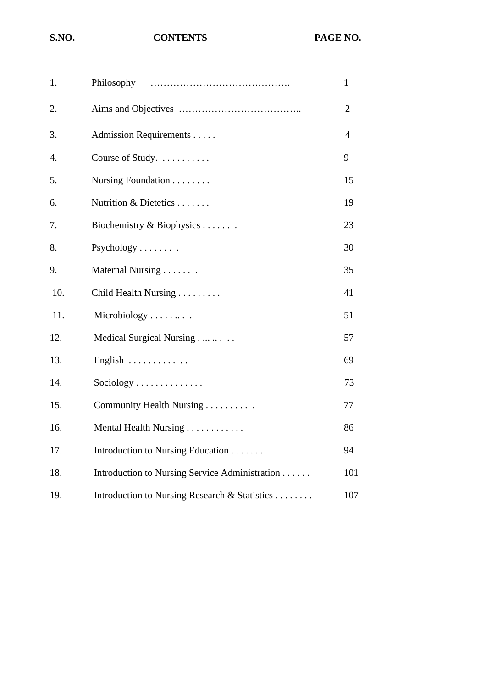#### S.NO. **CONTENTS** PAGE NO.

| 1.  | Philosophy                                     | $\mathbf{1}$   |
|-----|------------------------------------------------|----------------|
| 2.  |                                                | $\overline{2}$ |
| 3.  | Admission Requirements                         | $\overline{4}$ |
| 4.  | Course of Study.                               | 9              |
| 5.  | Nursing Foundation                             | 15             |
| 6.  | Nutrition & Dietetics                          | 19             |
| 7.  | Biochemistry & Biophysics                      | 23             |
| 8.  | Psychology                                     | 30             |
| 9.  | Maternal Nursing                               | 35             |
| 10. | Child Health Nursing                           | 41             |
| 11. | Microbiology                                   | 51             |
| 12. | Medical Surgical Nursing                       | 57             |
| 13. | English                                        | 69             |
| 14. | Sociology                                      | 73             |
| 15. | Community Health Nursing                       | 77             |
| 16. | Mental Health Nursing                          | 86             |
| 17. | Introduction to Nursing Education              | 94             |
| 18. | Introduction to Nursing Service Administration | 101            |
| 19. | Introduction to Nursing Research & Statistics  | 107            |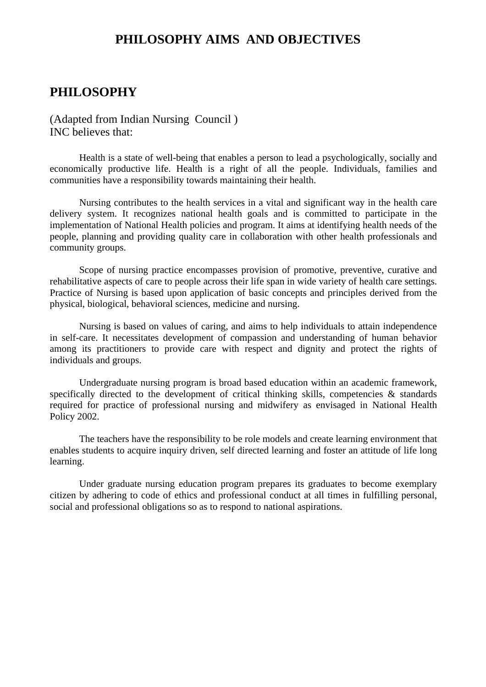#### **PHILOSOPHY AIMS AND OBJECTIVES**

### **PHILOSOPHY**

(Adapted from Indian Nursing Council ) INC believes that:

Health is a state of well-being that enables a person to lead a psychologically, socially and economically productive life. Health is a right of all the people. Individuals, families and communities have a responsibility towards maintaining their health.

Nursing contributes to the health services in a vital and significant way in the health care delivery system. It recognizes national health goals and is committed to participate in the implementation of National Health policies and program. It aims at identifying health needs of the people, planning and providing quality care in collaboration with other health professionals and community groups.

Scope of nursing practice encompasses provision of promotive, preventive, curative and rehabilitative aspects of care to people across their life span in wide variety of health care settings. Practice of Nursing is based upon application of basic concepts and principles derived from the physical, biological, behavioral sciences, medicine and nursing.

Nursing is based on values of caring, and aims to help individuals to attain independence in self-care. It necessitates development of compassion and understanding of human behavior among its practitioners to provide care with respect and dignity and protect the rights of individuals and groups.

Undergraduate nursing program is broad based education within an academic framework, specifically directed to the development of critical thinking skills, competencies  $\&$  standards required for practice of professional nursing and midwifery as envisaged in National Health Policy 2002.

The teachers have the responsibility to be role models and create learning environment that enables students to acquire inquiry driven, self directed learning and foster an attitude of life long learning.

Under graduate nursing education program prepares its graduates to become exemplary citizen by adhering to code of ethics and professional conduct at all times in fulfilling personal, social and professional obligations so as to respond to national aspirations.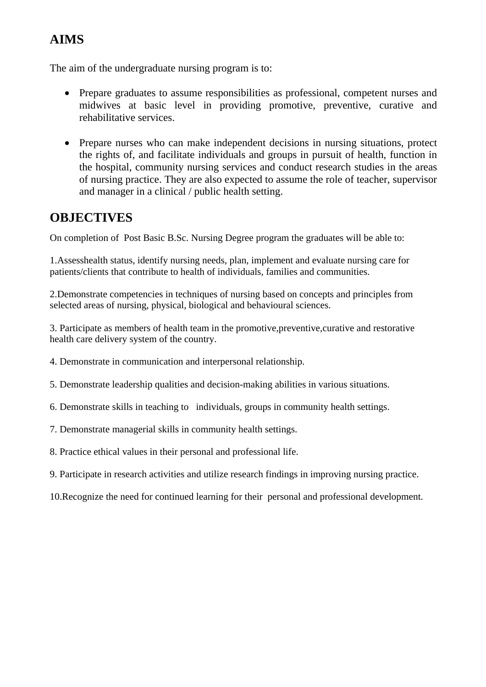## **AIMS**

The aim of the undergraduate nursing program is to:

- Prepare graduates to assume responsibilities as professional, competent nurses and midwives at basic level in providing promotive, preventive, curative and rehabilitative services.
- Prepare nurses who can make independent decisions in nursing situations, protect the rights of, and facilitate individuals and groups in pursuit of health, function in the hospital, community nursing services and conduct research studies in the areas of nursing practice. They are also expected to assume the role of teacher, supervisor and manager in a clinical / public health setting.

## **OBJECTIVES**

On completion of Post Basic B.Sc. Nursing Degree program the graduates will be able to:

1.Assesshealth status, identify nursing needs, plan, implement and evaluate nursing care for patients/clients that contribute to health of individuals, families and communities.

2.Demonstrate competencies in techniques of nursing based on concepts and principles from selected areas of nursing, physical, biological and behavioural sciences.

3. Participate as members of health team in the promotive,preventive,curative and restorative health care delivery system of the country.

- 4. Demonstrate in communication and interpersonal relationship.
- 5. Demonstrate leadership qualities and decision-making abilities in various situations.
- 6. Demonstrate skills in teaching to individuals, groups in community health settings.
- 7. Demonstrate managerial skills in community health settings.
- 8. Practice ethical values in their personal and professional life.
- 9. Participate in research activities and utilize research findings in improving nursing practice.
- 10.Recognize the need for continued learning for their personal and professional development.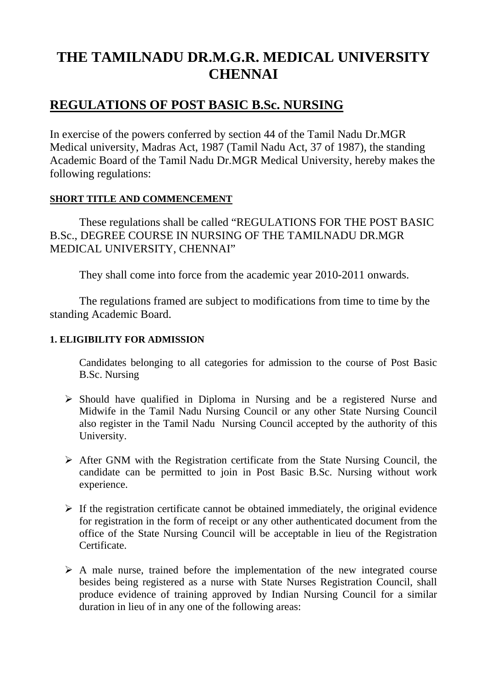# **THE TAMILNADU DR.M.G.R. MEDICAL UNIVERSITY CHENNAI**

## **REGULATIONS OF POST BASIC B.Sc. NURSING**

In exercise of the powers conferred by section 44 of the Tamil Nadu Dr.MGR Medical university, Madras Act, 1987 (Tamil Nadu Act, 37 of 1987), the standing Academic Board of the Tamil Nadu Dr.MGR Medical University, hereby makes the following regulations:

#### **SHORT TITLE AND COMMENCEMENT**

These regulations shall be called "REGULATIONS FOR THE POST BASIC B.Sc., DEGREE COURSE IN NURSING OF THE TAMILNADU DR.MGR MEDICAL UNIVERSITY, CHENNAI"

They shall come into force from the academic year 2010-2011 onwards.

 The regulations framed are subject to modifications from time to time by the standing Academic Board.

#### **1. ELIGIBILITY FOR ADMISSION**

Candidates belonging to all categories for admission to the course of Post Basic B.Sc. Nursing

- $\triangleright$  Should have qualified in Diploma in Nursing and be a registered Nurse and Midwife in the Tamil Nadu Nursing Council or any other State Nursing Council also register in the Tamil Nadu Nursing Council accepted by the authority of this University.
- $\triangleright$  After GNM with the Registration certificate from the State Nursing Council, the candidate can be permitted to join in Post Basic B.Sc. Nursing without work experience.
- $\triangleright$  If the registration certificate cannot be obtained immediately, the original evidence for registration in the form of receipt or any other authenticated document from the office of the State Nursing Council will be acceptable in lieu of the Registration Certificate.
- $\triangleright$  A male nurse, trained before the implementation of the new integrated course besides being registered as a nurse with State Nurses Registration Council, shall produce evidence of training approved by Indian Nursing Council for a similar duration in lieu of in any one of the following areas: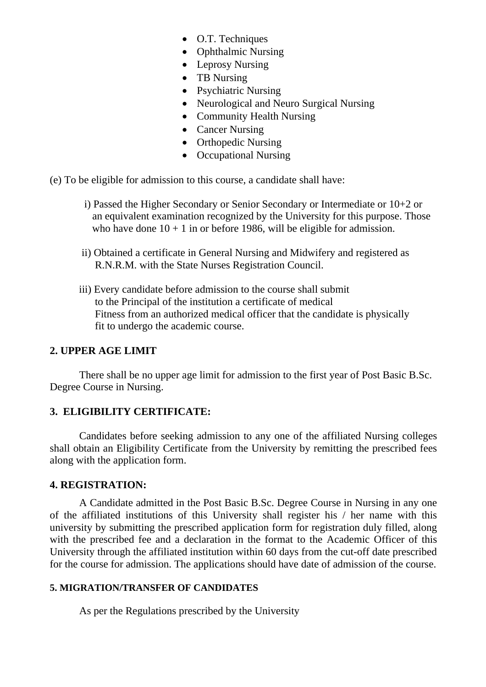- O.T. Techniques
- Ophthalmic Nursing
- Leprosy Nursing
- TB Nursing
- Psychiatric Nursing
- Neurological and Neuro Surgical Nursing
- Community Health Nursing
- Cancer Nursing
- Orthopedic Nursing
- Occupational Nursing
- (e) To be eligible for admission to this course, a candidate shall have:
	- i) Passed the Higher Secondary or Senior Secondary or Intermediate or 10+2 or an equivalent examination recognized by the University for this purpose. Those who have done  $10 + 1$  in or before 1986, will be eligible for admission.
	- ii) Obtained a certificate in General Nursing and Midwifery and registered as R.N.R.M. with the State Nurses Registration Council.
	- iii) Every candidate before admission to the course shall submit to the Principal of the institution a certificate of medical Fitness from an authorized medical officer that the candidate is physically fit to undergo the academic course.

#### **2. UPPER AGE LIMIT**

There shall be no upper age limit for admission to the first year of Post Basic B.Sc. Degree Course in Nursing.

#### **3. ELIGIBILITY CERTIFICATE:**

Candidates before seeking admission to any one of the affiliated Nursing colleges shall obtain an Eligibility Certificate from the University by remitting the prescribed fees along with the application form.

#### **4. REGISTRATION:**

A Candidate admitted in the Post Basic B.Sc. Degree Course in Nursing in any one of the affiliated institutions of this University shall register his / her name with this university by submitting the prescribed application form for registration duly filled, along with the prescribed fee and a declaration in the format to the Academic Officer of this University through the affiliated institution within 60 days from the cut-off date prescribed for the course for admission. The applications should have date of admission of the course.

#### **5. MIGRATION/TRANSFER OF CANDIDATES**

As per the Regulations prescribed by the University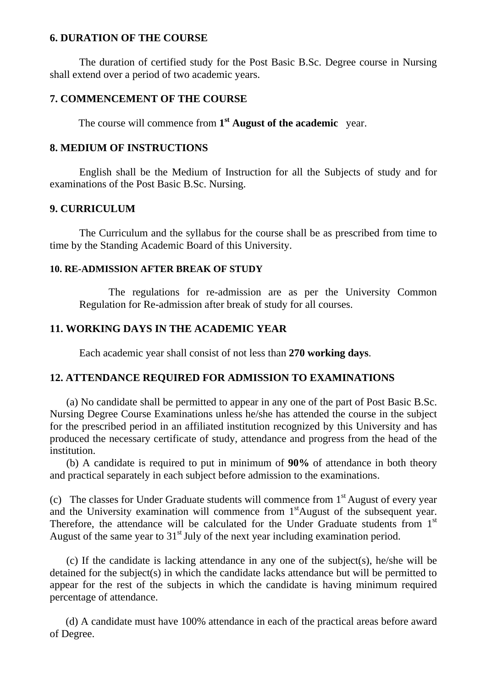#### **6. DURATION OF THE COURSE**

The duration of certified study for the Post Basic B.Sc. Degree course in Nursing shall extend over a period of two academic years.

#### **7. COMMENCEMENT OF THE COURSE**

The course will commence from **1st August of the academic** year.

#### **8. MEDIUM OF INSTRUCTIONS**

English shall be the Medium of Instruction for all the Subjects of study and for examinations of the Post Basic B.Sc. Nursing.

#### **9. CURRICULUM**

The Curriculum and the syllabus for the course shall be as prescribed from time to time by the Standing Academic Board of this University.

#### **10. RE-ADMISSION AFTER BREAK OF STUDY**

The regulations for re-admission are as per the University Common Regulation for Re-admission after break of study for all courses.

#### **11. WORKING DAYS IN THE ACADEMIC YEAR**

Each academic year shall consist of not less than **270 working days**.

#### **12. ATTENDANCE REQUIRED FOR ADMISSION TO EXAMINATIONS**

(a) No candidate shall be permitted to appear in any one of the part of Post Basic B.Sc. Nursing Degree Course Examinations unless he/she has attended the course in the subject for the prescribed period in an affiliated institution recognized by this University and has produced the necessary certificate of study, attendance and progress from the head of the institution.

(b) A candidate is required to put in minimum of **90%** of attendance in both theory and practical separately in each subject before admission to the examinations.

(c) The classes for Under Graduate students will commence from  $1<sup>st</sup>$  August of every year and the University examination will commence from  $1<sup>st</sup>$ August of the subsequent year. Therefore, the attendance will be calculated for the Under Graduate students from 1<sup>st</sup> August of the same year to  $31<sup>st</sup>$  July of the next year including examination period.

(c) If the candidate is lacking attendance in any one of the subject(s), he/she will be detained for the subject(s) in which the candidate lacks attendance but will be permitted to appear for the rest of the subjects in which the candidate is having minimum required percentage of attendance.

 (d) A candidate must have 100% attendance in each of the practical areas before award of Degree.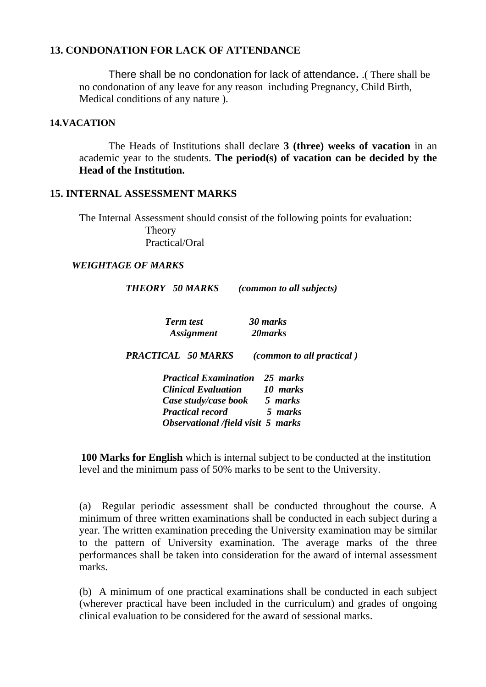#### **13. CONDONATION FOR LACK OF ATTENDANCE**

There shall be no condonation for lack of attendance**.** .( There shall be no condonation of any leave for any reason including Pregnancy, Child Birth, Medical conditions of any nature ).

#### **14.VACATION**

The Heads of Institutions shall declare **3 (three) weeks of vacation** in an academic year to the students. **The period(s) of vacation can be decided by the Head of the Institution.** 

#### **15. INTERNAL ASSESSMENT MARKS**

 The Internal Assessment should consist of the following points for evaluation: Theory Practical/Oral

#### *WEIGHTAGE OF MARKS*

| <b>THEORY 50 MARKS</b>       | <i>(common to all subjects)</i>  |
|------------------------------|----------------------------------|
| <b>Term test</b>             | 30 marks                         |
| <i>Assignment</i>            | 20 marks                         |
| <b>PRACTICAL 50 MARKS</b>    | <i>(common to all practical)</i> |
| <b>Practical Examination</b> | 25 marks                         |
| <b>Clinical Evaluation</b>   | 10 marks                         |
| Case study/case book         | 5 marks                          |
| <b>Practical record</b>      | 5 marks                          |

 *Observational /field visit 5 marks* 

**100 Marks for English** which is internal subject to be conducted at the institution level and the minimum pass of 50% marks to be sent to the University.

(a) Regular periodic assessment shall be conducted throughout the course. A minimum of three written examinations shall be conducted in each subject during a year. The written examination preceding the University examination may be similar to the pattern of University examination. The average marks of the three performances shall be taken into consideration for the award of internal assessment marks.

(b) A minimum of one practical examinations shall be conducted in each subject (wherever practical have been included in the curriculum) and grades of ongoing clinical evaluation to be considered for the award of sessional marks.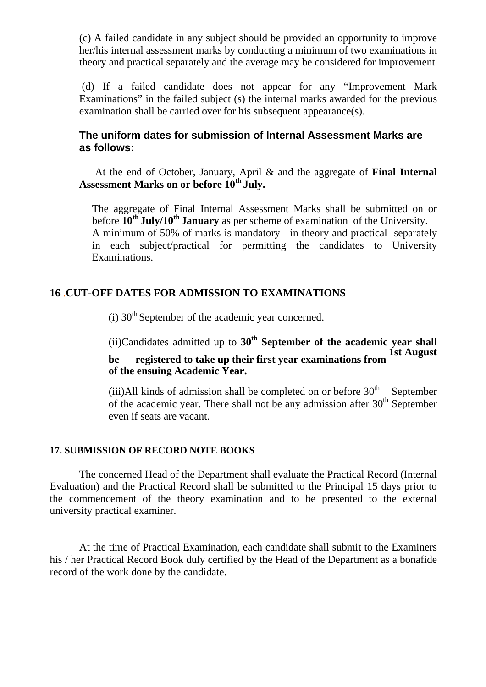(c) A failed candidate in any subject should be provided an opportunity to improve her/his internal assessment marks by conducting a minimum of two examinations in theory and practical separately and the average may be considered for improvement

 (d) If a failed candidate does not appear for any "Improvement Mark Examinations" in the failed subject (s) the internal marks awarded for the previous examination shall be carried over for his subsequent appearance(s).

#### **The uniform dates for submission of Internal Assessment Marks are as follows:**

 At the end of October, January, April & and the aggregate of **Final Internal Assessment Marks on or before 10th July.** 

The aggregate of Final Internal Assessment Marks shall be submitted on or before **10th July/10th January** as per scheme of examination of the University. A minimum of 50% of marks is mandatory in theory and practical separately in each subject/practical for permitting the candidates to University Examinations.

#### **16** .**CUT-OFF DATES FOR ADMISSION TO EXAMINATIONS**

 $(i)$  30<sup>th</sup> September of the academic year concerned.

(ii)Candidates admitted up to **30th September of the academic year shall be** registered to take up their first year examinations from **of the ensuing Academic Year.** 

(iii)All kinds of admission shall be completed on or before  $30<sup>th</sup>$  September of the academic year. There shall not be any admission after 30<sup>th</sup> September even if seats are vacant.

#### **17. SUBMISSION OF RECORD NOTE BOOKS**

The concerned Head of the Department shall evaluate the Practical Record (Internal Evaluation) and the Practical Record shall be submitted to the Principal 15 days prior to the commencement of the theory examination and to be presented to the external university practical examiner.

At the time of Practical Examination, each candidate shall submit to the Examiners his / her Practical Record Book duly certified by the Head of the Department as a bonafide record of the work done by the candidate.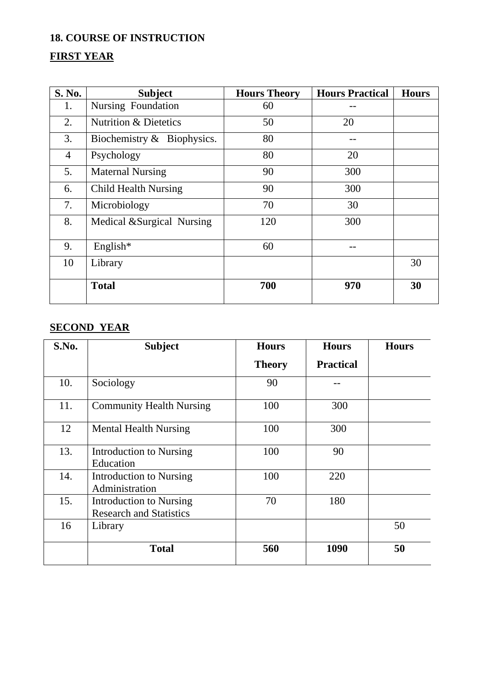#### **18. COURSE OF INSTRUCTION**

## **FIRST YEAR**

| S. No.         | <b>Subject</b>                   | <b>Hours Theory</b> | <b>Hours Practical</b> | <b>Hours</b> |
|----------------|----------------------------------|---------------------|------------------------|--------------|
| 1.             | Nursing Foundation               | 60                  |                        |              |
| 2.             | <b>Nutrition &amp; Dietetics</b> | 50                  | 20                     |              |
| 3.             | Biochemistry $\&$ Biophysics.    | 80                  |                        |              |
| $\overline{4}$ | Psychology                       | 80                  | 20                     |              |
| 5.             | <b>Maternal Nursing</b>          | 90                  | 300                    |              |
| 6.             | <b>Child Health Nursing</b>      | 90                  | 300                    |              |
| 7.             | Microbiology                     | 70                  | 30                     |              |
| 8.             | Medical & Surgical Nursing       | 120                 | 300                    |              |
| 9.             | English $*$                      | 60                  |                        |              |
| 10             | Library                          |                     |                        | 30           |
|                | <b>Total</b>                     | 700                 | 970                    | 30           |

## **SECOND YEAR**

| S.No. | <b>Subject</b>                                            | <b>Hours</b>  | <b>Hours</b>     | <b>Hours</b> |
|-------|-----------------------------------------------------------|---------------|------------------|--------------|
|       |                                                           | <b>Theory</b> | <b>Practical</b> |              |
| 10.   | Sociology                                                 | 90            |                  |              |
| 11.   | <b>Community Health Nursing</b>                           | 100           | 300              |              |
| 12    | <b>Mental Health Nursing</b>                              | 100           | 300              |              |
| 13.   | Introduction to Nursing<br>Education                      | 100           | 90               |              |
| 14.   | Introduction to Nursing<br>Administration                 | 100           | 220              |              |
| 15.   | Introduction to Nursing<br><b>Research and Statistics</b> | 70            | 180              |              |
| 16    | Library                                                   |               |                  | 50           |
|       | <b>Total</b>                                              | 560           | 1090             | 50           |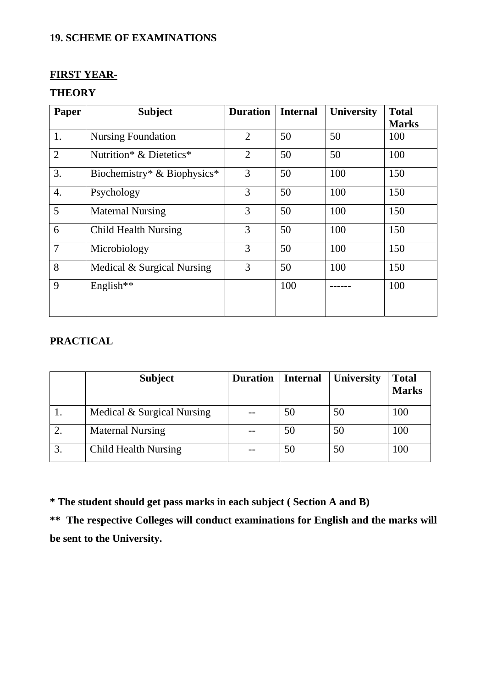### **19. SCHEME OF EXAMINATIONS**

#### **FIRST YEAR-**

#### **THEORY**

| Paper          | <b>Subject</b>              | <b>Duration</b> | <b>Internal</b> | <b>University</b> | <b>Total</b> |
|----------------|-----------------------------|-----------------|-----------------|-------------------|--------------|
|                |                             |                 |                 |                   | <b>Marks</b> |
| 1.             | <b>Nursing Foundation</b>   | $\overline{2}$  | 50              | 50                | 100          |
| $\overline{2}$ | Nutrition* & Dietetics*     | $\overline{2}$  | 50              | 50                | 100          |
| 3.             | Biochemistry* & Biophysics* | 3               | 50              | 100               | 150          |
| 4.             | Psychology                  | 3               | 50              | 100               | 150          |
| 5              | <b>Maternal Nursing</b>     | 3               | 50              | 100               | 150          |
| 6              | <b>Child Health Nursing</b> | 3               | 50              | 100               | 150          |
| 7              | Microbiology                | 3               | 50              | 100               | 150          |
| 8              | Medical & Surgical Nursing  | 3               | 50              | 100               | 150          |
| 9              | English**                   |                 | 100             |                   | 100          |
|                |                             |                 |                 |                   |              |

### **PRACTICAL**

|    | <b>Subject</b>              | <b>Duration</b> | <b>Internal</b> | <b>University</b> | <b>Total</b><br><b>Marks</b> |
|----|-----------------------------|-----------------|-----------------|-------------------|------------------------------|
|    | Medical & Surgical Nursing  |                 | 50              | 50                | 100                          |
|    | <b>Maternal Nursing</b>     |                 | 50              | 50                | 100                          |
| 3. | <b>Child Health Nursing</b> |                 | 50              | 50                | 100                          |

**\* The student should get pass marks in each subject ( Section A and B)** 

**\*\* The respective Colleges will conduct examinations for English and the marks will be sent to the University.**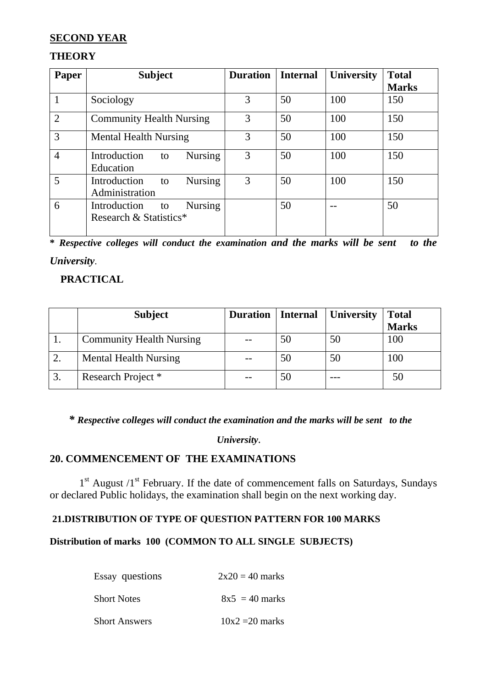#### **SECOND YEAR**

#### **THEORY**

| <b>Paper</b>   | <b>Subject</b>                                                 | <b>Duration</b> | <b>Internal</b> | <b>University</b> | <b>Total</b> |
|----------------|----------------------------------------------------------------|-----------------|-----------------|-------------------|--------------|
|                |                                                                |                 |                 |                   | <b>Marks</b> |
|                | Sociology                                                      | 3               | 50              | 100               | 150          |
| $\overline{2}$ | <b>Community Health Nursing</b>                                | 3               | 50              | 100               | 150          |
| 3              | <b>Mental Health Nursing</b>                                   | 3               | 50              | 100               | 150          |
| $\overline{4}$ | Introduction<br><b>Nursing</b><br>to<br>Education              | 3               | 50              | 100               | 150          |
| 5              | <b>Nursing</b><br>Introduction<br>to<br>Administration         | 3               | 50              | 100               | 150          |
| 6              | <b>Nursing</b><br>Introduction<br>to<br>Research & Statistics* |                 | 50              |                   | 50           |

**\*** *Respective colleges will conduct the examination and the marks will be sent to the University*.

#### **PRACTICAL**

|    | <b>Subject</b>                  | <b>Duration</b> | <b>Internal</b> | <b>University</b> | <b>Total</b> |
|----|---------------------------------|-----------------|-----------------|-------------------|--------------|
|    |                                 |                 |                 |                   | <b>Marks</b> |
|    | <b>Community Health Nursing</b> |                 | 50              | 50                | 100          |
|    | <b>Mental Health Nursing</b>    |                 | 50              | 50                | 100          |
| 3. | Research Project *              |                 | 50              |                   | 50           |

*\* Respective colleges will conduct the examination and the marks will be sent to the* 

#### *University.*

#### **20. COMMENCEMENT OF THE EXAMINATIONS**

 $1<sup>st</sup>$  August  $/1<sup>st</sup>$  February. If the date of commencement falls on Saturdays, Sundays or declared Public holidays, the examination shall begin on the next working day.

#### **21.DISTRIBUTION OF TYPE OF QUESTION PATTERN FOR 100 MARKS**

#### **Distribution of marks 100 (COMMON TO ALL SINGLE SUBJECTS)**

| Essay questions      | $2x20 = 40$ marks |
|----------------------|-------------------|
| <b>Short Notes</b>   | $8x5 = 40$ marks  |
| <b>Short Answers</b> | $10x2 = 20$ marks |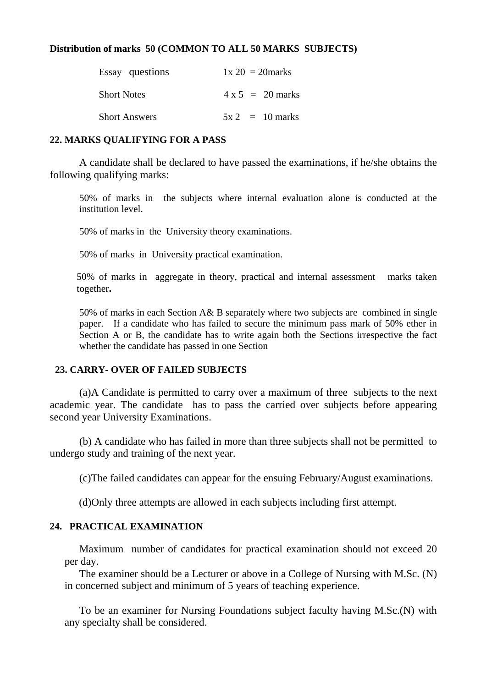#### **Distribution of marks 50 (COMMON TO ALL 50 MARKS SUBJECTS)**

| Essay questions      | $1x 20 = 20$ marks      |
|----------------------|-------------------------|
| <b>Short Notes</b>   | $4 \times 5 = 20$ marks |
| <b>Short Answers</b> | $5x^2 = 10$ marks       |

#### **22. MARKS QUALIFYING FOR A PASS**

A candidate shall be declared to have passed the examinations, if he/she obtains the following qualifying marks:

50% of marks in the subjects where internal evaluation alone is conducted at the institution level.

50% of marks in the University theory examinations.

50% of marks in University practical examination.

50% of marks in aggregate in theory, practical and internal assessment marks taken together**.** 

50% of marks in each Section A& B separately where two subjects are combined in single paper. If a candidate who has failed to secure the minimum pass mark of 50% ether in Section A or B, the candidate has to write again both the Sections irrespective the fact whether the candidate has passed in one Section

#### **23. CARRY- OVER OF FAILED SUBJECTS**

(a)A Candidate is permitted to carry over a maximum of three subjects to the next academic year. The candidate has to pass the carried over subjects before appearing second year University Examinations.

 (b) A candidate who has failed in more than three subjects shall not be permitted to undergo study and training of the next year.

(c)The failed candidates can appear for the ensuing February/August examinations.

(d)Only three attempts are allowed in each subjects including first attempt.

#### **24. PRACTICAL EXAMINATION**

Maximum number of candidates for practical examination should not exceed 20 per day.

The examiner should be a Lecturer or above in a College of Nursing with M.Sc. (N) in concerned subject and minimum of 5 years of teaching experience.

To be an examiner for Nursing Foundations subject faculty having M.Sc.(N) with any specialty shall be considered.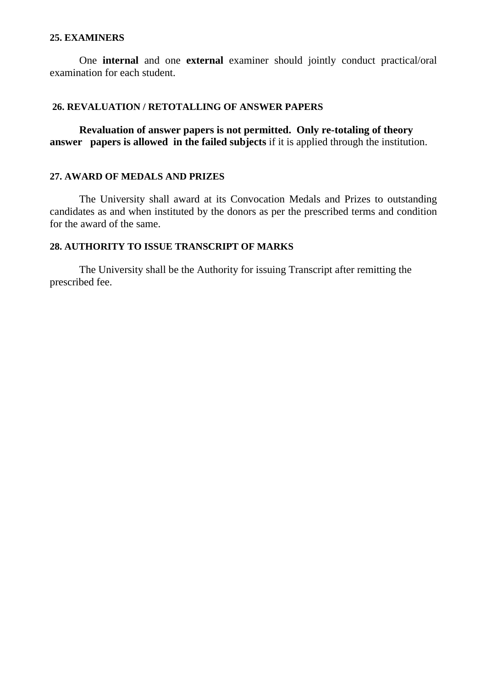#### **25. EXAMINERS**

One **internal** and one **external** examiner should jointly conduct practical/oral examination for each student.

#### **26. REVALUATION / RETOTALLING OF ANSWER PAPERS**

**Revaluation of answer papers is not permitted. Only re-totaling of theory answer papers is allowed in the failed subjects** if it is applied through the institution.

#### **27. AWARD OF MEDALS AND PRIZES**

 The University shall award at its Convocation Medals and Prizes to outstanding candidates as and when instituted by the donors as per the prescribed terms and condition for the award of the same.

#### **28. AUTHORITY TO ISSUE TRANSCRIPT OF MARKS**

 The University shall be the Authority for issuing Transcript after remitting the prescribed fee.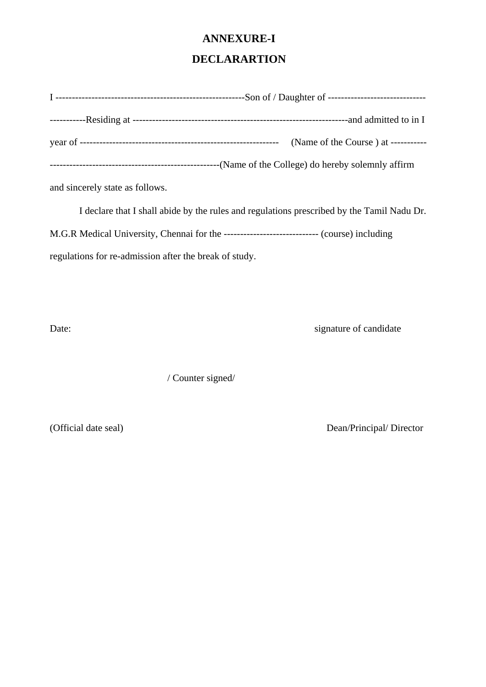#### **ANNEXURE-I**

#### **DECLARARTION**

|                                 | (Name of the Course) at -----------                                                        |
|---------------------------------|--------------------------------------------------------------------------------------------|
|                                 |                                                                                            |
| and sincerely state as follows. |                                                                                            |
|                                 | I declare that I shall abide by the rules and regulations prescribed by the Tamil Nadu Dr. |

M.G.R Medical University, Chennai for the ----------------------------- (course) including

regulations for re-admission after the break of study.

Date: signature of candidate

/ Counter signed/

(Official date seal) Dean/Principal/ Director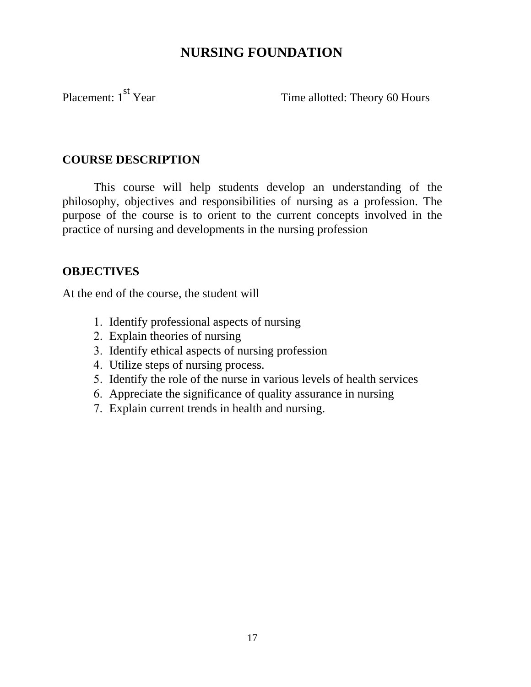## **NURSING FOUNDATION**

Placement: 1<sup>st</sup> Year Time allotted: Theory 60 Hours

#### **COURSE DESCRIPTION**

This course will help students develop an understanding of the philosophy, objectives and responsibilities of nursing as a profession. The purpose of the course is to orient to the current concepts involved in the practice of nursing and developments in the nursing profession

#### **OBJECTIVES**

At the end of the course, the student will

- 1. Identify professional aspects of nursing
- 2. Explain theories of nursing
- 3. Identify ethical aspects of nursing profession
- 4. Utilize steps of nursing process.
- 5. Identify the role of the nurse in various levels of health services
- 6. Appreciate the significance of quality assurance in nursing
- 7. Explain current trends in health and nursing.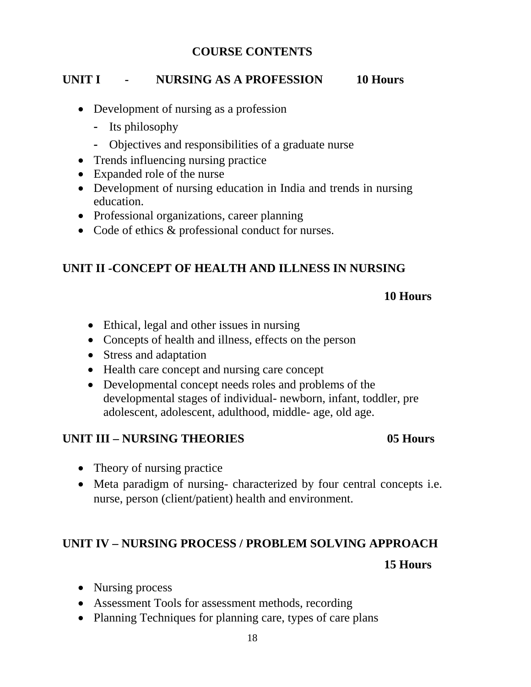#### **COURSE CONTENTS**

### **UNIT I - NURSING AS A PROFESSION 10 Hours**

- Development of nursing as a profession
	- Its philosophy
	- Objectives and responsibilities of a graduate nurse
- Trends influencing nursing practice
- Expanded role of the nurse
- Development of nursing education in India and trends in nursing education.
- Professional organizations, career planning
- Code of ethics & professional conduct for nurses.

### **UNIT II -CONCEPT OF HEALTH AND ILLNESS IN NURSING**

#### **10 Hours**

- Ethical, legal and other issues in nursing
- Concepts of health and illness, effects on the person
- Stress and adaptation
- Health care concept and nursing care concept
- Developmental concept needs roles and problems of the developmental stages of individual- newborn, infant, toddler, pre adolescent, adolescent, adulthood, middle- age, old age.

#### **UNIT III – NURSING THEORIES 05 Hours**

- Theory of nursing practice
- Meta paradigm of nursing- characterized by four central concepts i.e. nurse, person (client/patient) health and environment.

### **UNIT IV – NURSING PROCESS / PROBLEM SOLVING APPROACH**

#### **15 Hours**

- Nursing process
- Assessment Tools for assessment methods, recording
- Planning Techniques for planning care, types of care plans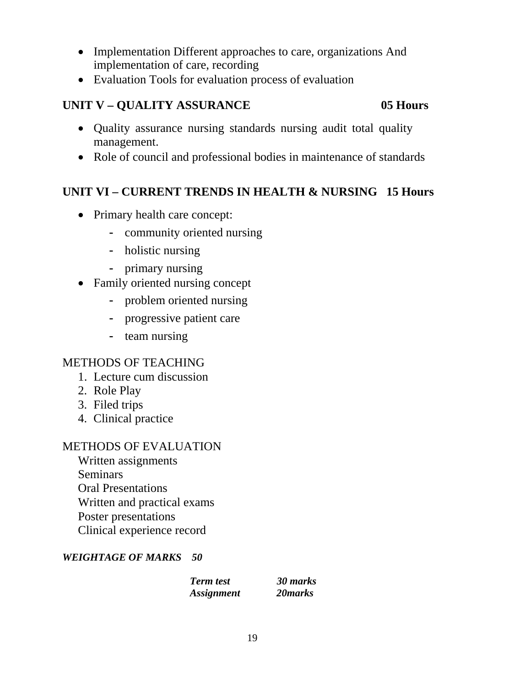- Implementation Different approaches to care, organizations And implementation of care, recording
- Evaluation Tools for evaluation process of evaluation

### **UNIT V – QUALITY ASSURANCE** 05 Hours

- Quality assurance nursing standards nursing audit total quality management.
- Role of council and professional bodies in maintenance of standards

## **UNIT VI – CURRENT TRENDS IN HEALTH & NURSING 15 Hours**

- Primary health care concept:
	- community oriented nursing
	- holistic nursing
	- primary nursing
- Family oriented nursing concept
	- problem oriented nursing
	- progressive patient care
	- team nursing

### METHODS OF TEACHING

- 1. Lecture cum discussion
- 2. Role Play
- 3. Filed trips
- 4. Clinical practice

#### METHODS OF EVALUATION

Written assignments Seminars Oral Presentations Written and practical exams Poster presentations Clinical experience record

#### *WEIGHTAGE OF MARKS 50*

 *Term test 30 marks Assignment 20marks*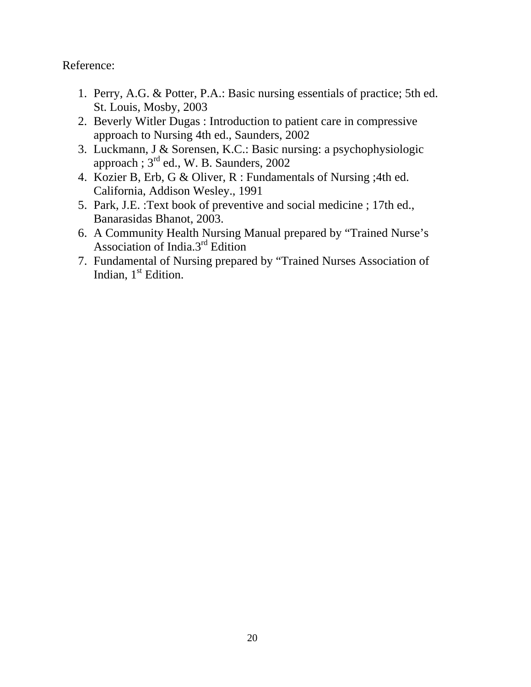Reference:

- 1. Perry, A.G. & Potter, P.A.: Basic nursing essentials of practice; 5th ed. St. Louis, Mosby, 2003
- 2. Beverly Witler Dugas : Introduction to patient care in compressive approach to Nursing 4th ed., Saunders, 2002
- 3. Luckmann, J & Sorensen, K.C.: Basic nursing: a psychophysiologic approach ;  $3<sup>rd</sup>$  ed., W. B. Saunders, 2002
- 4. Kozier B, Erb, G & Oliver, R : Fundamentals of Nursing ;4th ed. California, Addison Wesley., 1991
- 5. Park, J.E. :Text book of preventive and social medicine ; 17th ed., Banarasidas Bhanot, 2003.
- 6. A Community Health Nursing Manual prepared by "Trained Nurse's Association of India.3rd Edition
- 7. Fundamental of Nursing prepared by "Trained Nurses Association of Indian,  $1<sup>st</sup>$  Edition.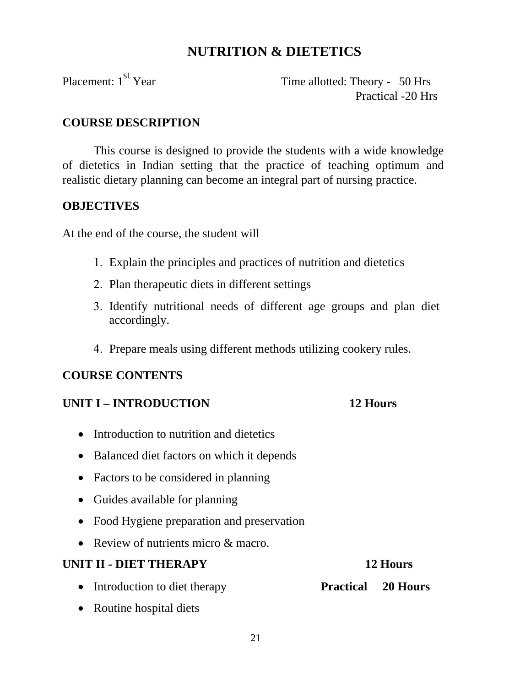## **NUTRITION & DIETETICS**

Placement: 1<sup>st</sup> Year Time allotted: Theory - 50 Hrs Practical -20 Hrs

#### **COURSE DESCRIPTION**

This course is designed to provide the students with a wide knowledge of dietetics in Indian setting that the practice of teaching optimum and realistic dietary planning can become an integral part of nursing practice.

#### **OBJECTIVES**

At the end of the course, the student will

- 1. Explain the principles and practices of nutrition and dietetics
- 2. Plan therapeutic diets in different settings
- 3. Identify nutritional needs of different age groups and plan diet accordingly.
- 4. Prepare meals using different methods utilizing cookery rules.

### **COURSE CONTENTS**

#### **UNIT I – INTRODUCTION 12 Hours**

- Introduction to nutrition and dietetics
- Balanced diet factors on which it depends
- Factors to be considered in planning
- Guides available for planning
- Food Hygiene preparation and preservation
- Review of nutrients micro & macro.

# **UNIT II - DIET THERAPY** 12 Hours • Introduction to diet therapy **Practical 20 Hours**

• Routine hospital diets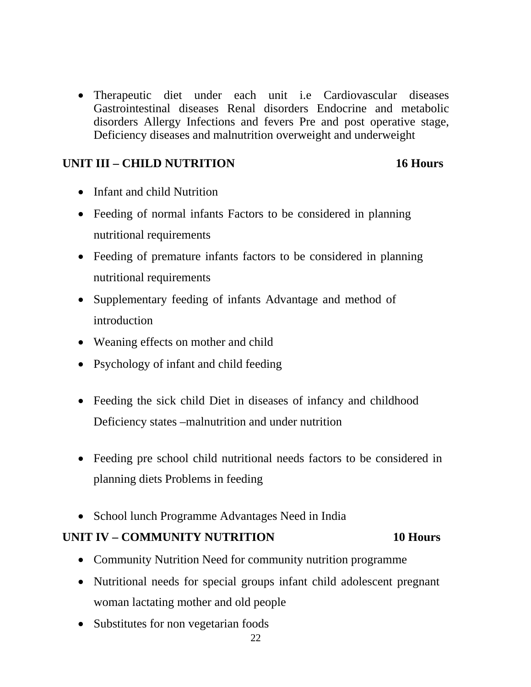• Therapeutic diet under each unit i.e Cardiovascular diseases Gastrointestinal diseases Renal disorders Endocrine and metabolic disorders Allergy Infections and fevers Pre and post operative stage, Deficiency diseases and malnutrition overweight and underweight

#### **UNIT III – CHILD NUTRITION 16 Hours**

- Infant and child Nutrition
- Feeding of normal infants Factors to be considered in planning nutritional requirements
- Feeding of premature infants factors to be considered in planning nutritional requirements
- Supplementary feeding of infants Advantage and method of introduction
- Weaning effects on mother and child
- Psychology of infant and child feeding
- Feeding the sick child Diet in diseases of infancy and childhood Deficiency states –malnutrition and under nutrition
- Feeding pre school child nutritional needs factors to be considered in planning diets Problems in feeding
- School lunch Programme Advantages Need in India

#### **UNIT IV – COMMUNITY NUTRITION 10 Hours**

- Community Nutrition Need for community nutrition programme
- Nutritional needs for special groups infant child adolescent pregnant woman lactating mother and old people
- Substitutes for non vegetarian foods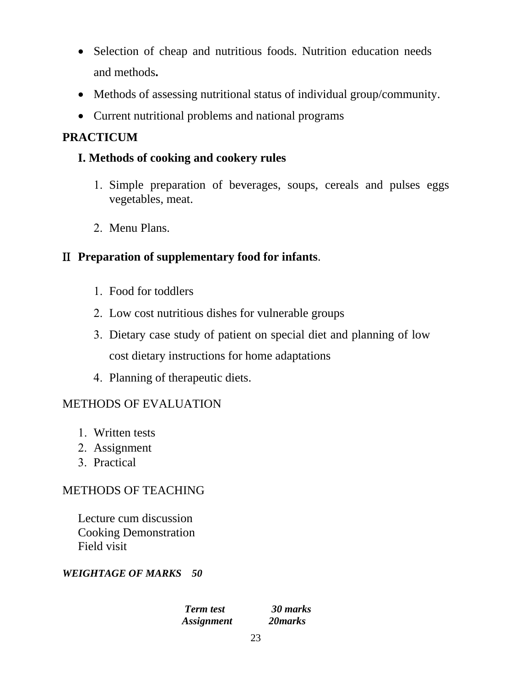- Selection of cheap and nutritious foods. Nutrition education needs and methods**.**
- Methods of assessing nutritional status of individual group/community.
- Current nutritional problems and national programs

## **PRACTICUM**

## **I. Methods of cooking and cookery rules**

- 1. Simple preparation of beverages, soups, cereals and pulses eggs vegetables, meat.
- 2. Menu Plans.

## ΙΙ **Preparation of supplementary food for infants**.

- 1. Food for toddlers
- 2. Low cost nutritious dishes for vulnerable groups
- 3. Dietary case study of patient on special diet and planning of low cost dietary instructions for home adaptations
- 4. Planning of therapeutic diets.

### METHODS OF EVALUATION

- 1. Written tests
- 2. Assignment
- 3. Practical

### METHODS OF TEACHING

Lecture cum discussion Cooking Demonstration Field visit

#### *WEIGHTAGE OF MARKS 50*

 *Term test 30 marks Assignment 20marks*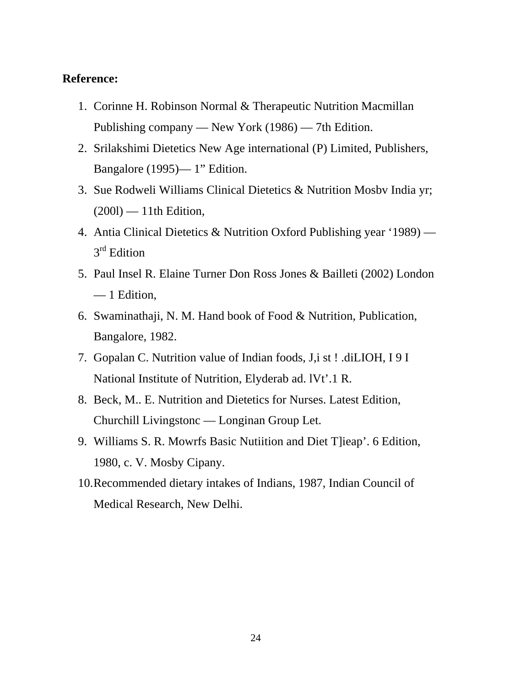#### **Reference:**

- 1. Corinne H. Robinson Normal & Therapeutic Nutrition Macmillan Publishing company — New York (1986) — 7th Edition.
- 2. Srilakshimi Dietetics New Age international (P) Limited, Publishers, Bangalore (1995)— 1" Edition.
- 3. Sue Rodweli Williams Clinical Dietetics & Nutrition Mosbv India yr;  $(200l)$  — 11th Edition,
- 4. Antia Clinical Dietetics & Nutrition Oxford Publishing year '1989) 3<sup>rd</sup> Edition
- 5. Paul Insel R. Elaine Turner Don Ross Jones & Bailleti (2002) London — 1 Edition,
- 6. Swaminathaji, N. M. Hand book of Food & Nutrition, Publication, Bangalore, 1982.
- 7. Gopalan C. Nutrition value of Indian foods, J,i st ! .diLIOH, I 9 I National Institute of Nutrition, Elyderab ad. lVt'.1 R.
- 8. Beck, M.. E. Nutrition and Dietetics for Nurses. Latest Edition, Churchill Livingstonc — Longinan Group Let.
- 9. Williams S. R. Mowrfs Basic Nutiition and Diet T]ieap'. 6 Edition, 1980, c. V. Mosby Cipany.
- 10.Recommended dietary intakes of Indians, 1987, Indian Council of Medical Research, New Delhi.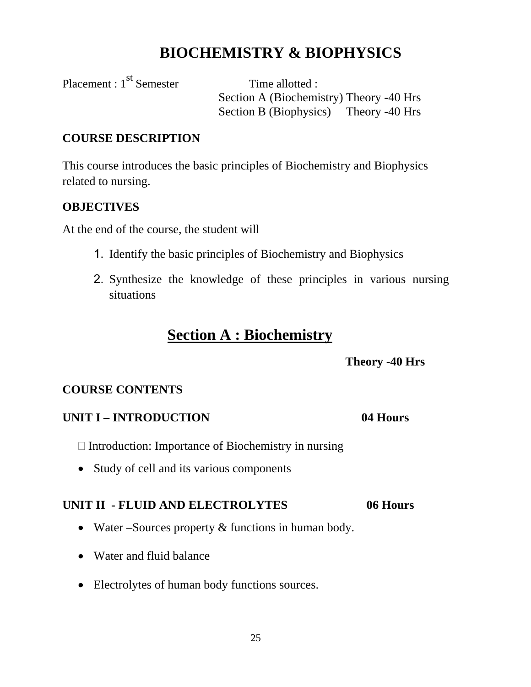# **BIOCHEMISTRY & BIOPHYSICS**

Placement : 1<sup>st</sup> Semester Time allotted :

Section A (Biochemistry) Theory -40 Hrs Section B (Biophysics) Theory -40 Hrs

#### **COURSE DESCRIPTION**

This course introduces the basic principles of Biochemistry and Biophysics related to nursing.

### **OBJECTIVES**

At the end of the course, the student will

- 1. Identify the basic principles of Biochemistry and Biophysics
- 2. Synthesize the knowledge of these principles in various nursing situations

## **Section A : Biochemistry**

 **Theory -40 Hrs** 

### **COURSE CONTENTS**

#### **UNIT I – INTRODUCTION 04 Hours**

 $\Box$  Introduction: Importance of Biochemistry in nursing

• Study of cell and its various components

## **UNIT II - FLUID AND ELECTROLYTES 06 Hours**

- Water Sources property & functions in human body.
- Water and fluid balance
- Electrolytes of human body functions sources.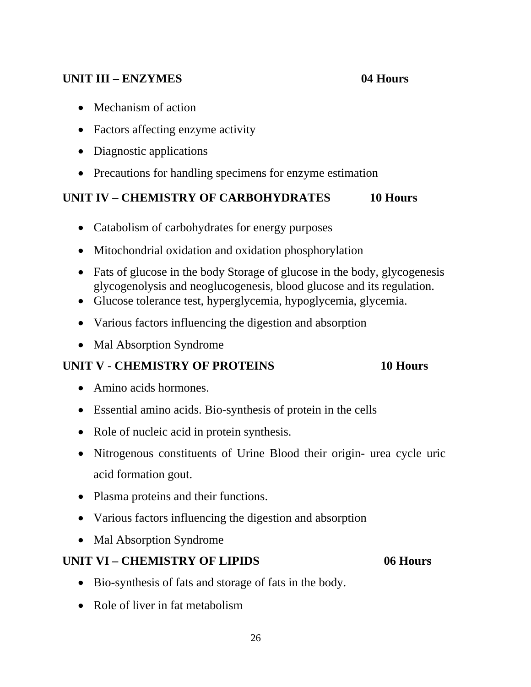#### **UNIT III – ENZYMES 04 Hours**

- Mechanism of action
- Factors affecting enzyme activity
- Diagnostic applications
- Precautions for handling specimens for enzyme estimation

## **UNIT IV – CHEMISTRY OF CARBOHYDRATES 10 Hours**

- Catabolism of carbohydrates for energy purposes
- Mitochondrial oxidation and oxidation phosphorylation
- Fats of glucose in the body Storage of glucose in the body, glycogenesis glycogenolysis and neoglucogenesis, blood glucose and its regulation.
- Glucose tolerance test, hyperglycemia, hypoglycemia, glycemia.
- Various factors influencing the digestion and absorption
- Mal Absorption Syndrome

### **UNIT V - CHEMISTRY OF PROTEINS 10 Hours**

- Amino acids hormones.
- Essential amino acids. Bio-synthesis of protein in the cells
- Role of nucleic acid in protein synthesis.
- Nitrogenous constituents of Urine Blood their origin- urea cycle uric acid formation gout.
- Plasma proteins and their functions.
- Various factors influencing the digestion and absorption
- Mal Absorption Syndrome

### **UNIT VI – CHEMISTRY OF LIPIDS 06 Hours**

- Bio-synthesis of fats and storage of fats in the body.
- Role of liver in fat metabolism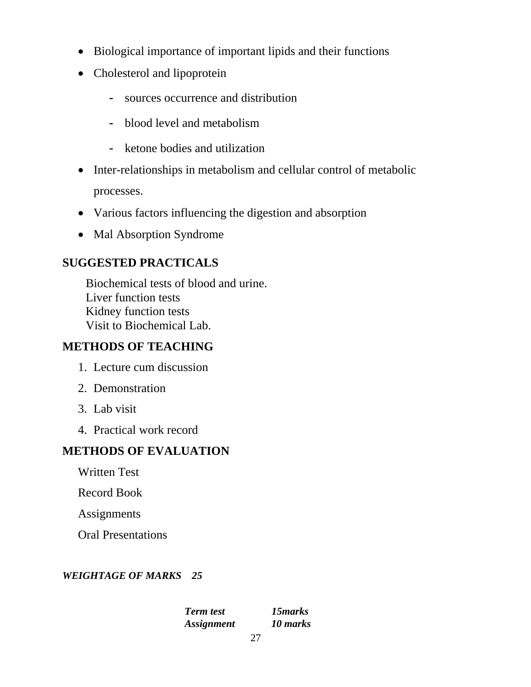- Biological importance of important lipids and their functions
- Cholesterol and lipoprotein
	- sources occurrence and distribution
	- blood level and metabolism
	- ketone bodies and utilization
- Inter-relationships in metabolism and cellular control of metabolic processes.
- Various factors influencing the digestion and absorption
- Mal Absorption Syndrome

## **SUGGESTED PRACTICALS**

Biochemical tests of blood and urine. Liver function tests Kidney function tests Visit to Biochemical Lab.

### **METHODS OF TEACHING**

- 1. Lecture cum discussion
- 2. Demonstration
- 3. Lab visit
- 4. Practical work record

## **METHODS OF EVALUATION**

Written Test

Record Book

Assignments

Oral Presentations

#### *WEIGHTAGE OF MARKS 25*

 *Term test 15marks Assignment 10 marks*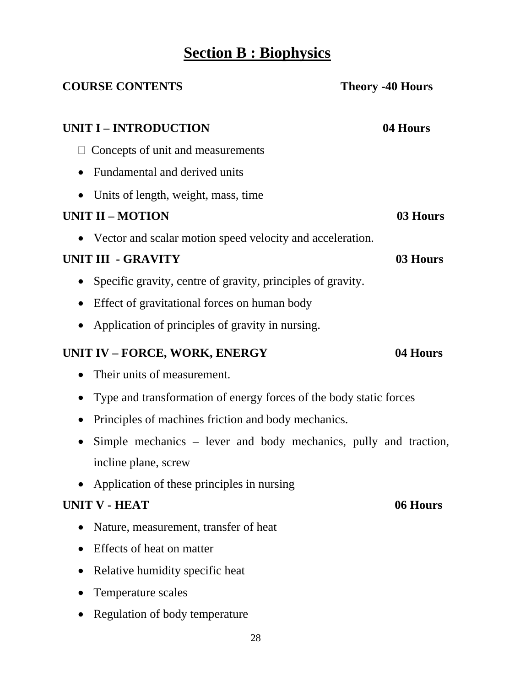# **Section B : Biophysics**

| <b>COURSE CONTENTS</b>                                             | <b>Theory -40 Hours</b> |
|--------------------------------------------------------------------|-------------------------|
| <b>UNIT I - INTRODUCTION</b>                                       | 04 Hours                |
| Concepts of unit and measurements                                  |                         |
| Fundamental and derived units                                      |                         |
| Units of length, weight, mass, time                                |                         |
| <b>UNIT II - MOTION</b>                                            | 03 Hours                |
| Vector and scalar motion speed velocity and acceleration.          |                         |
| <b>UNIT III - GRAVITY</b>                                          | 03 Hours                |
| Specific gravity, centre of gravity, principles of gravity.        |                         |
| Effect of gravitational forces on human body<br>$\bullet$          |                         |
| Application of principles of gravity in nursing.                   |                         |
| <b>UNIT IV - FORCE, WORK, ENERGY</b>                               | 04 Hours                |
| Their units of measurement.<br>$\bullet$                           |                         |
| Type and transformation of energy forces of the body static forces |                         |
| Principles of machines friction and body mechanics.                |                         |
| Simple mechanics – lever and body mechanics, pully and traction,   |                         |
| incline plane, screw                                               |                         |
| Application of these principles in nursing                         |                         |
| <b>UNIT V - HEAT</b>                                               | 06 Hours                |
| Nature, measurement, transfer of heat                              |                         |
| Effects of heat on matter                                          |                         |
| Relative humidity specific heat                                    |                         |
| Temperature scales                                                 |                         |
| Regulation of body temperature                                     |                         |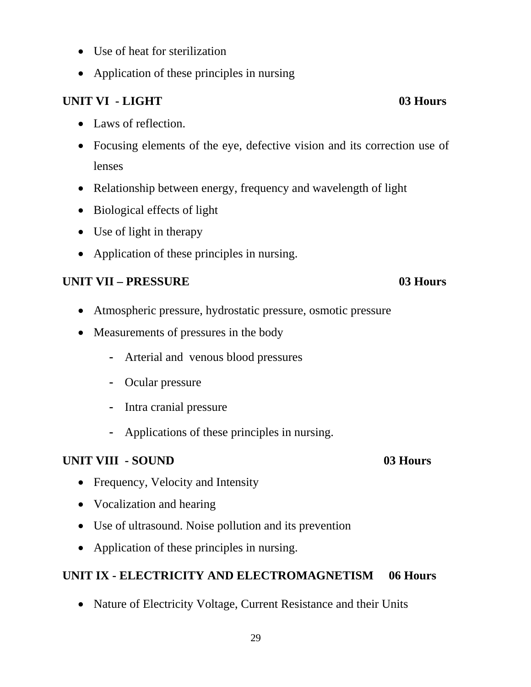- Use of heat for sterilization
- Application of these principles in nursing

## **UNIT VI - LIGHT** 03 Hours

- Laws of reflection.
- Focusing elements of the eye, defective vision and its correction use of lenses
- Relationship between energy, frequency and wavelength of light
- Biological effects of light
- Use of light in therapy
- Application of these principles in nursing.

## **UNIT VII – PRESSURE 03 Hours**

- Atmospheric pressure, hydrostatic pressure, osmotic pressure
- Measurements of pressures in the body
	- Arterial and venous blood pressures
	- Ocular pressure
	- Intra cranial pressure
	- Applications of these principles in nursing.

### **UNIT VIII - SOUND 03 Hours**

- Frequency, Velocity and Intensity
- Vocalization and hearing
- Use of ultrasound. Noise pollution and its prevention
- Application of these principles in nursing.

### **UNIT IX - ELECTRICITY AND ELECTROMAGNETISM 06 Hours**

• Nature of Electricity Voltage, Current Resistance and their Units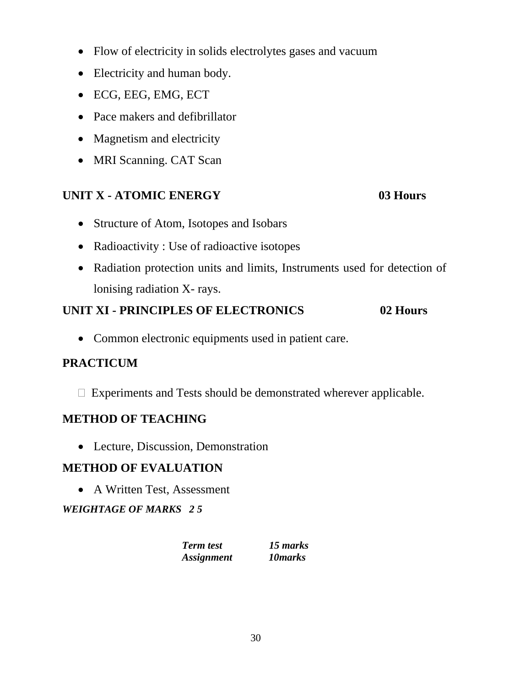- Flow of electricity in solids electrolytes gases and vacuum
- Electricity and human body.
- ECG, EEG, EMG, ECT
- Pace makers and defibrillator
- Magnetism and electricity
- MRI Scanning. CAT Scan

## **UNIT X - ATOMIC ENERGY 03 Hours**

- Structure of Atom, Isotopes and Isobars
- Radioactivity : Use of radioactive isotopes
- Radiation protection units and limits, Instruments used for detection of lonising radiation X- rays.

## **UNIT XI - PRINCIPLES OF ELECTRONICS 02 Hours**

• Common electronic equipments used in patient care.

### **PRACTICUM**

Experiments and Tests should be demonstrated wherever applicable.

### **METHOD OF TEACHING**

• Lecture, Discussion, Demonstration

### **METHOD OF EVALUATION**

• A Written Test, Assessment

*WEIGHTAGE OF MARKS 2 5* 

| <b>Term test</b>         | 15 marks |
|--------------------------|----------|
| <i><b>Assignment</b></i> | 10 marks |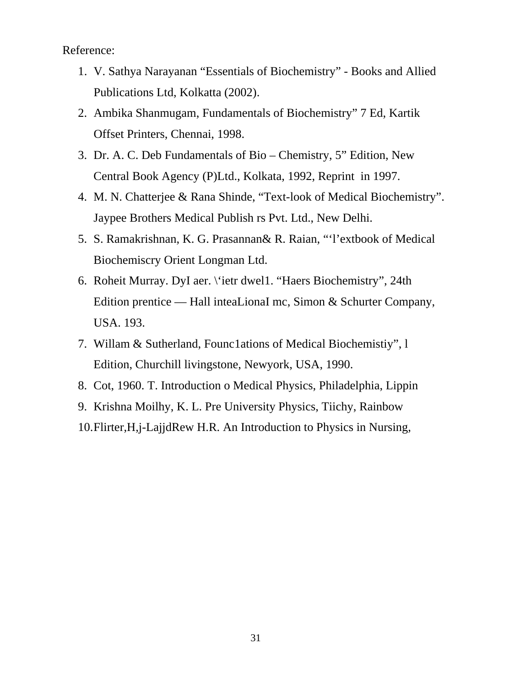Reference:

- 1. V. Sathya Narayanan "Essentials of Biochemistry" Books and Allied Publications Ltd, Kolkatta (2002).
- 2. Ambika Shanmugam, Fundamentals of Biochemistry" 7 Ed, Kartik Offset Printers, Chennai, 1998.
- 3. Dr. A. C. Deb Fundamentals of Bio Chemistry, 5" Edition, New Central Book Agency (P)Ltd., Kolkata, 1992, Reprint in 1997.
- 4. M. N. Chatterjee & Rana Shinde, "Text-look of Medical Biochemistry". Jaypee Brothers Medical Publish rs Pvt. Ltd., New Delhi.
- 5. S. Ramakrishnan, K. G. Prasannan& R. Raian, "'l'extbook of Medical Biochemiscry Orient Longman Ltd.
- 6. Roheit Murray. DyI aer. \'ietr dwel1. "Haers Biochemistry", 24th Edition prentice — Hall inteaLionaI mc, Simon & Schurter Company, USA. 193.
- 7. Willam & Sutherland, Founc1ations of Medical Biochemistiy", l Edition, Churchill livingstone, Newyork, USA, 1990.
- 8. Cot, 1960. T. Introduction o Medical Physics, Philadelphia, Lippin
- 9. Krishna Moilhy, K. L. Pre University Physics, Tiichy, Rainbow

10.Flirter,H,j-LajjdRew H.R. An Introduction to Physics in Nursing,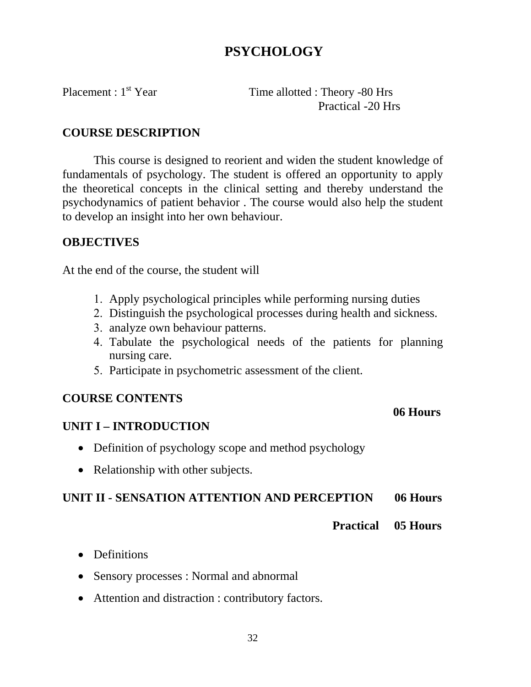## **PSYCHOLOGY**

Placement : 1<sup>st</sup> Year Time allotted : Theory -80 Hrs Practical -20 Hrs

#### **COURSE DESCRIPTION**

This course is designed to reorient and widen the student knowledge of fundamentals of psychology. The student is offered an opportunity to apply the theoretical concepts in the clinical setting and thereby understand the psychodynamics of patient behavior . The course would also help the student to develop an insight into her own behaviour.

#### **OBJECTIVES**

At the end of the course, the student will

- 1. Apply psychological principles while performing nursing duties
- 2. Distinguish the psychological processes during health and sickness.
- 3. analyze own behaviour patterns.
- 4. Tabulate the psychological needs of the patients for planning nursing care.
- 5. Participate in psychometric assessment of the client.

### **COURSE CONTENTS**

### **UNIT I – INTRODUCTION**

- Definition of psychology scope and method psychology
- Relationship with other subjects.

#### **UNIT II - SENSATION ATTENTION AND PERCEPTION 06 Hours**

 **06 Hours** 

 **Practical 05 Hours** 

- Definitions
- Sensory processes : Normal and abnormal
- Attention and distraction : contributory factors.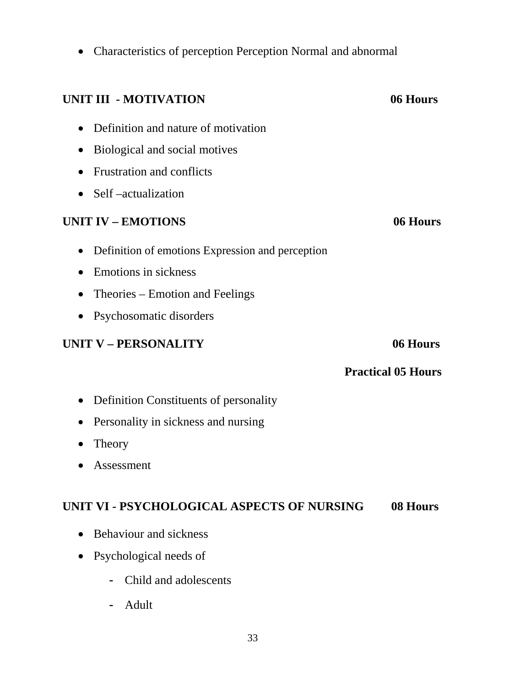• Characteristics of perception Perception Normal and abnormal

| <b>UNIT III - MOTIVATION</b>                                  | 06 Hours                  |
|---------------------------------------------------------------|---------------------------|
| Definition and nature of motivation                           |                           |
| Biological and social motives<br>$\bullet$                    |                           |
| <b>Frustration and conflicts</b>                              |                           |
| Self –actualization<br>$\bullet$                              |                           |
| <b>UNIT IV - EMOTIONS</b>                                     | 06 Hours                  |
| Definition of emotions Expression and perception<br>$\bullet$ |                           |
| Emotions in sickness<br>$\bullet$                             |                           |
| Theories – Emotion and Feelings<br>$\bullet$                  |                           |
| Psychosomatic disorders<br>$\bullet$                          |                           |
| <b>UNIT V - PERSONALITY</b>                                   | 06 Hours                  |
|                                                               | <b>Practical 05 Hours</b> |
| Definition Constituents of personality<br>$\bullet$           |                           |
| Personality in sickness and nursing                           |                           |
| Theory<br>$\bullet$                                           |                           |
| Assessment                                                    |                           |
| UNIT VI - PSYCHOLOGICAL ASPECTS OF NURSING                    | 08 Hours                  |
| <b>Behaviour and sickness</b>                                 |                           |
| Psychological needs of                                        |                           |
| Child and adolescents                                         |                           |

- Adult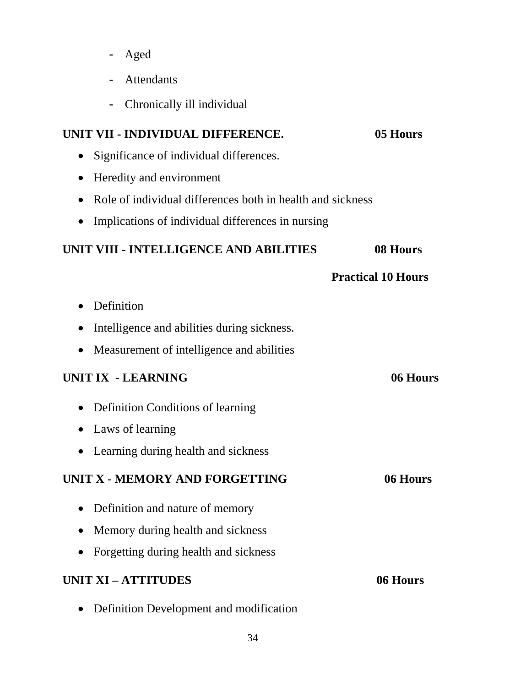- Aged
- Attendants
- Chronically ill individual

#### **UNIT VII - INDIVIDUAL DIFFERENCE. 05 Hours**

- Significance of individual differences.
- Heredity and environment
- Role of individual differences both in health and sickness
- Implications of individual differences in nursing

#### **UNIT VIII - INTELLIGENCE AND ABILITIES 08 Hours**

#### **Practical 10 Hours**

- Definition
- Intelligence and abilities during sickness.
- Measurement of intelligence and abilities

#### **UNIT IX - LEARNING 06 Hours**

- Definition Conditions of learning
- Laws of learning
- Learning during health and sickness

### **UNIT X - MEMORY AND FORGETTING 66 Hours**

- Definition and nature of memory
- Memory during health and sickness
- Forgetting during health and sickness

#### **UNIT XI – ATTITUDES 06 Hours**

• Definition Development and modification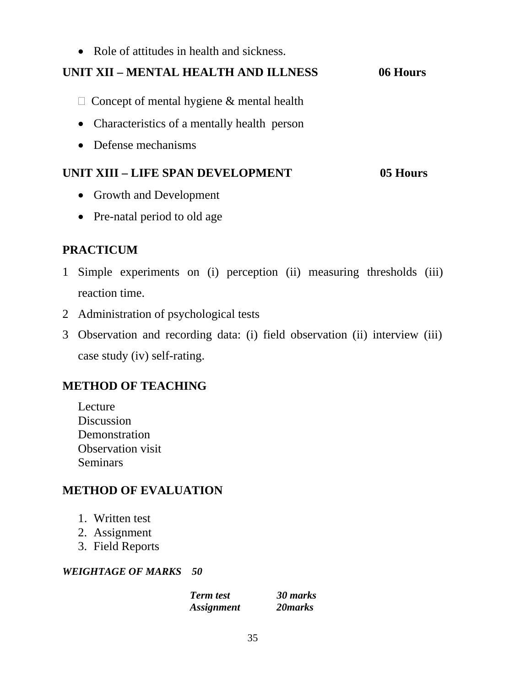• Role of attitudes in health and sickness.

### **UNIT XII – MENTAL HEALTH AND ILLNESS 06 Hours**

- $\Box$  Concept of mental hygiene & mental health
- Characteristics of a mentally health person
- Defense mechanisms

#### **UNIT XIII – LIFE SPAN DEVELOPMENT 05 Hours**

- Growth and Development
- Pre-natal period to old age

## **PRACTICUM**

- 1 Simple experiments on (i) perception (ii) measuring thresholds (iii) reaction time.
- 2 Administration of psychological tests
- 3 Observation and recording data: (i) field observation (ii) interview (iii) case study (iv) self-rating.

### **METHOD OF TEACHING**

Lecture Discussion Demonstration Observation visit **Seminars** 

### **METHOD OF EVALUATION**

- 1. Written test
- 2. Assignment
- 3. Field Reports

#### *WEIGHTAGE OF MARKS 50*

*Term test 30 marks Assignment 20marks*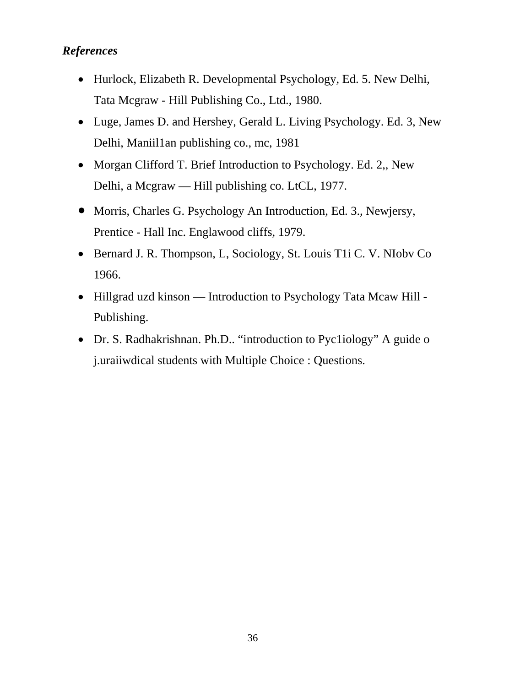#### *References*

- Hurlock, Elizabeth R. Developmental Psychology, Ed. 5. New Delhi, Tata Mcgraw - Hill Publishing Co., Ltd., 1980.
- Luge, James D. and Hershey, Gerald L. Living Psychology. Ed. 3, New Delhi, Maniil1an publishing co., mc, 1981
- Morgan Clifford T. Brief Introduction to Psychology. Ed. 2,, New Delhi, a Mcgraw — Hill publishing co. LtCL, 1977.
- Morris, Charles G. Psychology An Introduction, Ed. 3., Newjersy, Prentice - Hall Inc. Englawood cliffs, 1979.
- Bernard J. R. Thompson, L, Sociology, St. Louis T1i C. V. NIobv Co 1966.
- Hillgrad uzd kinson Introduction to Psychology Tata Mcaw Hill -Publishing.
- Dr. S. Radhakrishnan. Ph.D.. "introduction to Pyc1iology" A guide o j.uraiiwdical students with Multiple Choice : Questions.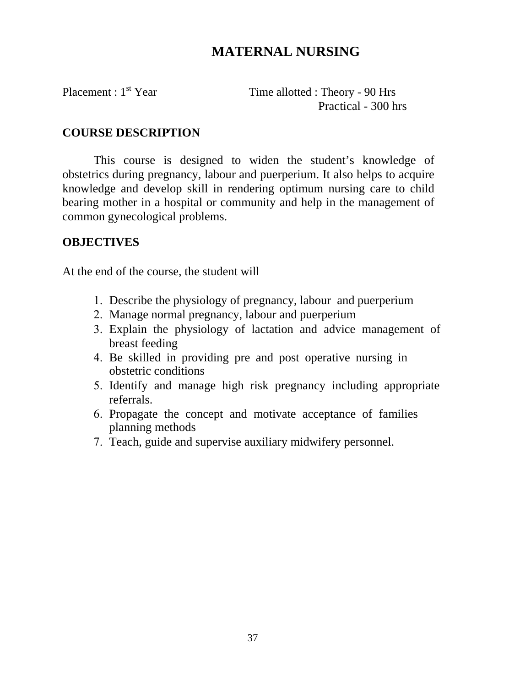### **MATERNAL NURSING**

Placement : 1<sup>st</sup> Year Time allotted : Theory - 90 Hrs Practical - 300 hrs

#### **COURSE DESCRIPTION**

This course is designed to widen the student's knowledge of obstetrics during pregnancy, labour and puerperium. It also helps to acquire knowledge and develop skill in rendering optimum nursing care to child bearing mother in a hospital or community and help in the management of common gynecological problems.

#### **OBJECTIVES**

At the end of the course, the student will

- 1. Describe the physiology of pregnancy, labour and puerperium
- 2. Manage normal pregnancy, labour and puerperium
- 3. Explain the physiology of lactation and advice management of breast feeding
- 4. Be skilled in providing pre and post operative nursing in obstetric conditions
- 5. Identify and manage high risk pregnancy including appropriate referrals.
- 6. Propagate the concept and motivate acceptance of families planning methods
- 7. Teach, guide and supervise auxiliary midwifery personnel.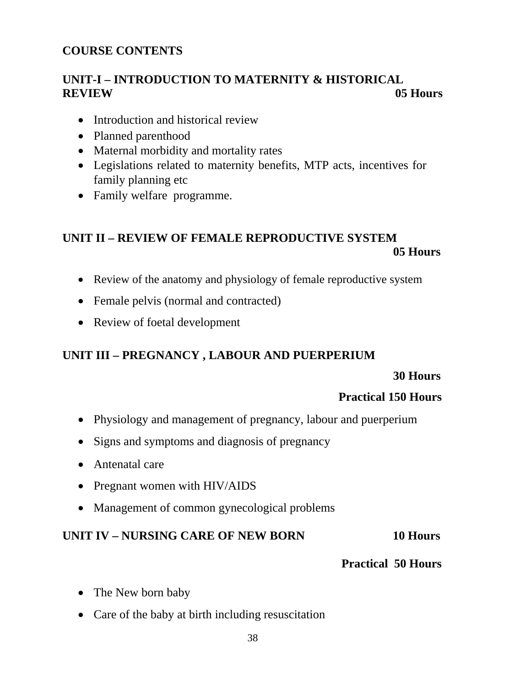#### **COURSE CONTENTS**

### **UNIT-I – INTRODUCTION TO MATERNITY & HISTORICAL REVIEW 05 Hours**

- Introduction and historical review
- Planned parenthood
- Maternal morbidity and mortality rates
- Legislations related to maternity benefits, MTP acts, incentives for family planning etc
- Family welfare programme.

### **UNIT II – REVIEW OF FEMALE REPRODUCTIVE SYSTEM 05 Hours**

- Review of the anatomy and physiology of female reproductive system
- Female pelvis (normal and contracted)
- Review of foetal development

#### **UNIT III – PREGNANCY , LABOUR AND PUERPERIUM**

#### **30 Hours**

#### **Practical 150 Hours**

- Physiology and management of pregnancy, labour and puerperium
- Signs and symptoms and diagnosis of pregnancy
- Antenatal care
- Pregnant women with HIV/AIDS
- Management of common gynecological problems

#### **UNIT IV – NURSING CARE OF NEW BORN 10 Hours**

#### **Practical 50 Hours**

- The New born baby
- Care of the baby at birth including resuscitation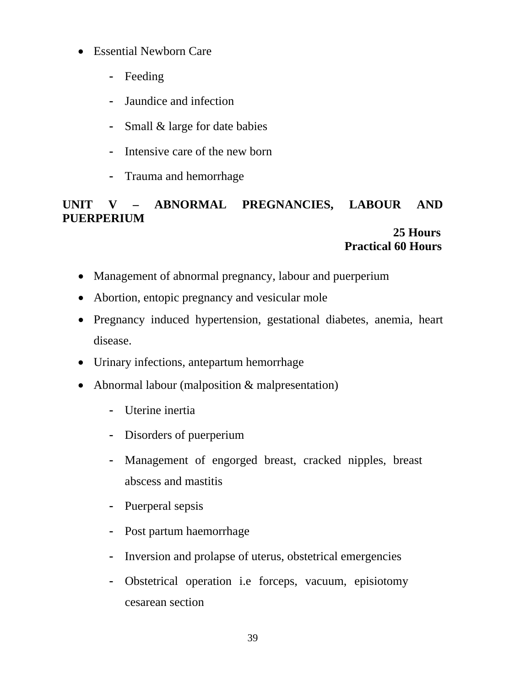- Essential Newborn Care
	- Feeding
	- Jaundice and infection
	- Small & large for date babies
	- Intensive care of the new born
	- Trauma and hemorrhage

### **UNIT V – ABNORMAL PREGNANCIES, LABOUR AND PUERPERIUM**

#### **25 Hours Practical 60 Hours**

- Management of abnormal pregnancy, labour and puerperium
- Abortion, entopic pregnancy and vesicular mole
- Pregnancy induced hypertension, gestational diabetes, anemia, heart disease.
- Urinary infections, antepartum hemorrhage
- Abnormal labour (malposition & malpresentation)
	- Uterine inertia
	- Disorders of puerperium
	- Management of engorged breast, cracked nipples, breast abscess and mastitis
	- Puerperal sepsis
	- Post partum haemorrhage
	- Inversion and prolapse of uterus, obstetrical emergencies
	- Obstetrical operation i.e forceps, vacuum, episiotomy cesarean section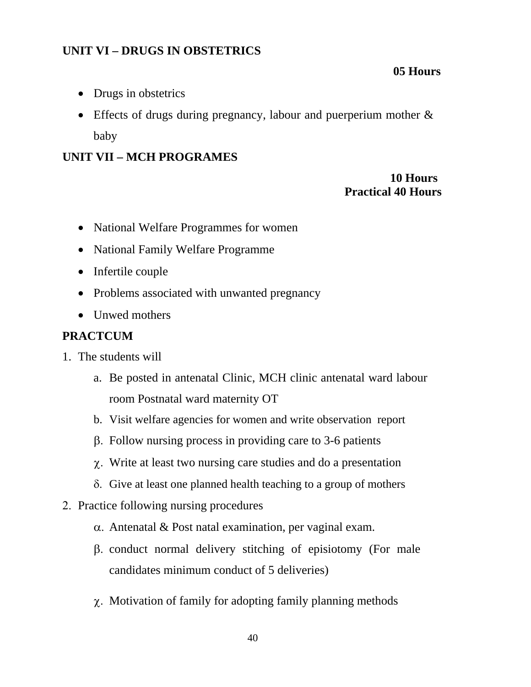### **UNIT VI – DRUGS IN OBSTETRICS**

#### **05 Hours**

- Drugs in obstetrics
- Effects of drugs during pregnancy, labour and puerperium mother  $\&$ baby

#### **UNIT VII – MCH PROGRAMES**

#### **10 Hours Practical 40 Hours**

- National Welfare Programmes for women
- National Family Welfare Programme
- Infertile couple
- Problems associated with unwanted pregnancy
- Unwed mothers

#### **PRACTCUM**

- 1. The students will
	- a. Be posted in antenatal Clinic, MCH clinic antenatal ward labour room Postnatal ward maternity OT
	- b. Visit welfare agencies for women and write observation report
	- β. Follow nursing process in providing care to 3-6 patients
	- χ. Write at least two nursing care studies and do a presentation
	- δ. Give at least one planned health teaching to a group of mothers
- 2. Practice following nursing procedures
	- α. Antenatal & Post natal examination, per vaginal exam.
	- β. conduct normal delivery stitching of episiotomy (For male candidates minimum conduct of 5 deliveries)
	- χ. Motivation of family for adopting family planning methods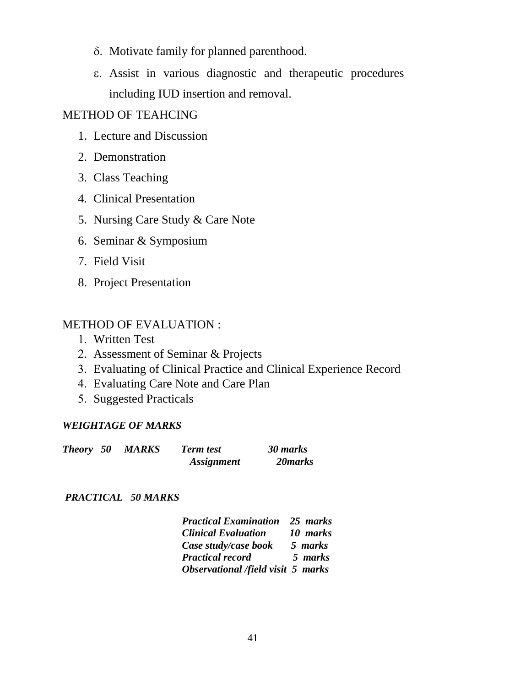- δ. Motivate family for planned parenthood.
- ε. Assist in various diagnostic and therapeutic procedures including IUD insertion and removal.

#### METHOD OF TEAHCING

- 1. Lecture and Discussion
- 2. Demonstration
- 3. Class Teaching
- 4. Clinical Presentation
- 5. Nursing Care Study & Care Note
- 6. Seminar & Symposium
- 7. Field Visit
- 8. Project Presentation

#### METHOD OF EVALUATION :

- 1. Written Test
- 2. Assessment of Seminar & Projects
- 3. Evaluating of Clinical Practice and Clinical Experience Record
- 4. Evaluating Care Note and Care Plan
- 5. Suggested Practicals

#### *WEIGHTAGE OF MARKS*

| Theory 50 | MARKS | <b>Term test</b>         | 30 marks |
|-----------|-------|--------------------------|----------|
|           |       | <i><b>Assignment</b></i> | 20 marks |

#### *PRACTICAL 50 MARKS*

| <b>Practical Examination</b> 25 marks |          |
|---------------------------------------|----------|
| <b>Clinical Evaluation</b>            | 10 marks |
| Case study/case book                  | 5 marks  |
| <b>Practical record</b>               | 5 marks  |
| Observational /field visit 5 marks    |          |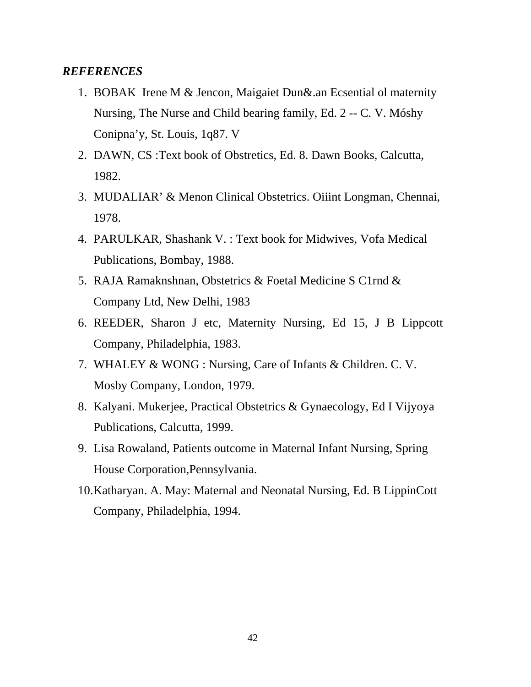#### *REFERENCES*

- 1. BOBAK Irene M & Jencon, Maigaiet Dun&.an Ecsential ol maternity Nursing, The Nurse and Child bearing family, Ed. 2 -- C. V. Móshy Conipna'y, St. Louis, 1q87. V
- 2. DAWN, CS :Text book of Obstretics, Ed. 8. Dawn Books, Calcutta, 1982.
- 3. MUDALIAR' & Menon Clinical Obstetrics. Oiiint Longman, Chennai, 1978.
- 4. PARULKAR, Shashank V. : Text book for Midwives, Vofa Medical Publications, Bombay, 1988.
- 5. RAJA Ramaknshnan, Obstetrics & Foetal Medicine S C1rnd & Company Ltd, New Delhi, 1983
- 6. REEDER, Sharon J etc, Maternity Nursing, Ed 15, J B Lippcott Company, Philadelphia, 1983.
- 7. WHALEY & WONG : Nursing, Care of Infants & Children. C. V. Mosby Company, London, 1979.
- 8. Kalyani. Mukerjee, Practical Obstetrics & Gynaecology, Ed I Vijyoya Publications, Calcutta, 1999.
- 9. Lisa Rowaland, Patients outcome in Maternal Infant Nursing, Spring House Corporation,Pennsylvania.
- 10.Katharyan. A. May: Maternal and Neonatal Nursing, Ed. B LippinCott Company, Philadelphia, 1994.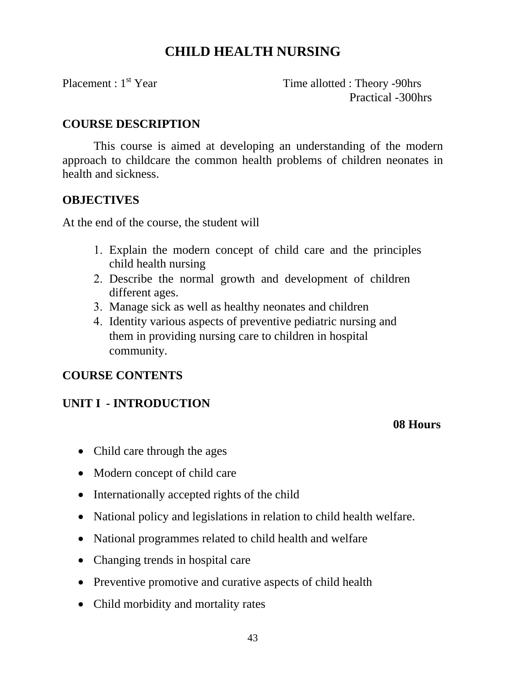### **CHILD HEALTH NURSING**

Placement : 1<sup>st</sup> Year Time allotted : Theory -90hrs Practical -300hrs

#### **COURSE DESCRIPTION**

This course is aimed at developing an understanding of the modern approach to childcare the common health problems of children neonates in health and sickness.

#### **OBJECTIVES**

At the end of the course, the student will

- 1. Explain the modern concept of child care and the principles child health nursing
- 2. Describe the normal growth and development of children different ages.
- 3. Manage sick as well as healthy neonates and children
- 4. Identity various aspects of preventive pediatric nursing and them in providing nursing care to children in hospital community.

### **COURSE CONTENTS**

#### **UNIT I - INTRODUCTION**

#### **08 Hours**

- Child care through the ages
- Modern concept of child care
- Internationally accepted rights of the child
- National policy and legislations in relation to child health welfare.
- National programmes related to child health and welfare
- Changing trends in hospital care
- Preventive promotive and curative aspects of child health
- Child morbidity and mortality rates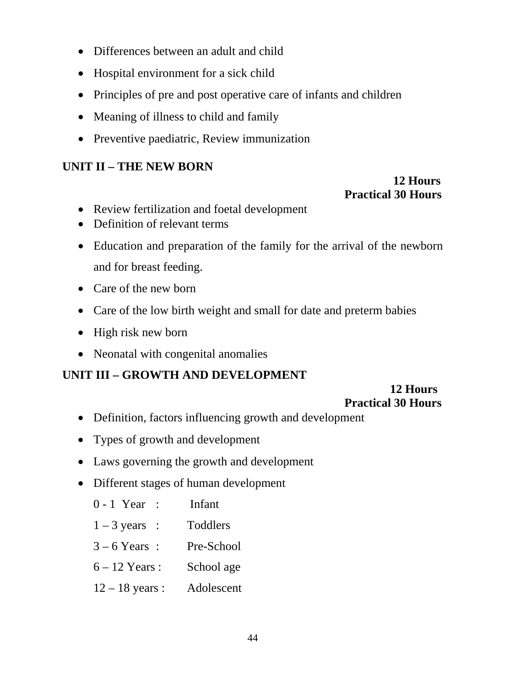- Differences between an adult and child
- Hospital environment for a sick child
- Principles of pre and post operative care of infants and children
- Meaning of illness to child and family
- Preventive paediatric, Review immunization

### **UNIT II – THE NEW BORN**

### **12 Hours Practical 30 Hours**

- Review fertilization and foetal development
- Definition of relevant terms
- Education and preparation of the family for the arrival of the newborn and for breast feeding.
- Care of the new born
- Care of the low birth weight and small for date and preterm babies
- High risk new born
- Neonatal with congenital anomalies

### **UNIT III – GROWTH AND DEVELOPMENT**

#### **12 Hours Practical 30 Hours**

- Definition, factors influencing growth and development
- Types of growth and development
- Laws governing the growth and development
- Different stages of human development

| $0 - 1$ Year : | Infant |
|----------------|--------|
|                |        |

- $1 3$  years : Toddlers
- 3 6 Years : Pre-School
- 6 12 Years : School age
- 12 18 years : Adolescent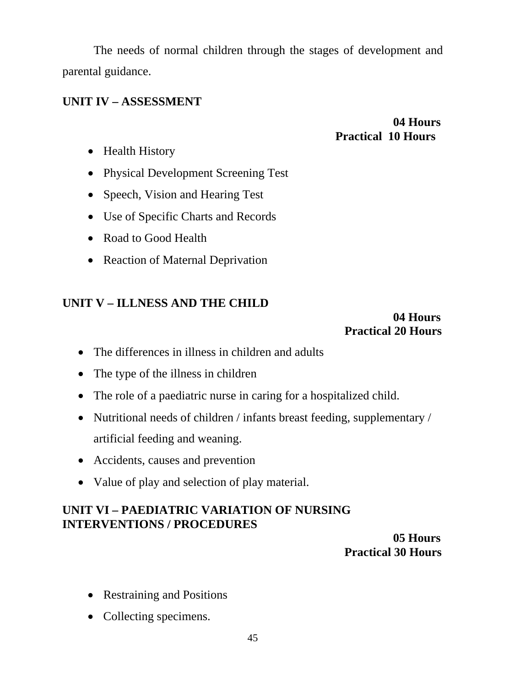The needs of normal children through the stages of development and parental guidance.

#### **UNIT IV – ASSESSMENT**

### **04 Hours Practical 10 Hours**

- Health History
- Physical Development Screening Test
- Speech, Vision and Hearing Test
- Use of Specific Charts and Records
- Road to Good Health
- Reaction of Maternal Deprivation

#### **UNIT V – ILLNESS AND THE CHILD**

#### **04 Hours Practical 20 Hours**

- The differences in illness in children and adults
- The type of the illness in children
- The role of a paediatric nurse in caring for a hospitalized child.
- Nutritional needs of children / infants breast feeding, supplementary / artificial feeding and weaning.
- Accidents, causes and prevention
- Value of play and selection of play material.

### **UNIT VI – PAEDIATRIC VARIATION OF NURSING INTERVENTIONS / PROCEDURES**

#### **05 Hours Practical 30 Hours**

- Restraining and Positions
- Collecting specimens.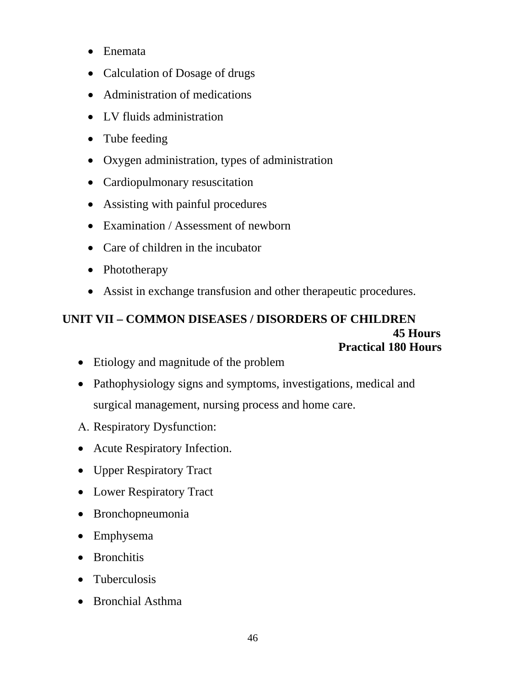- Enemata
- Calculation of Dosage of drugs
- Administration of medications
- LV fluids administration
- Tube feeding
- Oxygen administration, types of administration
- Cardiopulmonary resuscitation
- Assisting with painful procedures
- Examination / Assessment of newborn
- Care of children in the incubator
- Phototherapy
- Assist in exchange transfusion and other therapeutic procedures.

### **UNIT VII – COMMON DISEASES / DISORDERS OF CHILDREN 45 Hours Practical 180 Hours**

- Etiology and magnitude of the problem
- Pathophysiology signs and symptoms, investigations, medical and surgical management, nursing process and home care.
- Α. Respiratory Dysfunction:
- Acute Respiratory Infection.
- Upper Respiratory Tract
- Lower Respiratory Tract
- Bronchopneumonia
- Emphysema
- Bronchitis
- Tuberculosis
- Bronchial Asthma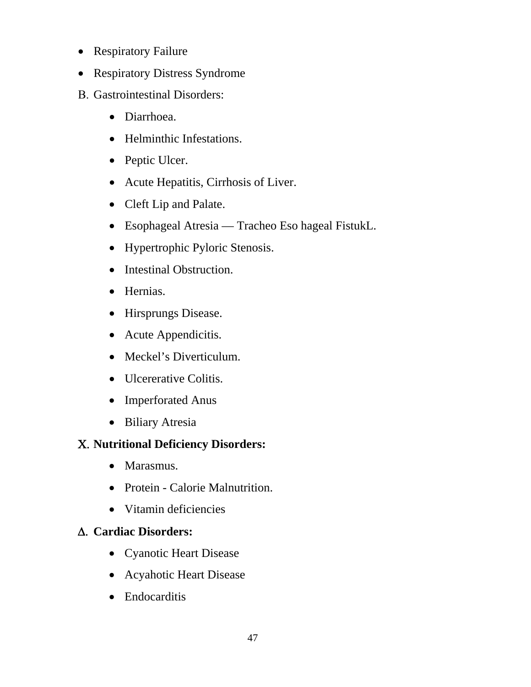- Respiratory Failure
- Respiratory Distress Syndrome
- Β. Gastrointestinal Disorders:
	- Diarrhoea.
	- Helminthic Infestations.
	- Peptic Ulcer.
	- Acute Hepatitis, Cirrhosis of Liver.
	- Cleft Lip and Palate.
	- Esophageal Atresia Tracheo Eso hageal FistukL.
	- Hypertrophic Pyloric Stenosis.
	- Intestinal Obstruction.
	- Hernias.
	- Hirsprungs Disease.
	- Acute Appendicitis.
	- Meckel's Diverticulum.
	- Ulcererative Colitis.
	- Imperforated Anus
	- Biliary Atresia

### Χ. **Nutritional Deficiency Disorders:**

- Marasmus.
- Protein Calorie Malnutrition.
- Vitamin deficiencies

### Δ. **Cardiac Disorders:**

- Cyanotic Heart Disease
- Acyahotic Heart Disease
- Endocarditis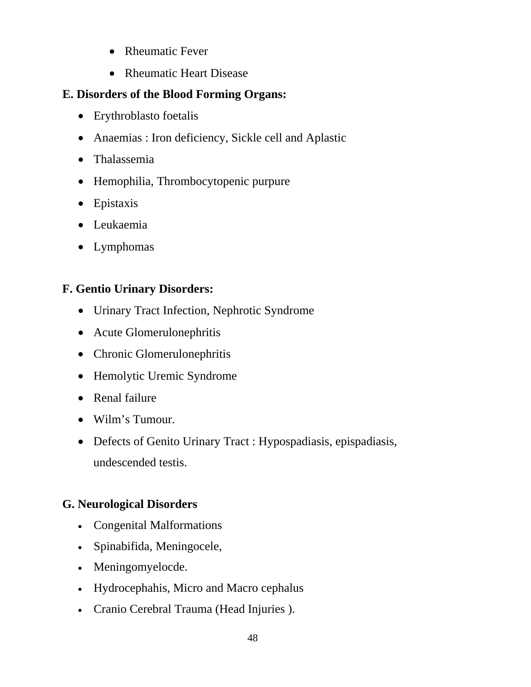- Rheumatic Fever
- Rheumatic Heart Disease

### **E. Disorders of the Blood Forming Organs:**

- Erythroblasto foetalis
- Anaemias : Iron deficiency, Sickle cell and Aplastic
- Thalassemia
- Hemophilia, Thrombocytopenic purpure
- Epistaxis
- Leukaemia
- Lymphomas

### **F. Gentio Urinary Disorders:**

- Urinary Tract Infection, Nephrotic Syndrome
- Acute Glomerulonephritis
- Chronic Glomerulonephritis
- Hemolytic Uremic Syndrome
- Renal failure
- Wilm's Tumour.
- Defects of Genito Urinary Tract : Hypospadiasis, epispadiasis, undescended testis.

### **G. Neurological Disorders**

- Congenital Malformations
- Spinabifida, Meningocele,
- Meningomyelocde.
- Hydrocephahis, Micro and Macro cephalus
- Cranio Cerebral Trauma (Head Injuries ).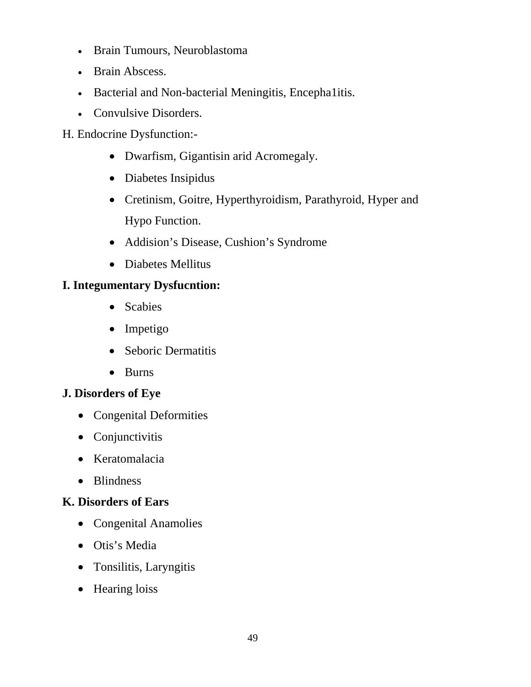- Brain Tumours, Neuroblastoma
- Brain Abscess.
- Bacterial and Non-bacterial Meningitis, Encepha1itis.
- Convulsive Disorders.

H. Endocrine Dysfunction:-

- Dwarfism, Gigantisin arid Acromegaly.
- Diabetes Insipidus
- Cretinism, Goitre, Hyperthyroidism, Parathyroid, Hyper and Hypo Function.
- Addision's Disease, Cushion's Syndrome
- Diabetes Mellitus

### **I. Integumentary Dysfucntion:**

- Scabies
- Impetigo
- Seboric Dermatitis
- Burns

#### **J. Disorders of Eye**

- Congenital Deformities
- Conjunctivitis
- Keratomalacia
- Blindness

### **K. Disorders of Ears**

- Congenital Anamolies
- Otis's Media
- Tonsilitis, Laryngitis
- Hearing loiss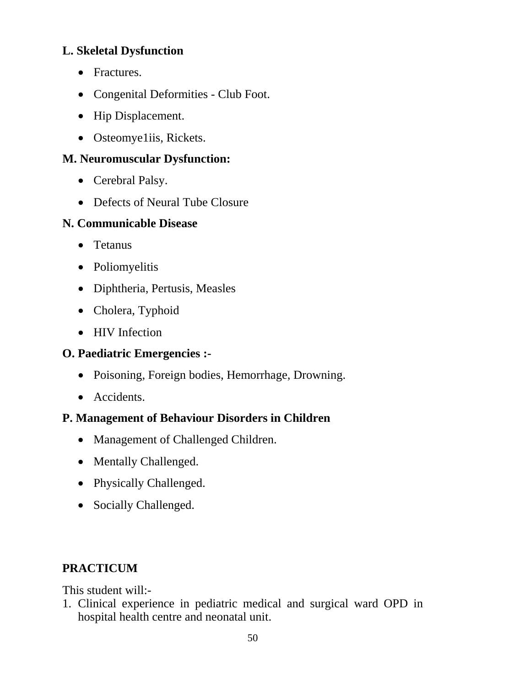### **L. Skeletal Dysfunction**

- Fractures.
- Congenital Deformities Club Foot.
- Hip Displacement.
- Osteomye1iis, Rickets.

### **M. Neuromuscular Dysfunction:**

- Cerebral Palsy.
- Defects of Neural Tube Closure

### **N. Communicable Disease**

- Tetanus
- Poliomyelitis
- Diphtheria, Pertusis, Measles
- Cholera, Typhoid
- HIV Infection

### **O. Paediatric Emergencies :-**

- Poisoning, Foreign bodies, Hemorrhage, Drowning.
- Accidents.

### **P. Management of Behaviour Disorders in Children**

- Management of Challenged Children.
- Mentally Challenged.
- Physically Challenged.
- Socially Challenged.

### **PRACTICUM**

This student will:-

1. Clinical experience in pediatric medical and surgical ward OPD in hospital health centre and neonatal unit.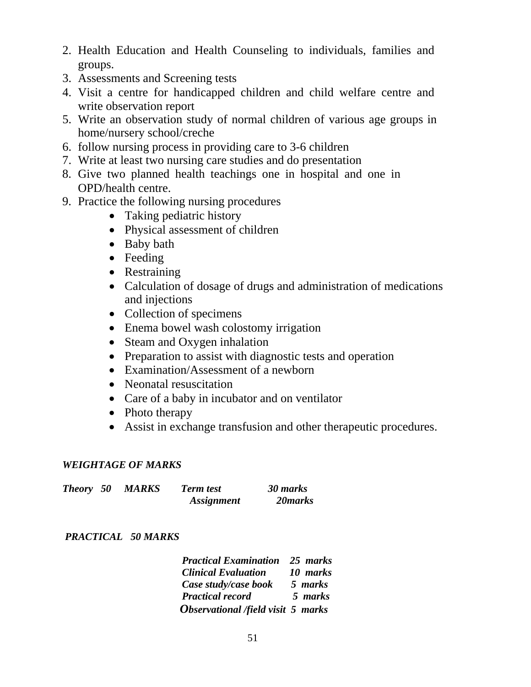- 2. Health Education and Health Counseling to individuals, families and groups.
- 3. Assessments and Screening tests
- 4. Visit a centre for handicapped children and child welfare centre and write observation report
- 5. Write an observation study of normal children of various age groups in home/nursery school/creche
- 6. follow nursing process in providing care to 3-6 children
- 7. Write at least two nursing care studies and do presentation
- 8. Give two planned health teachings one in hospital and one in OPD/health centre.
- 9. Practice the following nursing procedures
	- Taking pediatric history
	- Physical assessment of children
	- Baby bath
	- Feeding
	- Restraining
	- Calculation of dosage of drugs and administration of medications and injections
	- Collection of specimens
	- Enema bowel wash colostomy irrigation
	- Steam and Oxygen inhalation
	- Preparation to assist with diagnostic tests and operation
	- Examination/Assessment of a newborn
	- Neonatal resuscitation
	- Care of a baby in incubator and on ventilator
	- Photo therapy
	- Assist in exchange transfusion and other therapeutic procedures.

#### *WEIGHTAGE OF MARKS*

| <b>Theory</b> 50 | <b>MARKS</b> | <b>Term test</b>         | 30 marks |
|------------------|--------------|--------------------------|----------|
|                  |              | <i><b>Assignment</b></i> | 20 marks |

#### *PRACTICAL 50 MARKS*

 *Practical Examination 25 marks Clinical Evaluation 10 marks Case study/case book 5 marks Practical record 5 marks Observational /field visit 5 marks*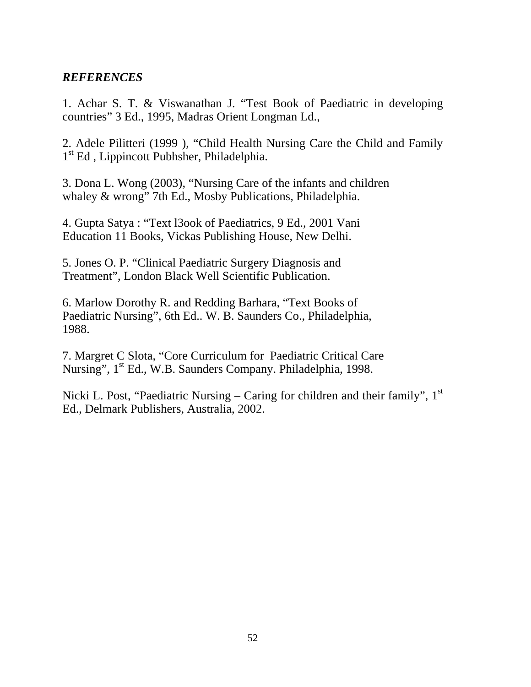#### *REFERENCES*

1. Achar S. T. & Viswanathan J. "Test Book of Paediatric in developing countries" 3 Ed., 1995, Madras Orient Longman Ld.,

2. Adele Pilitteri (1999 ), "Child Health Nursing Care the Child and Family 1<sup>st</sup> Ed, Lippincott Pubhsher, Philadelphia.

3. Dona L. Wong (2003), "Nursing Care of the infants and children whaley & wrong" 7th Ed., Mosby Publications, Philadelphia.

4. Gupta Satya : "Text l3ook of Paediatrics, 9 Ed., 2001 Vani Education 11 Books, Vickas Publishing House, New Delhi.

5. Jones O. P. "Clinical Paediatric Surgery Diagnosis and Treatment", London Black Well Scientific Publication.

6. Marlow Dorothy R. and Redding Barhara, "Text Books of Paediatric Nursing", 6th Ed.. W. B. Saunders Co., Philadelphia, 1988.

7. Margret C Slota, "Core Curriculum for Paediatric Critical Care Nursing", 1<sup>st</sup> Ed., W.B. Saunders Company. Philadelphia, 1998.

Nicki L. Post, "Paediatric Nursing – Caring for children and their family",  $1<sup>st</sup>$ Ed., Delmark Publishers, Australia, 2002.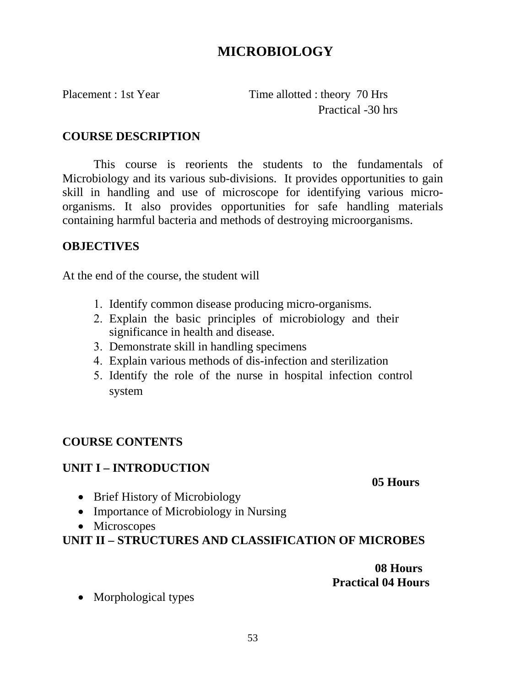### **MICROBIOLOGY**

Placement : 1st Year Time allotted : theory 70 Hrs Practical -30 hrs

#### **COURSE DESCRIPTION**

This course is reorients the students to the fundamentals of Microbiology and its various sub-divisions. It provides opportunities to gain skill in handling and use of microscope for identifying various microorganisms. It also provides opportunities for safe handling materials containing harmful bacteria and methods of destroying microorganisms.

#### **OBJECTIVES**

At the end of the course, the student will

- 1. Identify common disease producing micro-organisms.
- 2. Explain the basic principles of microbiology and their significance in health and disease.
- 3. Demonstrate skill in handling specimens
- 4. Explain various methods of dis-infection and sterilization
- 5. Identify the role of the nurse in hospital infection control system

### **COURSE CONTENTS**

#### **UNIT I – INTRODUCTION**

 **05 Hours** 

- Brief History of Microbiology
- Importance of Microbiology in Nursing
- Microscopes

### **UNIT II – STRUCTURES AND CLASSIFICATION OF MICROBES**

 **08 Hours Practical 04 Hours** 

• Morphological types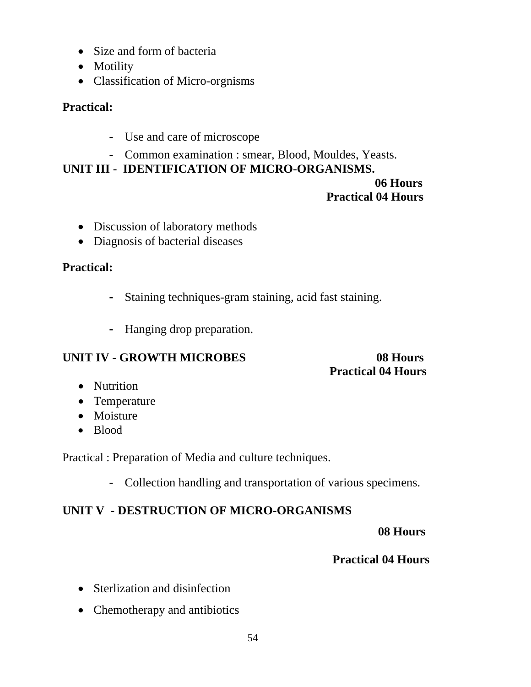- Size and form of bacteria
- Motility
- Classification of Micro-orgnisms

### **Practical:**

- Use and care of microscope
- Common examination : smear, Blood, Mouldes, Yeasts.

#### **UNIT III - IDENTIFICATION OF MICRO-ORGANISMS. 06 Hours**

### **Practical 04 Hours**

- Discussion of laboratory methods
- Diagnosis of bacterial diseases

### **Practical:**

- Staining techniques-gram staining, acid fast staining.
- Hanging drop preparation.

### **UNIT IV - GROWTH MICROBES** 08 Hours

# **Practical 04 Hours**

- Nutrition
- Temperature
- Moisture
- Blood

Practical : Preparation of Media and culture techniques.

- Collection handling and transportation of various specimens.

### **UNIT V - DESTRUCTION OF MICRO-ORGANISMS**

### **08 Hours**

### **Practical 04 Hours**

- Sterlization and disinfection
- Chemotherapy and antibiotics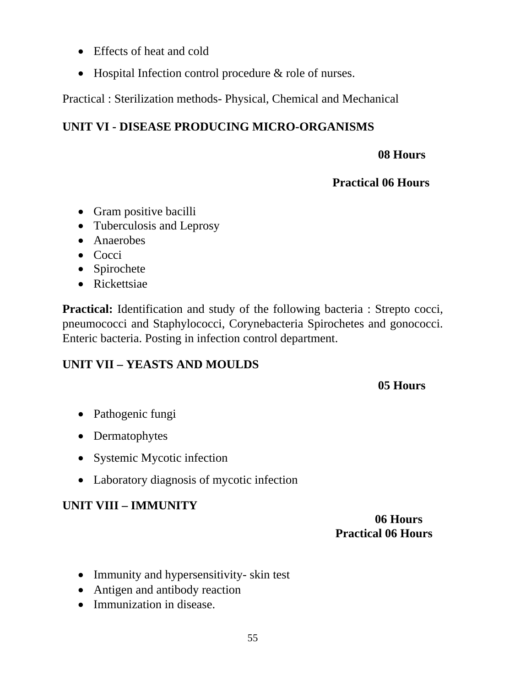- Effects of heat and cold
- Hospital Infection control procedure & role of nurses.

Practical : Sterilization methods- Physical, Chemical and Mechanical

### **UNIT VI - DISEASE PRODUCING MICRO-ORGANISMS**

### **08 Hours**

### **Practical 06 Hours**

- Gram positive bacilli
- Tuberculosis and Leprosy
- Anaerobes
- Cocci
- Spirochete
- Rickettsiae

**Practical:** Identification and study of the following bacteria : Strepto cocci, pneumococci and Staphylococci, Corynebacteria Spirochetes and gonococci. Enteric bacteria. Posting in infection control department.

### **UNIT VII – YEASTS AND MOULDS**

### **05 Hours**

- Pathogenic fungi
- Dermatophytes
- Systemic Mycotic infection
- Laboratory diagnosis of mycotic infection

### **UNIT VIII – IMMUNITY**

### **06 Hours Practical 06 Hours**

- Immunity and hypersensitivity- skin test
- Antigen and antibody reaction
- Immunization in disease.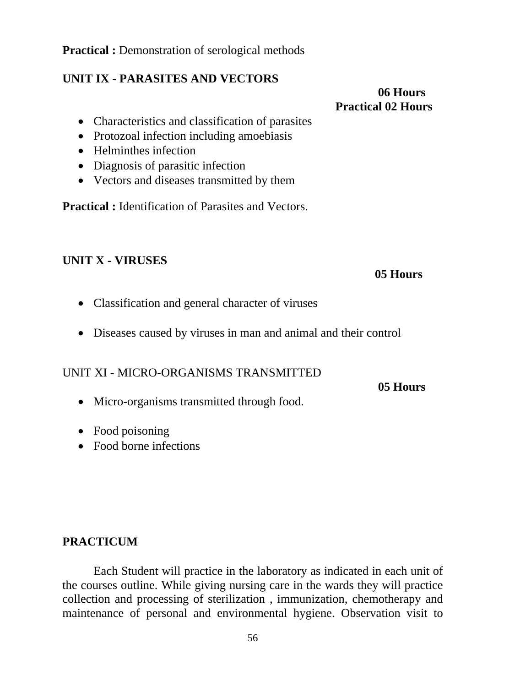#### **Practical :** Demonstration of serological methods

#### **UNIT IX - PARASITES AND VECTORS**

### **06 Hours Practical 02 Hours**

- Characteristics and classification of parasites
- Protozoal infection including amoebiasis
- Helminthes infection
- Diagnosis of parasitic infection
- Vectors and diseases transmitted by them

**Practical :** Identification of Parasites and Vectors.

#### **UNIT X - VIRUSES**

#### **05 Hours**

- Classification and general character of viruses
- Diseases caused by viruses in man and animal and their control

#### UNIT XI - MICRO-ORGANISMS TRANSMITTED

 **05 Hours** 

- Micro-organisms transmitted through food.
- Food poisoning
- Food borne infections

#### **PRACTICUM**

Each Student will practice in the laboratory as indicated in each unit of the courses outline. While giving nursing care in the wards they will practice collection and processing of sterilization , immunization, chemotherapy and maintenance of personal and environmental hygiene. Observation visit to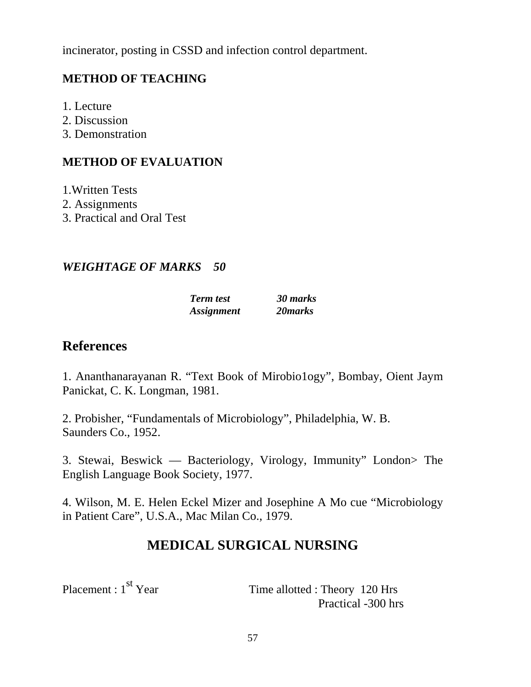incinerator, posting in CSSD and infection control department.

### **METHOD OF TEACHING**

- 1. Lecture
- 2. Discussion
- 3. Demonstration

### **METHOD OF EVALUATION**

- 1.Written Tests
- 2. Assignments
- 3. Practical and Oral Test

#### *WEIGHTAGE OF MARKS 50*

| <b>Term test</b>         | 30 marks |
|--------------------------|----------|
| <i><b>Assignment</b></i> | 20 marks |

### **References**

1. Ananthanarayanan R. "Text Book of Mirobio1ogy", Bombay, Oient Jaym Panickat, C. K. Longman, 1981.

2. Probisher, "Fundamentals of Microbiology", Philadelphia, W. B. Saunders Co., 1952.

3. Stewai, Beswick — Bacteriology, Virology, Immunity" London> The English Language Book Society, 1977.

4. Wilson, M. E. Helen Eckel Mizer and Josephine A Mo cue "Microbiology in Patient Care", U.S.A., Mac Milan Co., 1979.

### **MEDICAL SURGICAL NURSING**

Placement : 1<sup>st</sup> Year Time allotted : Theory 120 Hrs Practical -300 hrs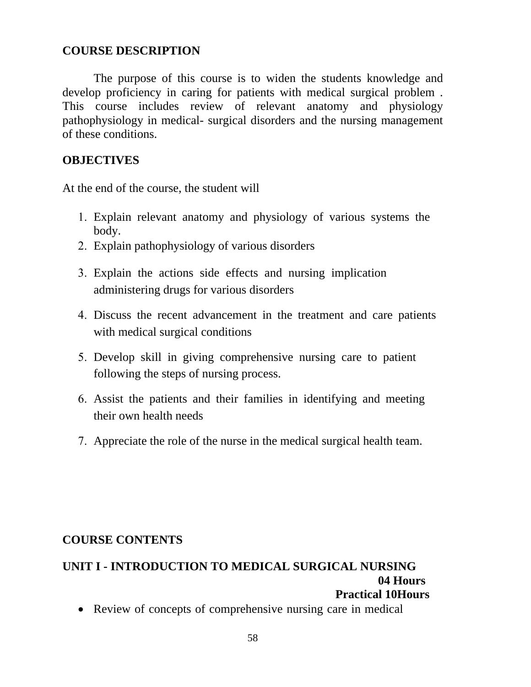#### **COURSE DESCRIPTION**

The purpose of this course is to widen the students knowledge and develop proficiency in caring for patients with medical surgical problem . This course includes review of relevant anatomy and physiology pathophysiology in medical- surgical disorders and the nursing management of these conditions.

#### **OBJECTIVES**

At the end of the course, the student will

- 1. Explain relevant anatomy and physiology of various systems the body.
- 2. Explain pathophysiology of various disorders
- 3. Explain the actions side effects and nursing implication administering drugs for various disorders
- 4. Discuss the recent advancement in the treatment and care patients with medical surgical conditions
- 5. Develop skill in giving comprehensive nursing care to patient following the steps of nursing process.
- 6. Assist the patients and their families in identifying and meeting their own health needs
- 7. Appreciate the role of the nurse in the medical surgical health team.

#### **COURSE CONTENTS**

#### **UNIT I - INTRODUCTION TO MEDICAL SURGICAL NURSING 04 Hours Practical 10Hours**

• Review of concepts of comprehensive nursing care in medical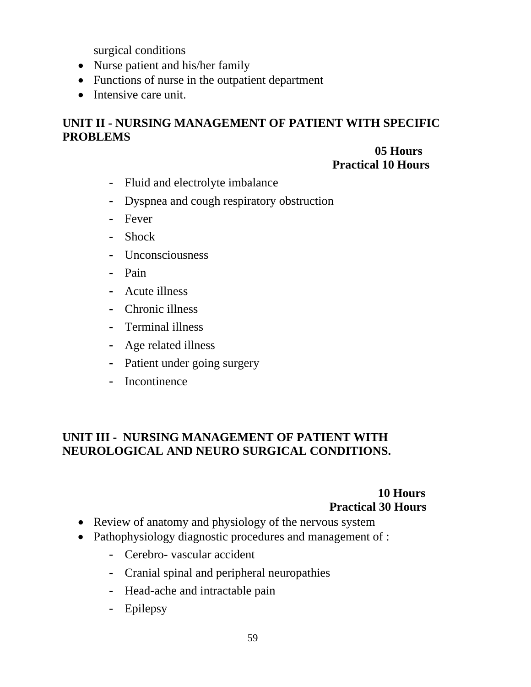surgical conditions

- Nurse patient and his/her family
- Functions of nurse in the outpatient department
- Intensive care unit.

### **UNIT II - NURSING MANAGEMENT OF PATIENT WITH SPECIFIC PROBLEMS**

#### **05 Hours Practical 10 Hours**

- Fluid and electrolyte imbalance
- Dyspnea and cough respiratory obstruction
- Fever
- Shock
- Unconsciousness
- Pain
- Acute illness
- Chronic illness
- Terminal illness
- Age related illness
- Patient under going surgery
- Incontinence

### **UNIT III - NURSING MANAGEMENT OF PATIENT WITH NEUROLOGICAL AND NEURO SURGICAL CONDITIONS.**

### **10 Hours Practical 30 Hours**

- Review of anatomy and physiology of the nervous system
- Pathophysiology diagnostic procedures and management of :
	- Cerebro- vascular accident
	- Cranial spinal and peripheral neuropathies
	- Head-ache and intractable pain
	- Epilepsy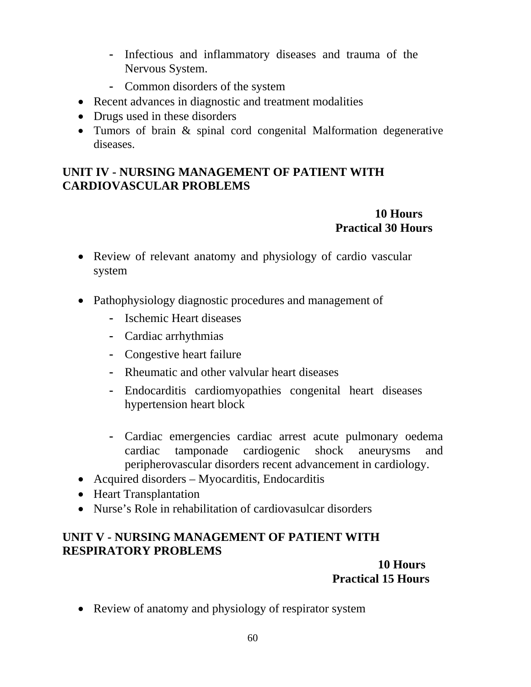- Infectious and inflammatory diseases and trauma of the Nervous System.
- Common disorders of the system
- Recent advances in diagnostic and treatment modalities
- Drugs used in these disorders
- Tumors of brain & spinal cord congenital Malformation degenerative diseases.

### **UNIT IV - NURSING MANAGEMENT OF PATIENT WITH CARDIOVASCULAR PROBLEMS**

### **10 Hours Practical 30 Hours**

- Review of relevant anatomy and physiology of cardio vascular system
- Pathophysiology diagnostic procedures and management of
	- Ischemic Heart diseases
	- Cardiac arrhythmias
	- Congestive heart failure
	- Rheumatic and other valvular heart diseases
	- Endocarditis cardiomyopathies congenital heart diseases hypertension heart block
	- Cardiac emergencies cardiac arrest acute pulmonary oedema cardiac tamponade cardiogenic shock aneurysms and peripherovascular disorders recent advancement in cardiology.
- Acquired disorders Myocarditis, Endocarditis
- Heart Transplantation
- Nurse's Role in rehabilitation of cardiovasulcar disorders

### **UNIT V - NURSING MANAGEMENT OF PATIENT WITH RESPIRATORY PROBLEMS**

### **10 Hours Practical 15 Hours**

• Review of anatomy and physiology of respirator system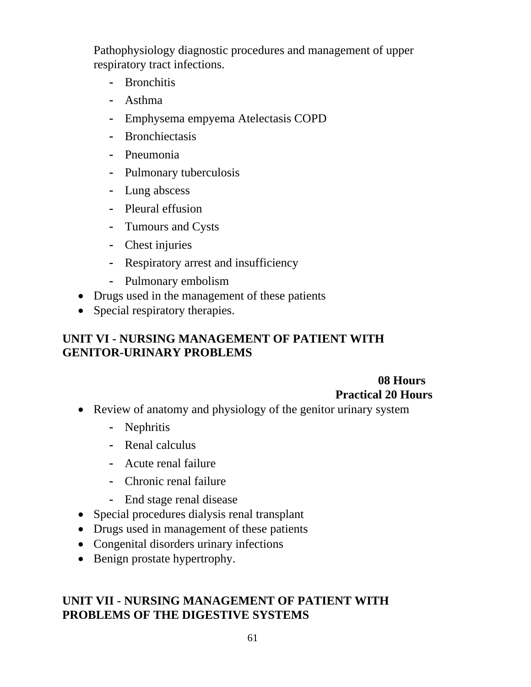Pathophysiology diagnostic procedures and management of upper respiratory tract infections.

- Bronchitis
- Asthma
- Emphysema empyema Atelectasis COPD
- Bronchiectasis
- Pneumonia
- Pulmonary tuberculosis
- Lung abscess
- Pleural effusion
- Tumours and Cysts
- Chest injuries
- Respiratory arrest and insufficiency
- Pulmonary embolism
- Drugs used in the management of these patients
- Special respiratory therapies.

### **UNIT VI - NURSING MANAGEMENT OF PATIENT WITH GENITOR-URINARY PROBLEMS**

### **08 Hours Practical 20 Hours**

- Review of anatomy and physiology of the genitor urinary system
	- Nephritis
	- Renal calculus
	- Acute renal failure
	- Chronic renal failure
	- End stage renal disease
- Special procedures dialysis renal transplant
- Drugs used in management of these patients
- Congenital disorders urinary infections
- Benign prostate hypertrophy.

#### **UNIT VII - NURSING MANAGEMENT OF PATIENT WITH PROBLEMS OF THE DIGESTIVE SYSTEMS**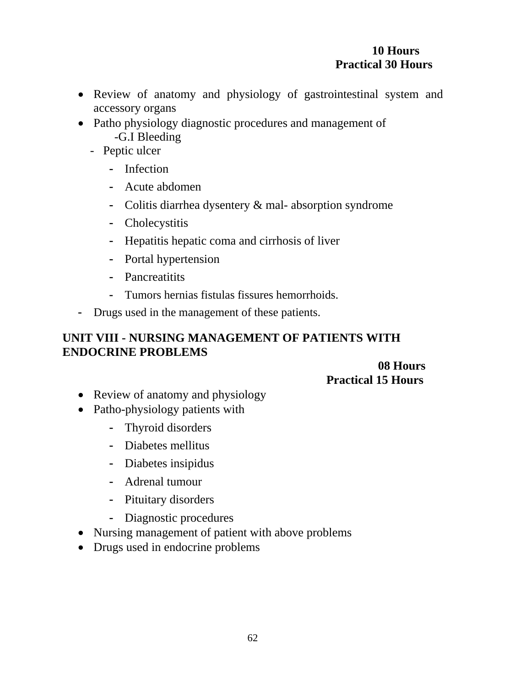#### **10 Hours Practical 30 Hours**

- Review of anatomy and physiology of gastrointestinal system and accessory organs
- Patho physiology diagnostic procedures and management of -G.I Bleeding
	- Peptic ulcer
		- Infection
		- Acute abdomen
		- Colitis diarrhea dysentery & mal- absorption syndrome
		- Cholecystitis
		- Hepatitis hepatic coma and cirrhosis of liver
		- Portal hypertension
		- Pancreatitits
		- Tumors hernias fistulas fissures hemorrhoids.
- Drugs used in the management of these patients.

### **UNIT VIII - NURSING MANAGEMENT OF PATIENTS WITH ENDOCRINE PROBLEMS**

### **08 Hours Practical 15 Hours**

- Review of anatomy and physiology
- Patho-physiology patients with
	- Thyroid disorders
	- Diabetes mellitus
	- Diabetes insipidus
	- Adrenal tumour
	- Pituitary disorders
	- Diagnostic procedures
- Nursing management of patient with above problems
- Drugs used in endocrine problems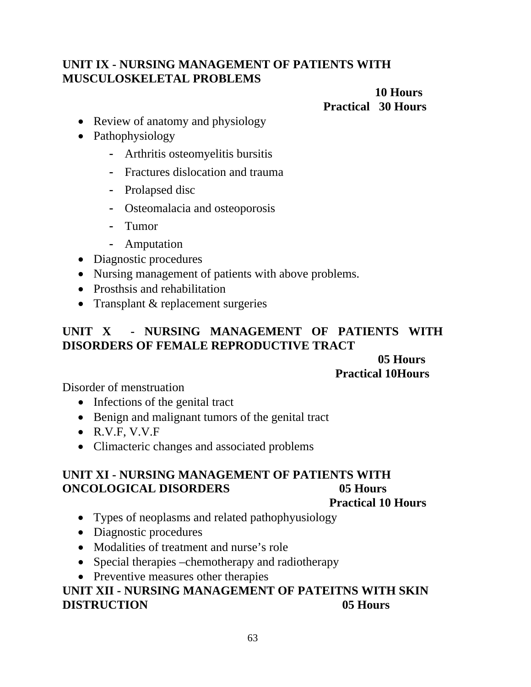### **UNIT IX - NURSING MANAGEMENT OF PATIENTS WITH MUSCULOSKELETAL PROBLEMS**

### **10 Hours Practical 30 Hours**

- Review of anatomy and physiology
- Pathophysiology
	- Arthritis osteomyelitis bursitis
	- Fractures dislocation and trauma
	- Prolapsed disc
	- Osteomalacia and osteoporosis
	- Tumor
	- Amputation
- Diagnostic procedures
- Nursing management of patients with above problems.
- Prosthsis and rehabilitation
- Transplant & replacement surgeries

#### **UNIT X - NURSING MANAGEMENT OF PATIENTS WITH DISORDERS OF FEMALE REPRODUCTIVE TRACT**

#### **05 Hours Practical 10Hours**

Disorder of menstruation

- Infections of the genital tract
- Benign and malignant tumors of the genital tract
- R.V.F, V.V.F
- Climacteric changes and associated problems

### **UNIT XI - NURSING MANAGEMENT OF PATIENTS WITH ONCOLOGICAL DISORDERS 05 Hours**

#### **Practical 10 Hours**

- Types of neoplasms and related pathophyusiology
- Diagnostic procedures
- Modalities of treatment and nurse's role
- Special therapies –chemotherapy and radiotherapy
- Preventive measures other therapies

### **UNIT XII - NURSING MANAGEMENT OF PATEITNS WITH SKIN DISTRUCTION 05 Hours**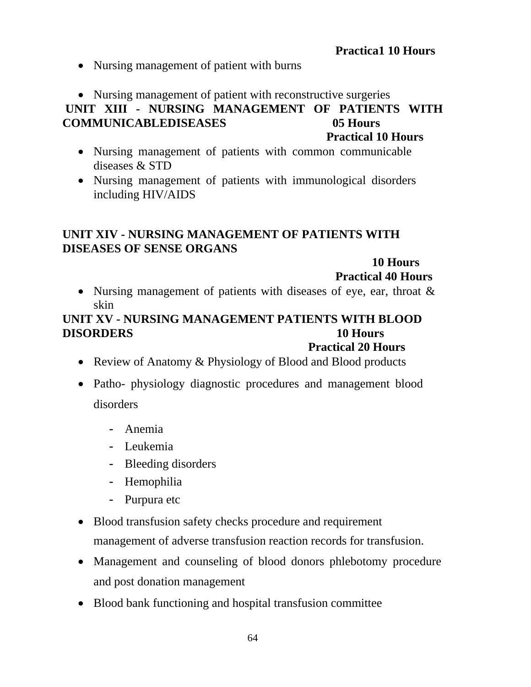#### **Practica1 10 Hours**

- Nursing management of patient with burns
- Nursing management of patient with reconstructive surgeries

## **UNIT XIII - NURSING MANAGEMENT OF PATIENTS WITH COMMUNICABLEDISEASES 05 Hours**

 **Practical 10 Hours** 

- Nursing management of patients with common communicable diseases & STD
- Nursing management of patients with immunological disorders including HIV/AIDS

#### **UNIT XIV - NURSING MANAGEMENT OF PATIENTS WITH DISEASES OF SENSE ORGANS**

 **10 Hours** 

 **Practical 40 Hours** 

• Nursing management of patients with diseases of eye, ear, throat  $\&$ skin

### **UNIT XV - NURSING MANAGEMENT PATIENTS WITH BLOOD DISORDERS 10 Hours**

#### **Practical 20 Hours**

- Review of Anatomy & Physiology of Blood and Blood products
- Patho- physiology diagnostic procedures and management blood disorders
	- Anemia
	- Leukemia
	- Bleeding disorders
	- Hemophilia
	- Purpura etc
- Blood transfusion safety checks procedure and requirement management of adverse transfusion reaction records for transfusion.
- Management and counseling of blood donors phlebotomy procedure and post donation management
- Blood bank functioning and hospital transfusion committee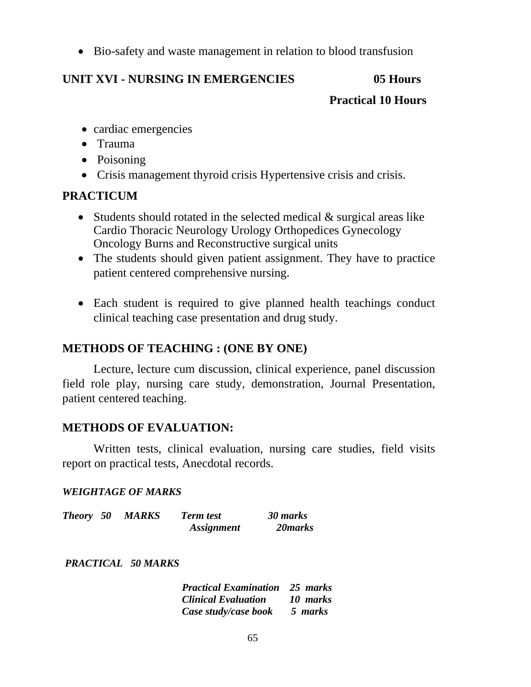• Bio-safety and waste management in relation to blood transfusion

### **UNIT XVI - NURSING IN EMERGENCIES 05 Hours**

#### **Practical 10 Hours**

- cardiac emergencies
- Trauma
- Poisoning
- Crisis management thyroid crisis Hypertensive crisis and crisis.

#### **PRACTICUM**

- Students should rotated in the selected medical & surgical areas like Cardio Thoracic Neurology Urology Orthopedices Gynecology Oncology Burns and Reconstructive surgical units
- The students should given patient assignment. They have to practice patient centered comprehensive nursing.
- Each student is required to give planned health teachings conduct clinical teaching case presentation and drug study.

### **METHODS OF TEACHING : (ONE BY ONE)**

Lecture, lecture cum discussion, clinical experience, panel discussion field role play, nursing care study, demonstration, Journal Presentation, patient centered teaching.

### **METHODS OF EVALUATION:**

 Written tests, clinical evaluation, nursing care studies, field visits report on practical tests, Anecdotal records.

#### *WEIGHTAGE OF MARKS*

| <b>Theory</b> 50 | <b>MARKS</b> | <b>Term test</b>         | 30 marks |
|------------------|--------------|--------------------------|----------|
|                  |              | <i><b>Assignment</b></i> | 20 marks |

 *PRACTICAL 50 MARKS* 

| <b>Practical Examination</b> 25 marks |          |
|---------------------------------------|----------|
| <b>Clinical Evaluation</b>            | 10 marks |
| Case study/case book                  | 5 marks  |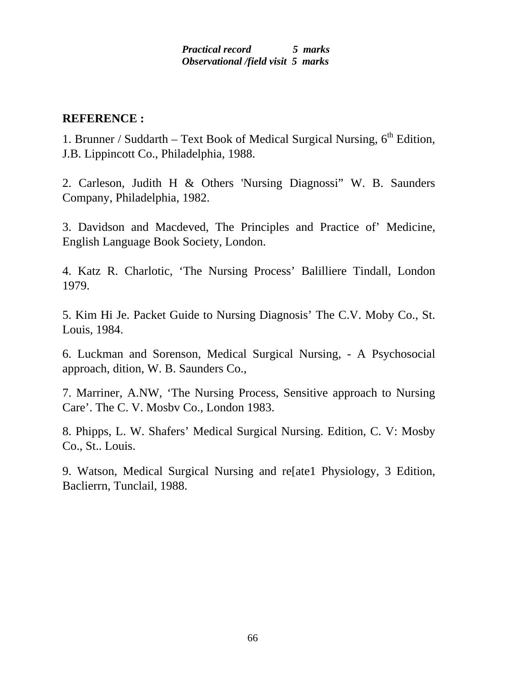#### *Practical record 5 marks Observational /field visit 5 marks*

#### **REFERENCE :**

1. Brunner / Suddarth – Text Book of Medical Surgical Nursing,  $6<sup>th</sup>$  Edition, J.B. Lippincott Co., Philadelphia, 1988.

2. Carleson, Judith H & Others 'Nursing Diagnossi" W. B. Saunders Company, Philadelphia, 1982.

3. Davidson and Macdeved, The Principles and Practice of' Medicine, English Language Book Society, London.

4. Katz R. Charlotic, 'The Nursing Process' Balilliere Tindall, London 1979.

5. Kim Hi Je. Packet Guide to Nursing Diagnosis' The C.V. Moby Co., St. Louis, 1984.

6. Luckman and Sorenson, Medical Surgical Nursing, - A Psychosocial approach, dition, W. B. Saunders Co.,

7. Marriner, A.NW, 'The Nursing Process, Sensitive approach to Nursing Care'. The C. V. Mosbv Co., London 1983.

8. Phipps, L. W. Shafers' Medical Surgical Nursing. Edition, C. V: Mosby Co., St.. Louis.

9. Watson, Medical Surgical Nursing and re[ate1 Physiology, 3 Edition, Baclierrn, Tunclail, 1988.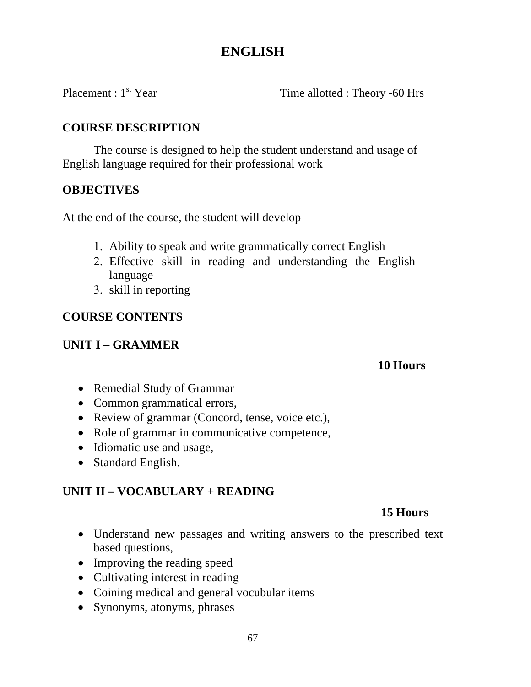### **ENGLISH**

Placement : 1<sup>st</sup> Year Time allotted : Theory -60 Hrs

### **COURSE DESCRIPTION**

The course is designed to help the student understand and usage of English language required for their professional work

### **OBJECTIVES**

At the end of the course, the student will develop

- 1. Ability to speak and write grammatically correct English
- 2. Effective skill in reading and understanding the English language
- 3. skill in reporting

### **COURSE CONTENTS**

### **UNIT I – GRAMMER**

#### **10 Hours**

- Remedial Study of Grammar
- Common grammatical errors,
- Review of grammar (Concord, tense, voice etc.),
- Role of grammar in communicative competence,
- Idiomatic use and usage,
- Standard English.

### **UNIT II – VOCABULARY + READING**

### **15 Hours**

- Understand new passages and writing answers to the prescribed text based questions,
- Improving the reading speed
- Cultivating interest in reading
- Coining medical and general vocubular items
- Synonyms, atonyms, phrases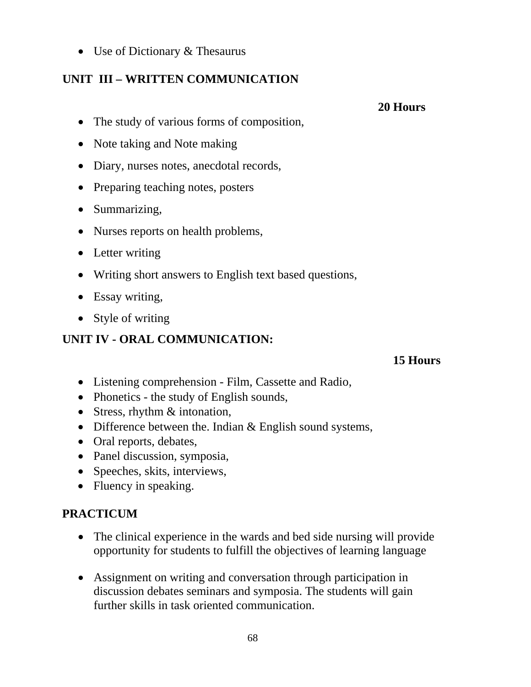• Use of Dictionary & Thesaurus

### **UNIT III – WRITTEN COMMUNICATION**

- The study of various forms of composition,
- Note taking and Note making
- Diary, nurses notes, anecdotal records,
- Preparing teaching notes, posters
- Summarizing,
- Nurses reports on health problems,
- Letter writing
- Writing short answers to English text based questions,
- Essay writing,
- Style of writing

### **UNIT IV - ORAL COMMUNICATION:**

#### **15 Hours**

- Listening comprehension Film, Cassette and Radio,
- Phonetics the study of English sounds,
- Stress, rhythm & intonation,
- Difference between the. Indian & English sound systems,
- Oral reports, debates,
- Panel discussion, symposia,
- Speeches, skits, interviews,
- Fluency in speaking.

### **PRACTICUM**

- The clinical experience in the wards and bed side nursing will provide opportunity for students to fulfill the objectives of learning language
- Assignment on writing and conversation through participation in discussion debates seminars and symposia. The students will gain further skills in task oriented communication.

 **20 Hours**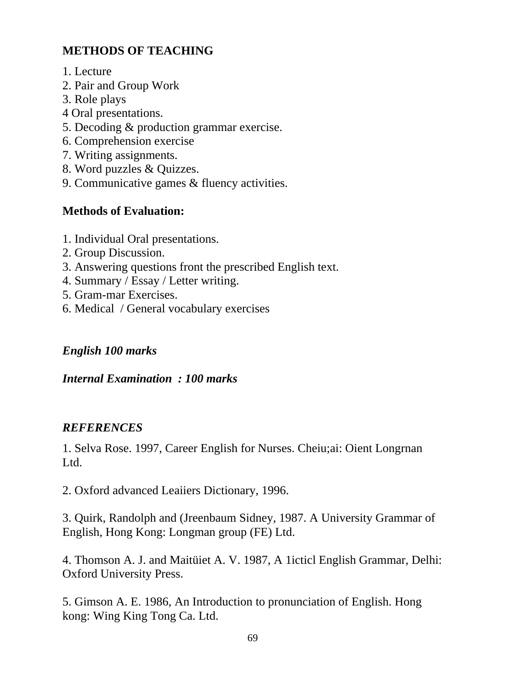### **METHODS OF TEACHING**

- 1. Lecture
- 2. Pair and Group Work
- 3. Role plays
- 4 Oral presentations.
- 5. Decoding & production grammar exercise.
- 6. Comprehension exercise
- 7. Writing assignments.
- 8. Word puzzles & Quizzes.
- 9. Communicative games & fluency activities.

### **Methods of Evaluation:**

- 1. Individual Oral presentations.
- 2. Group Discussion.
- 3. Answering questions front the prescribed English text.
- 4. Summary / Essay / Letter writing.
- 5. Gram-mar Exercises.
- 6. Medical / General vocabulary exercises

### *English 100 marks*

### *Internal Examination : 100 marks*

### *REFERENCES*

1. Selva Rose. 1997, Career English for Nurses. Cheiu;ai: Oient Longrnan Ltd.

2. Oxford advanced Leaiiers Dictionary, 1996.

3. Quirk, Randolph and (Jreenbaum Sidney, 1987. A University Grammar of English, Hong Kong: Longman group (FE) Ltd.

4. Thomson A. J. and Maitüiet A. V. 1987, A 1icticl English Grammar, Delhi: Oxford University Press.

5. Gimson A. E. 1986, An Introduction to pronunciation of English. Hong kong: Wing King Tong Ca. Ltd.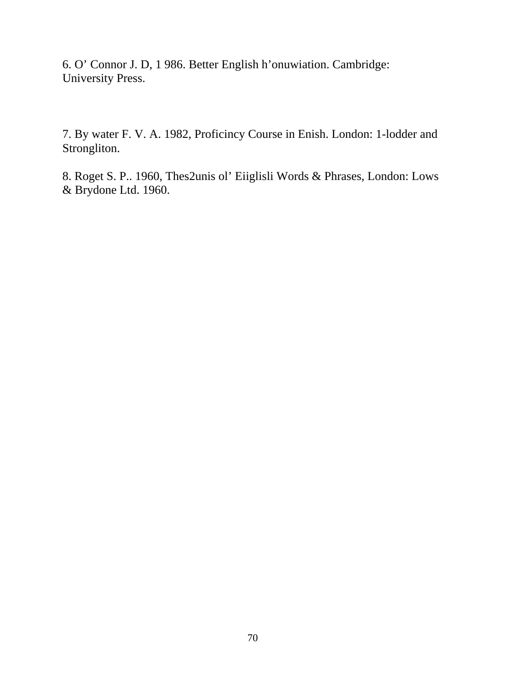6. O' Connor J. D, 1 986. Better English h'onuwiation. Cambridge: University Press.

7. By water F. V. A. 1982, Proficincy Course in Enish. London: 1-lodder and Strongliton.

8. Roget S. P.. 1960, Thes2unis ol' Eiiglisli Words & Phrases, London: Lows & Brydone Ltd. 1960.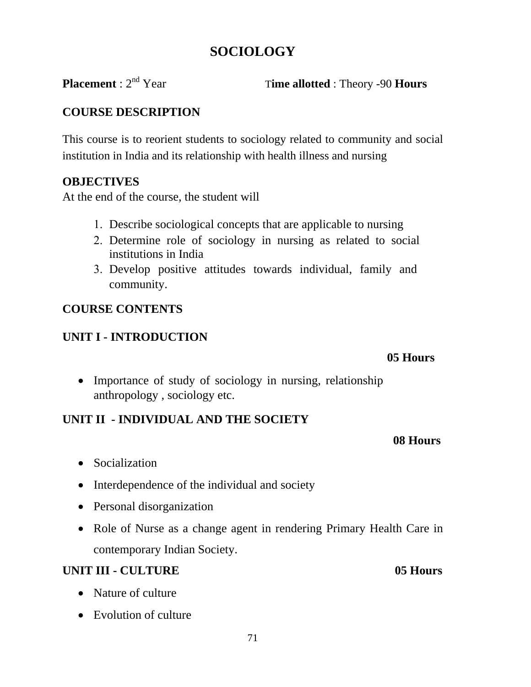### **SOCIOLOGY**

**Placement** :  $2^{nd}$  Year Time allotted : Theory -90 **Hours** 

### **COURSE DESCRIPTION**

This course is to reorient students to sociology related to community and social institution in India and its relationship with health illness and nursing

### **OBJECTIVES**

At the end of the course, the student will

- 1. Describe sociological concepts that are applicable to nursing
- 2. Determine role of sociology in nursing as related to social institutions in India
- 3. Develop positive attitudes towards individual, family and community.

### **COURSE CONTENTS**

### **UNIT I - INTRODUCTION**

#### **05 Hours**

• Importance of study of sociology in nursing, relationship anthropology , sociology etc.

### **UNIT II - INDIVIDUAL AND THE SOCIETY**

- Socialization
- Interdependence of the individual and society
- Personal disorganization
- Role of Nurse as a change agent in rendering Primary Health Care in contemporary Indian Society.

 **08 Hours** 

### **UNIT III - CULTURE** 05 Hours

- Nature of culture
- Evolution of culture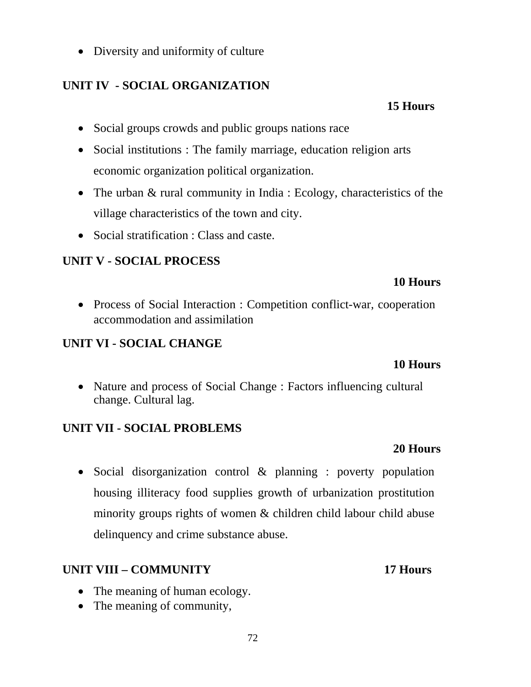• Diversity and uniformity of culture

### **UNIT IV - SOCIAL ORGANIZATION**

### **15 Hours**

- Social groups crowds and public groups nations race
- Social institutions : The family marriage, education religion arts economic organization political organization.
- The urban & rural community in India : Ecology, characteristics of the village characteristics of the town and city.
- Social stratification : Class and caste.

### **UNIT V - SOCIAL PROCESS**

#### **10 Hours**

• Process of Social Interaction : Competition conflict-war, cooperation accommodation and assimilation

### **UNIT VI - SOCIAL CHANGE**

### **10 Hours**

• Nature and process of Social Change : Factors influencing cultural change. Cultural lag.

### **UNIT VII - SOCIAL PROBLEMS**

### **20 Hours**

• Social disorganization control & planning : poverty population housing illiteracy food supplies growth of urbanization prostitution minority groups rights of women & children child labour child abuse delinquency and crime substance abuse.

### **UNIT VIII – COMMUNITY 17 Hours**

- The meaning of human ecology.
- The meaning of community,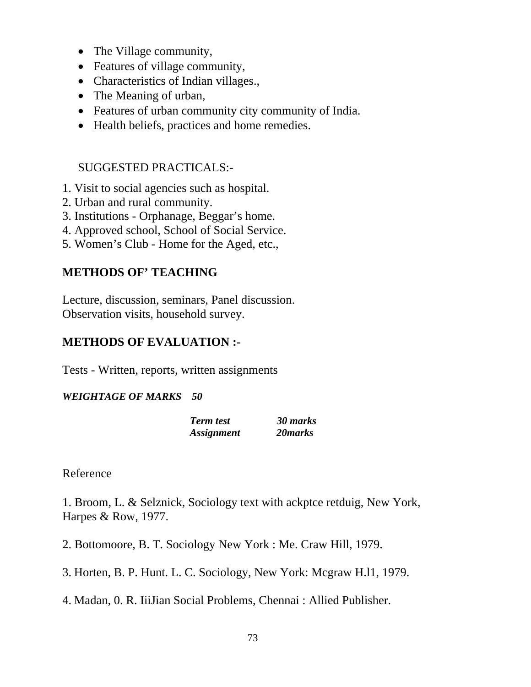- The Village community,
- Features of village community,
- Characteristics of Indian villages.,
- The Meaning of urban,
- Features of urban community city community of India.
- Health beliefs, practices and home remedies.

### SUGGESTED PRACTICALS:-

- 1. Visit to social agencies such as hospital.
- 2. Urban and rural community.
- 3. Institutions Orphanage, Beggar's home.
- 4. Approved school, School of Social Service.
- 5. Women's Club Home for the Aged, etc.,

### **METHODS OF' TEACHING**

Lecture, discussion, seminars, Panel discussion. Observation visits, household survey.

# **METHODS OF EVALUATION :-**

Tests - Written, reports, written assignments

#### *WEIGHTAGE OF MARKS 50*

| <b>Term</b> test         | 30 marks |
|--------------------------|----------|
| <i><b>Assignment</b></i> | 20 marks |

Reference

1. Broom, L. & Selznick, Sociology text with ackptce retduig, New York, Harpes & Row, 1977.

2. Bottomoore, B. T. Sociology New York : Me. Craw Hill, 1979.

3. Horten, B. P. Hunt. L. C. Sociology, New York: Mcgraw H.l1, 1979.

4. Madan, 0. R. IiiJian Social Problems, Chennai : Allied Publisher.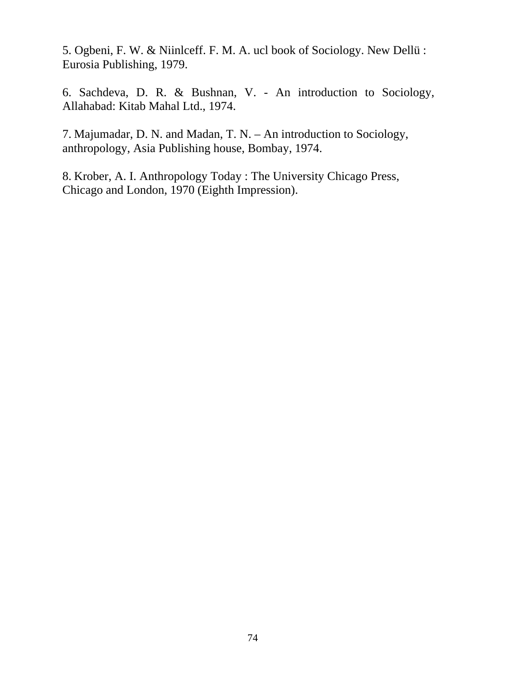5. Ogbeni, F. W. & Niinlceff. F. M. A. ucl book of Sociology. New Dellü : Eurosia Publishing, 1979.

6. Sachdeva, D. R. & Bushnan, V. - An introduction to Sociology, Allahabad: Kitab Mahal Ltd., 1974.

7. Majumadar, D. N. and Madan, T. N. – An introduction to Sociology, anthropology, Asia Publishing house, Bombay, 1974.

8. Krober, A. I. Anthropology Today : The University Chicago Press, Chicago and London, 1970 (Eighth Impression).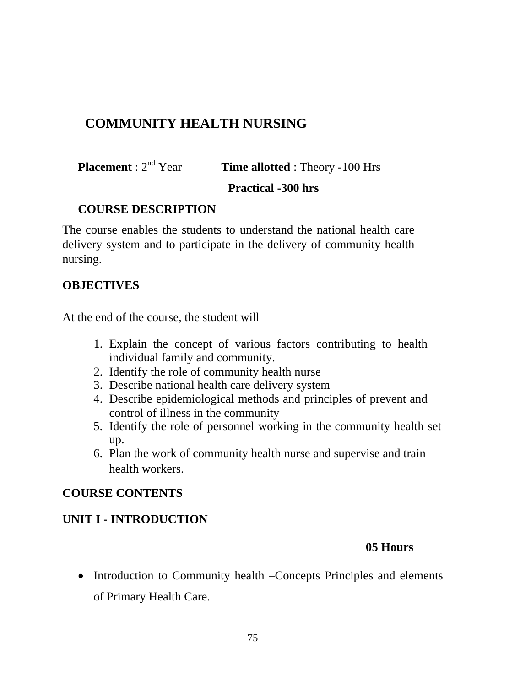# **COMMUNITY HEALTH NURSING**

**Placement** :  $2^{nd}$  Year **Time allotted** : Theory -100 Hrs

#### **Practical -300 hrs**

### **COURSE DESCRIPTION**

The course enables the students to understand the national health care delivery system and to participate in the delivery of community health nursing.

### **OBJECTIVES**

At the end of the course, the student will

- 1. Explain the concept of various factors contributing to health individual family and community.
- 2. Identify the role of community health nurse
- 3. Describe national health care delivery system
- 4. Describe epidemiological methods and principles of prevent and control of illness in the community
- 5. Identify the role of personnel working in the community health set up.
- 6. Plan the work of community health nurse and supervise and train health workers.

### **COURSE CONTENTS**

# **UNIT I - INTRODUCTION**

### **05 Hours**

• Introduction to Community health –Concepts Principles and elements of Primary Health Care.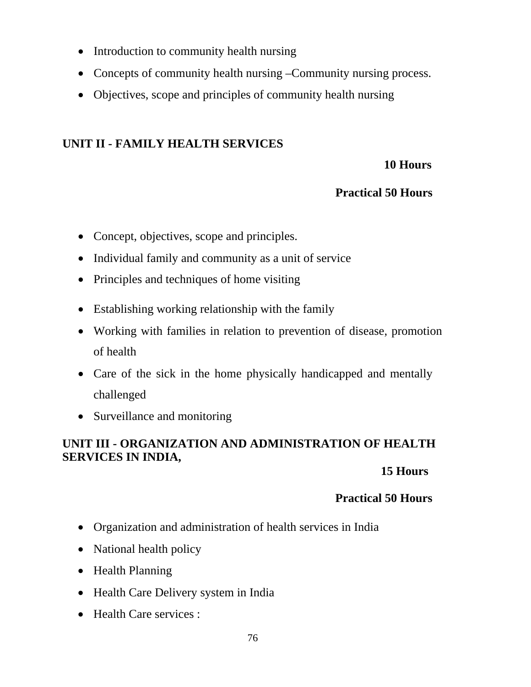- Introduction to community health nursing
- Concepts of community health nursing –Community nursing process.
- Objectives, scope and principles of community health nursing

# **UNIT II - FAMILY HEALTH SERVICES**

### **10 Hours**

### **Practical 50 Hours**

- Concept, objectives, scope and principles.
- Individual family and community as a unit of service
- Principles and techniques of home visiting
- Establishing working relationship with the family
- Working with families in relation to prevention of disease, promotion of health
- Care of the sick in the home physically handicapped and mentally challenged
- Surveillance and monitoring

# **UNIT III - ORGANIZATION AND ADMINISTRATION OF HEALTH SERVICES IN INDIA,**

### **15 Hours**

- Organization and administration of health services in India
- National health policy
- Health Planning
- Health Care Delivery system in India
- Health Care services :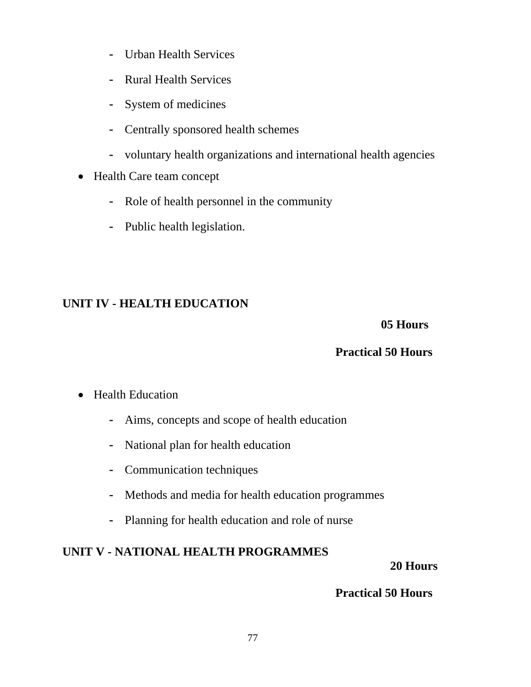- Urban Health Services
- Rural Health Services
- System of medicines
- Centrally sponsored health schemes
- voluntary health organizations and international health agencies
- Health Care team concept
	- Role of health personnel in the community
	- Public health legislation.

# **UNIT IV - HEALTH EDUCATION**

### **05 Hours**

# **Practical 50 Hours**

### • Health Education

- Aims, concepts and scope of health education
- National plan for health education
- Communication techniques
- Methods and media for health education programmes
- Planning for health education and role of nurse

# **UNIT V - NATIONAL HEALTH PROGRAMMES**

### **20 Hours**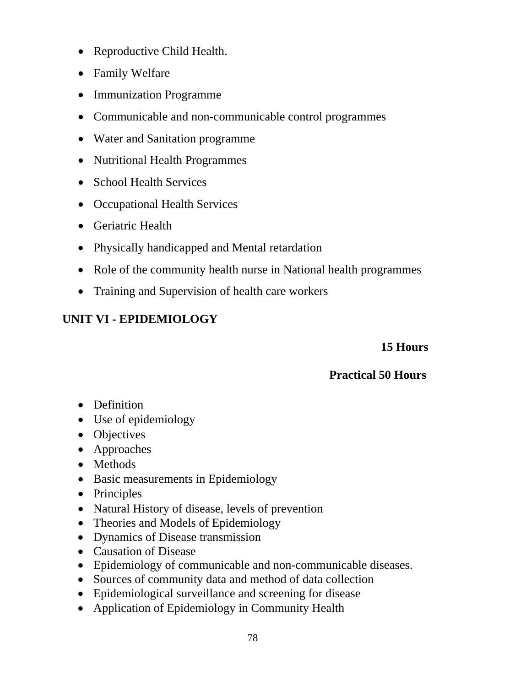- Reproductive Child Health.
- Family Welfare
- Immunization Programme
- Communicable and non-communicable control programmes
- Water and Sanitation programme
- Nutritional Health Programmes
- School Health Services
- Occupational Health Services
- Geriatric Health
- Physically handicapped and Mental retardation
- Role of the community health nurse in National health programmes
- Training and Supervision of health care workers

# **UNIT VI - EPIDEMIOLOGY**

### **15 Hours**

- Definition
- Use of epidemiology
- Objectives
- Approaches
- Methods
- Basic measurements in Epidemiology
- Principles
- Natural History of disease, levels of prevention
- Theories and Models of Epidemiology
- Dynamics of Disease transmission
- Causation of Disease
- Epidemiology of communicable and non-communicable diseases.
- Sources of community data and method of data collection
- Epidemiological surveillance and screening for disease
- Application of Epidemiology in Community Health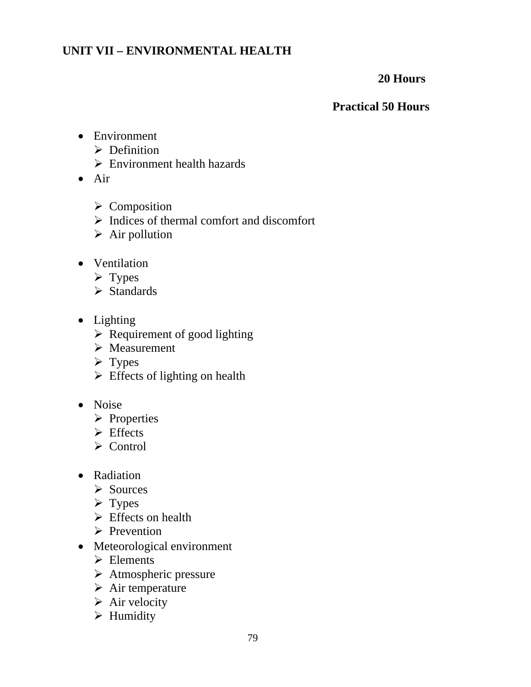### **UNIT VII – ENVIRONMENTAL HEALTH**

#### **20 Hours**

- Environment
	- $\triangleright$  Definition
	- $\triangleright$  Environment health hazards
- Air
	- $\triangleright$  Composition
	- $\triangleright$  Indices of thermal comfort and discomfort
	- $\triangleright$  Air pollution
- Ventilation
	- $\triangleright$  Types
	- $\triangleright$  Standards
- Lighting
	- $\triangleright$  Requirement of good lighting
	- $\triangleright$  Measurement
	- $\triangleright$  Types
	- $\triangleright$  Effects of lighting on health
- Noise
	- ¾ Properties
	- $\triangleright$  Effects
	- $\triangleright$  Control
- Radiation
	- ¾ Sources
	- $\triangleright$  Types
	- $\triangleright$  Effects on health
	- $\triangleright$  Prevention
- Meteorological environment
	- $\triangleright$  Elements
	- $\triangleright$  Atmospheric pressure
	- $\triangleright$  Air temperature
	- $\triangleright$  Air velocity
	- $\triangleright$  Humidity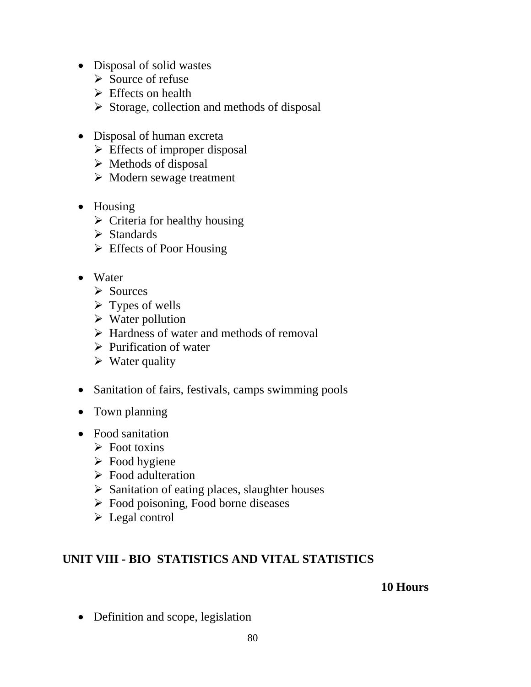- Disposal of solid wastes
	- $\triangleright$  Source of refuse
	- $\triangleright$  Effects on health
	- $\triangleright$  Storage, collection and methods of disposal
- Disposal of human excreta
	- $\triangleright$  Effects of improper disposal
	- $\triangleright$  Methods of disposal
	- $\triangleright$  Modern sewage treatment
- Housing
	- $\triangleright$  Criteria for healthy housing
	- $\triangleright$  Standards
	- $\triangleright$  Effects of Poor Housing
- Water
	- $\triangleright$  Sources
	- $\triangleright$  Types of wells
	- $\triangleright$  Water pollution
	- $\triangleright$  Hardness of water and methods of removal
	- $\triangleright$  Purification of water
	- $\triangleright$  Water quality
- Sanitation of fairs, festivals, camps swimming pools
- Town planning
- Food sanitation
	- $\triangleright$  Foot toxins
	- $\triangleright$  Food hygiene
	- $\triangleright$  Food adulteration
	- $\triangleright$  Sanitation of eating places, slaughter houses
	- $\triangleright$  Food poisoning, Food borne diseases
	- $\triangleright$  Legal control

### **UNIT VIII - BIO STATISTICS AND VITAL STATISTICS**

#### **10 Hours**

• Definition and scope, legislation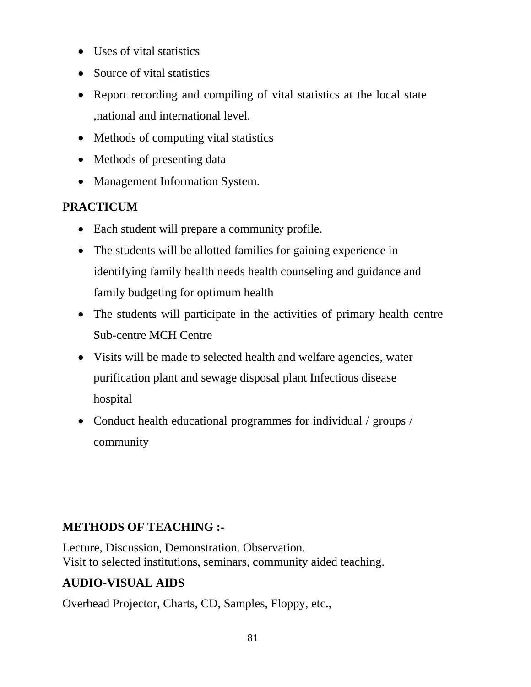- Uses of vital statistics
- Source of vital statistics
- Report recording and compiling of vital statistics at the local state ,national and international level.
- Methods of computing vital statistics
- Methods of presenting data
- Management Information System.

# **PRACTICUM**

- Each student will prepare a community profile.
- The students will be allotted families for gaining experience in identifying family health needs health counseling and guidance and family budgeting for optimum health
- The students will participate in the activities of primary health centre Sub-centre MCH Centre
- Visits will be made to selected health and welfare agencies, water purification plant and sewage disposal plant Infectious disease hospital
- Conduct health educational programmes for individual / groups / community

# **METHODS OF TEACHING :-**

Lecture, Discussion, Demonstration. Observation. Visit to selected institutions, seminars, community aided teaching.

# **AUDIO-VISUAL AIDS**

Overhead Projector, Charts, CD, Samples, Floppy, etc.,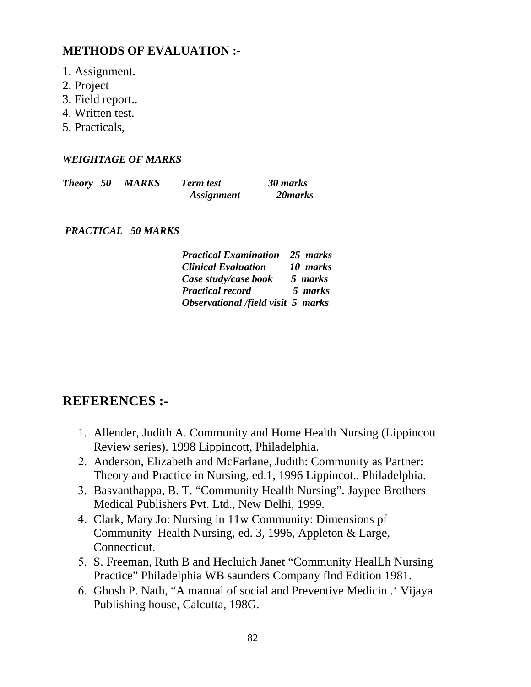### **METHODS OF EVALUATION :-**

- 1. Assignment.
- 2. Project
- 3. Field report..
- 4. Written test.
- 5. Practicals,

#### *WEIGHTAGE OF MARKS*

| <b>Theory</b> 50 | <b>MARKS</b> | <b>Term test</b>         | 30 marks |
|------------------|--------------|--------------------------|----------|
|                  |              | <i><b>Assignment</b></i> | 20 marks |

 *PRACTICAL 50 MARKS* 

| <b>Practical Examination</b> 25 marks |          |
|---------------------------------------|----------|
| <b>Clinical Evaluation</b>            | 10 marks |
| Case study/case book                  | 5 marks  |
| <b>Practical record</b>               | 5 marks  |
| Observational /field visit 5 marks    |          |

# **REFERENCES :-**

- 1. Allender, Judith A. Community and Home Health Nursing (Lippincott Review series). 1998 Lippincott, Philadelphia.
- 2. Anderson, Elizabeth and McFarlane, Judith: Community as Partner: Theory and Practice in Nursing, ed.1, 1996 Lippincot.. Philadelphia.
- 3. Basvanthappa, B. T. "Community Health Nursing". Jaypee Brothers Medical Publishers Pvt. Ltd., New Delhi, 1999.
- 4. Clark, Mary Jo: Nursing in 11w Community: Dimensions pf Community Health Nursing, ed. 3, 1996, Appleton & Large, Connecticut.
- 5. S. Freeman, Ruth B and Hecluich Janet "Community HealLh Nursing Practice" Philadelphia WB saunders Company flnd Edition 1981.
- 6. Ghosh P. Nath, "A manual of social and Preventive Medicin .' Vijaya Publishing house, Calcutta, 198G.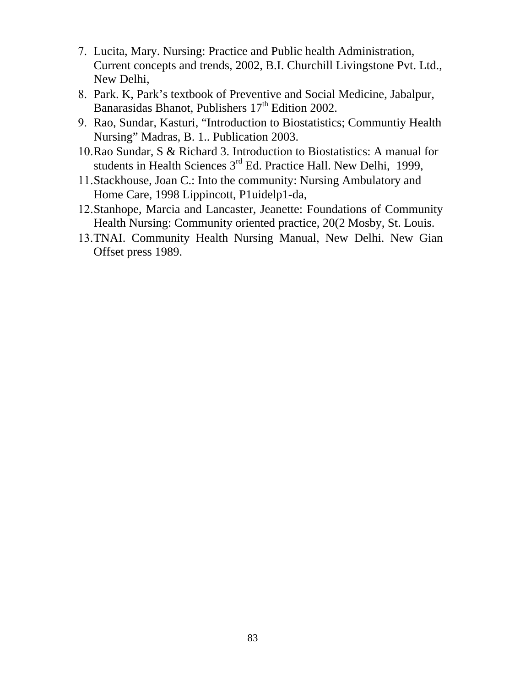- 7. Lucita, Mary. Nursing: Practice and Public health Administration, Current concepts and trends, 2002, B.I. Churchill Livingstone Pvt. Ltd., New Delhi,
- 8. Park. K, Park's textbook of Preventive and Social Medicine, Jabalpur, Banarasidas Bhanot, Publishers  $17<sup>th</sup>$  Edition 2002.
- 9. Rao, Sundar, Kasturi, "Introduction to Biostatistics; Communtiy Health Nursing" Madras, B. 1.. Publication 2003.
- 10.Rao Sundar, S & Richard 3. Introduction to Biostatistics: A manual for students in Health Sciences 3<sup>rd</sup> Ed. Practice Hall. New Delhi, 1999,
- 11.Stackhouse, Joan C.: Into the community: Nursing Ambulatory and Home Care, 1998 Lippincott, P1uidelp1-da,
- 12.Stanhope, Marcia and Lancaster, Jeanette: Foundations of Community Health Nursing: Community oriented practice, 20(2 Mosby, St. Louis.
- 13.TNAI. Community Health Nursing Manual, New Delhi. New Gian Offset press 1989.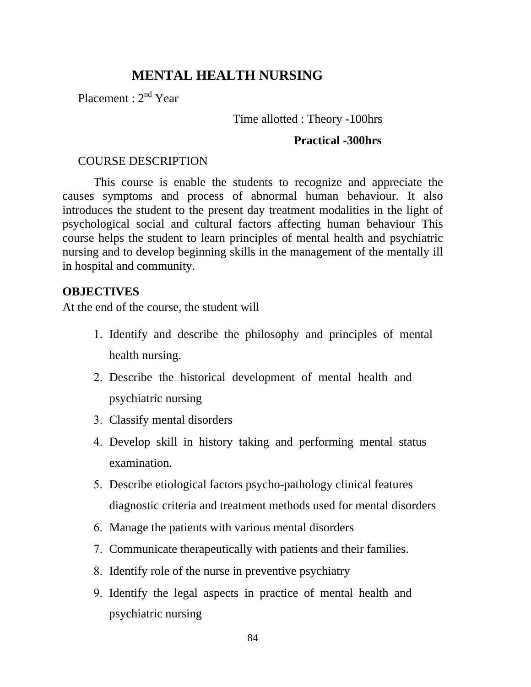# **MENTAL HEALTH NURSING**

Placement : 2<sup>nd</sup> Year

#### Time allotted : Theory -100hrs

#### **Practical -300hrs**

#### COURSE DESCRIPTION

This course is enable the students to recognize and appreciate the causes symptoms and process of abnormal human behaviour. It also introduces the student to the present day treatment modalities in the light of psychological social and cultural factors affecting human behaviour This course helps the student to learn principles of mental health and psychiatric nursing and to develop beginning skills in the management of the mentally ill in hospital and community.

#### **OBJECTIVES**

At the end of the course, the student will

- 1. Identify and describe the philosophy and principles of mental health nursing.
- 2. Describe the historical development of mental health and psychiatric nursing
- 3. Classify mental disorders
- 4. Develop skill in history taking and performing mental status examination.
- 5. Describe etiological factors psycho-pathology clinical features diagnostic criteria and treatment methods used for mental disorders
- 6. Manage the patients with various mental disorders
- 7. Communicate therapeutically with patients and their families.
- 8. Identify role of the nurse in preventive psychiatry
- 9. Identify the legal aspects in practice of mental health and psychiatric nursing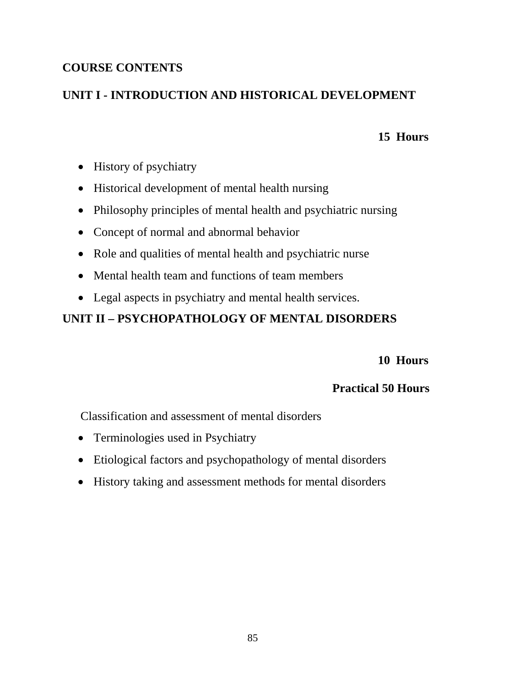### **COURSE CONTENTS**

### **UNIT I - INTRODUCTION AND HISTORICAL DEVELOPMENT**

### **15 Hours**

- History of psychiatry
- Historical development of mental health nursing
- Philosophy principles of mental health and psychiatric nursing
- Concept of normal and abnormal behavior
- Role and qualities of mental health and psychiatric nurse
- Mental health team and functions of team members
- Legal aspects in psychiatry and mental health services.

# **UNIT II – PSYCHOPATHOLOGY OF MENTAL DISORDERS**

 **10 Hours** 

### **Practical 50 Hours**

Classification and assessment of mental disorders

- Terminologies used in Psychiatry
- Etiological factors and psychopathology of mental disorders
- History taking and assessment methods for mental disorders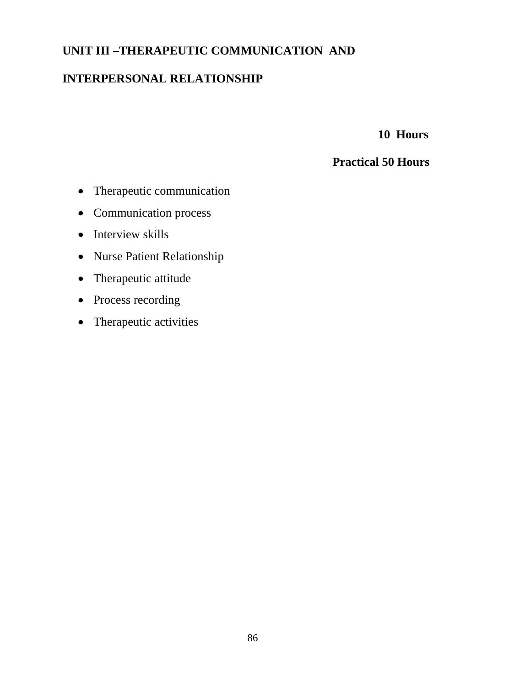### **UNIT III –THERAPEUTIC COMMUNICATION AND**

### **INTERPERSONAL RELATIONSHIP**

 **10 Hours** 

- Therapeutic communication
- Communication process
- Interview skills
- Nurse Patient Relationship
- Therapeutic attitude
- Process recording
- Therapeutic activities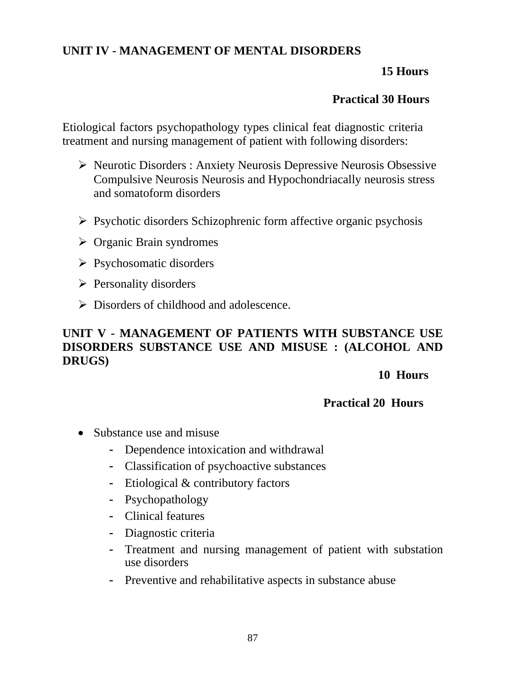### **UNIT IV - MANAGEMENT OF MENTAL DISORDERS**

### **15 Hours**

### **Practical 30 Hours**

Etiological factors psychopathology types clinical feat diagnostic criteria treatment and nursing management of patient with following disorders:

- ¾ Neurotic Disorders : Anxiety Neurosis Depressive Neurosis Obsessive Compulsive Neurosis Neurosis and Hypochondriacally neurosis stress and somatoform disorders
- $\triangleright$  Psychotic disorders Schizophrenic form affective organic psychosis
- $\triangleright$  Organic Brain syndromes
- $\triangleright$  Psychosomatic disorders
- $\triangleright$  Personality disorders
- ¾ Disorders of childhood and adolescence.

### **UNIT V - MANAGEMENT OF PATIENTS WITH SUBSTANCE USE DISORDERS SUBSTANCE USE AND MISUSE : (ALCOHOL AND DRUGS)**

#### **10 Hours**

- Substance use and misuse
	- Dependence intoxication and withdrawal
	- Classification of psychoactive substances
	- Etiological & contributory factors
	- Psychopathology
	- Clinical features
	- Diagnostic criteria
	- Treatment and nursing management of patient with substation use disorders
	- Preventive and rehabilitative aspects in substance abuse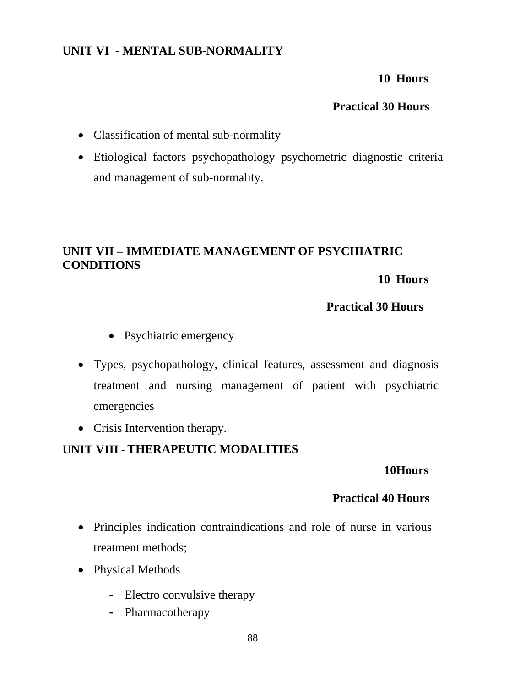### **UNIT VI - MENTAL SUB-NORMALITY**

#### **10 Hours**

### **Practical 30 Hours**

- Classification of mental sub-normality
- Etiological factors psychopathology psychometric diagnostic criteria and management of sub-normality.

# **UNIT VII – IMMEDIATE MANAGEMENT OF PSYCHIATRIC CONDITIONS**

 **10 Hours** 

### **Practical 30 Hours**

- Psychiatric emergency
- Types, psychopathology, clinical features, assessment and diagnosis treatment and nursing management of patient with psychiatric emergencies
- Crisis Intervention therapy.

### **UNIT VIII - THERAPEUTIC MODALITIES**

#### **10Hours**

- Principles indication contraindications and role of nurse in various treatment methods;
- Physical Methods
	- Electro convulsive therapy
	- Pharmacotherapy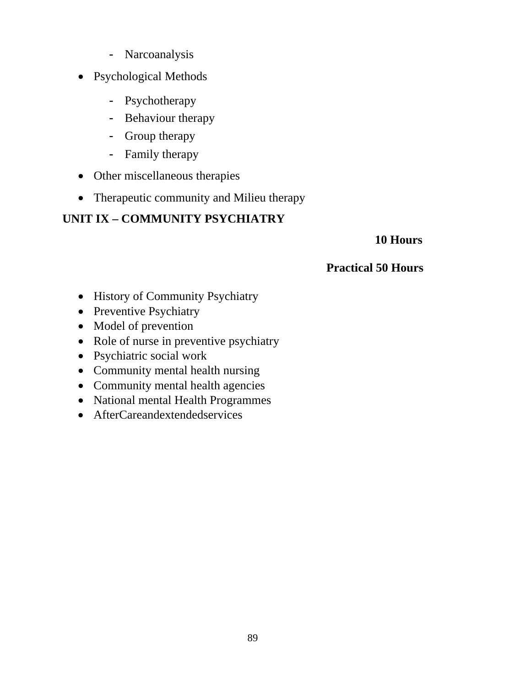- Narcoanalysis
- Psychological Methods
	- Psychotherapy
	- Behaviour therapy
	- Group therapy
	- Family therapy
- Other miscellaneous therapies
- Therapeutic community and Milieu therapy

# **UNIT IX – COMMUNITY PSYCHIATRY**

### **10 Hours**

- History of Community Psychiatry
- Preventive Psychiatry
- Model of prevention
- Role of nurse in preventive psychiatry
- Psychiatric social work
- Community mental health nursing
- Community mental health agencies
- National mental Health Programmes
- AfterCareandextendedservices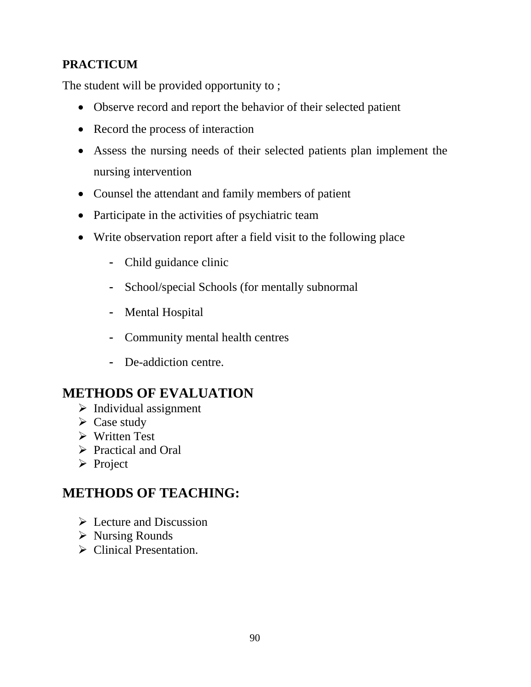# **PRACTICUM**

The student will be provided opportunity to ;

- Observe record and report the behavior of their selected patient
- Record the process of interaction
- Assess the nursing needs of their selected patients plan implement the nursing intervention
- Counsel the attendant and family members of patient
- Participate in the activities of psychiatric team
- Write observation report after a field visit to the following place
	- Child guidance clinic
	- School/special Schools (for mentally subnormal
	- Mental Hospital
	- Community mental health centres
	- De-addiction centre.

# **METHODS OF EVALUATION**

- $\triangleright$  Individual assignment
- $\triangleright$  Case study
- $\triangleright$  Written Test
- $\triangleright$  Practical and Oral
- ¾ Project

# **METHODS OF TEACHING:**

- $\triangleright$  Lecture and Discussion
- $\triangleright$  Nursing Rounds
- $\triangleright$  Clinical Presentation.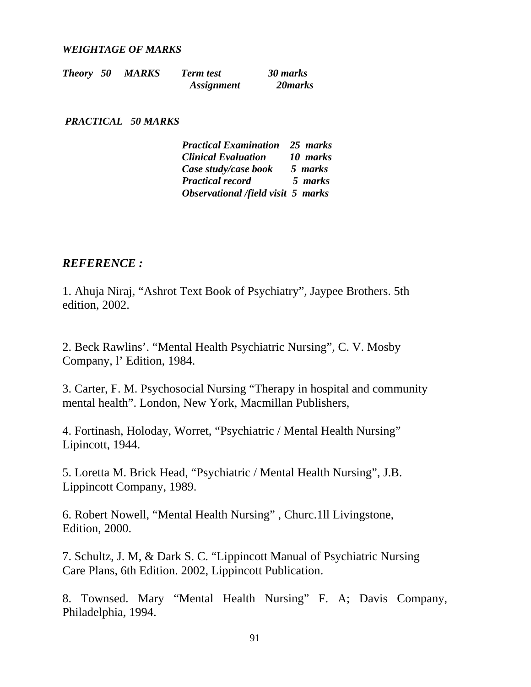#### *WEIGHTAGE OF MARKS*

| <b>Theory</b> 50 | <b>MARKS</b> | <b>Term test</b>         | 30 marks |
|------------------|--------------|--------------------------|----------|
|                  |              | <i><b>Assignment</b></i> | 20 marks |

#### *PRACTICAL 50 MARKS*

| <b>Practical Examination</b> 25 marks |          |
|---------------------------------------|----------|
| <b>Clinical Evaluation</b>            | 10 marks |
| Case study/case book                  | 5 marks  |
| <b>Practical record</b>               | 5 marks  |
| Observational /field visit 5 marks    |          |

#### *REFERENCE :*

1. Ahuja Niraj, "Ashrot Text Book of Psychiatry", Jaypee Brothers. 5th edition, 2002.

2. Beck Rawlins'. "Mental Health Psychiatric Nursing", C. V. Mosby Company, l' Edition, 1984.

3. Carter, F. M. Psychosocial Nursing "Therapy in hospital and community mental health". London, New York, Macmillan Publishers,

4. Fortinash, Holoday, Worret, "Psychiatric / Mental Health Nursing" Lipincott, 1944.

5. Loretta M. Brick Head, "Psychiatric / Mental Health Nursing", J.B. Lippincott Company, 1989.

6. Robert Nowell, "Mental Health Nursing" , Churc.1ll Livingstone, Edition, 2000.

7. Schultz, J. M, & Dark S. C. "Lippincott Manual of Psychiatric Nursing Care Plans, 6th Edition. 2002, Lippincott Publication.

8. Townsed. Mary "Mental Health Nursing" F. A; Davis Company, Philadelphia, 1994.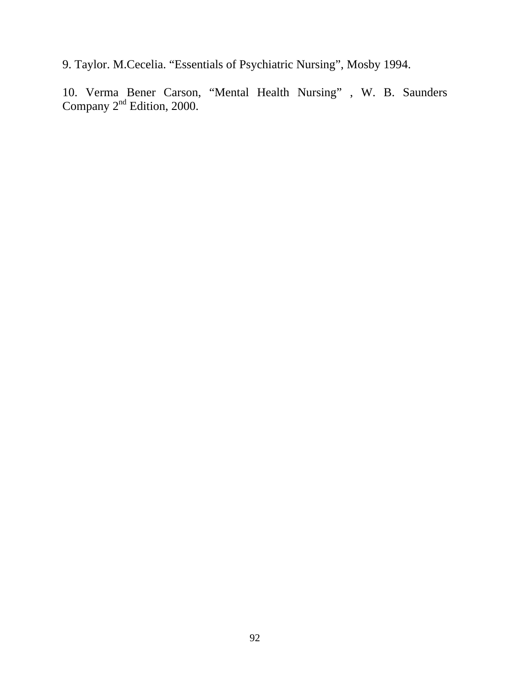9. Taylor. M.Cecelia. "Essentials of Psychiatric Nursing", Mosby 1994.

10. Verma Bener Carson, "Mental Health Nursing" , W. B. Saunders Company  $2^{nd}$  Edition, 2000.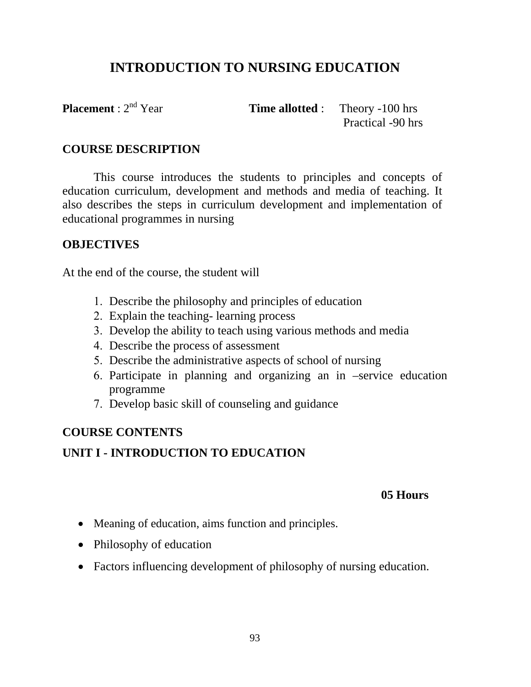# **INTRODUCTION TO NURSING EDUCATION**

**Placement** :  $2^{nd}$  Year **Time allotted** : Theory -100 hrs Practical -90 hrs

### **COURSE DESCRIPTION**

This course introduces the students to principles and concepts of education curriculum, development and methods and media of teaching. It also describes the steps in curriculum development and implementation of educational programmes in nursing

### **OBJECTIVES**

At the end of the course, the student will

- 1. Describe the philosophy and principles of education
- 2. Explain the teaching- learning process
- 3. Develop the ability to teach using various methods and media
- 4. Describe the process of assessment
- 5. Describe the administrative aspects of school of nursing
- 6. Participate in planning and organizing an in –service education programme
- 7. Develop basic skill of counseling and guidance

### **COURSE CONTENTS**

### **UNIT I - INTRODUCTION TO EDUCATION**

### **05 Hours**

- Meaning of education, aims function and principles.
- Philosophy of education
- Factors influencing development of philosophy of nursing education.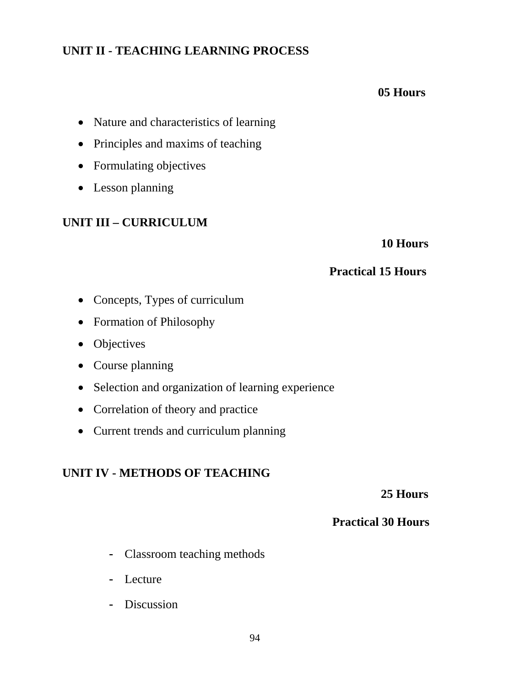### **UNIT II - TEACHING LEARNING PROCESS**

### **05 Hours**

- Nature and characteristics of learning
- Principles and maxims of teaching
- Formulating objectives
- Lesson planning

### **UNIT III – CURRICULUM**

 **10 Hours** 

### **Practical 15 Hours**

- Concepts, Types of curriculum
- Formation of Philosophy
- Objectives
- Course planning
- Selection and organization of learning experience
- Correlation of theory and practice
- Current trends and curriculum planning

### **UNIT IV - METHODS OF TEACHING**

 **25 Hours** 

- Classroom teaching methods
- Lecture
- Discussion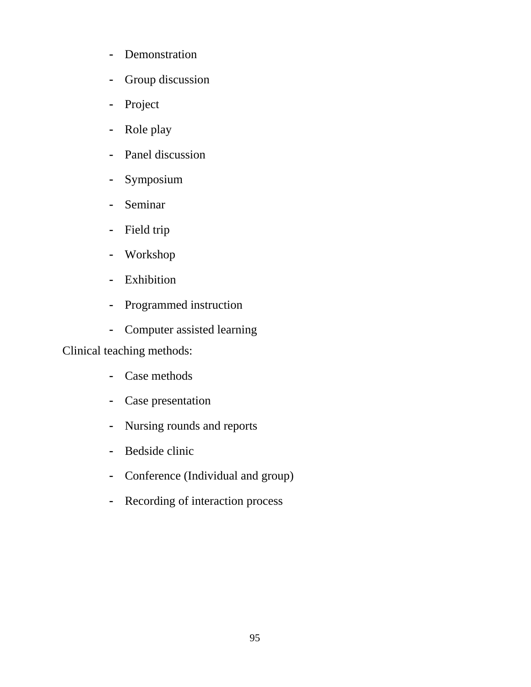- Demonstration
- Group discussion
- Project
- Role play
- Panel discussion
- Symposium
- Seminar
- Field trip
- Workshop
- Exhibition
- Programmed instruction
- Computer assisted learning

Clinical teaching methods:

- Case methods
- Case presentation
- Nursing rounds and reports
- Bedside clinic
- Conference (Individual and group)
- Recording of interaction process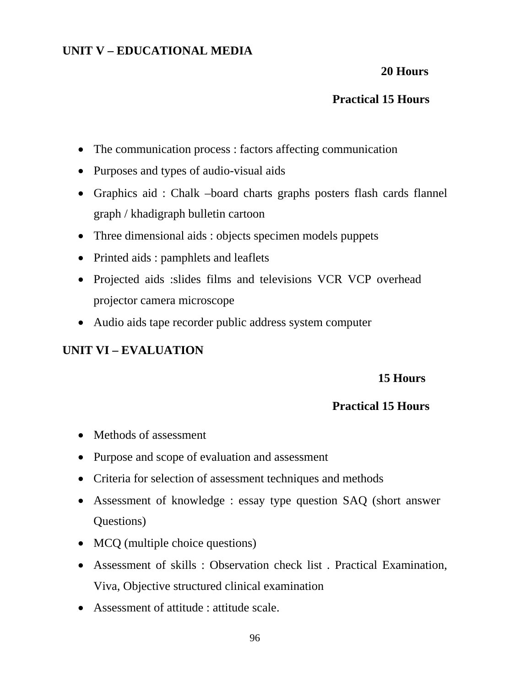### **UNIT V – EDUCATIONAL MEDIA**

#### **20 Hours**

### **Practical 15 Hours**

- The communication process : factors affecting communication
- Purposes and types of audio-visual aids
- Graphics aid : Chalk –board charts graphs posters flash cards flannel graph / khadigraph bulletin cartoon
- Three dimensional aids : objects specimen models puppets
- Printed aids : pamphlets and leaflets
- Projected aids :slides films and televisions VCR VCP overhead projector camera microscope
- Audio aids tape recorder public address system computer

### **UNIT VI – EVALUATION**

#### **15 Hours**

- Methods of assessment
- Purpose and scope of evaluation and assessment
- Criteria for selection of assessment techniques and methods
- Assessment of knowledge : essay type question SAQ (short answer Questions)
- MCQ (multiple choice questions)
- Assessment of skills : Observation check list . Practical Examination, Viva, Objective structured clinical examination
- Assessment of attitude : attitude scale.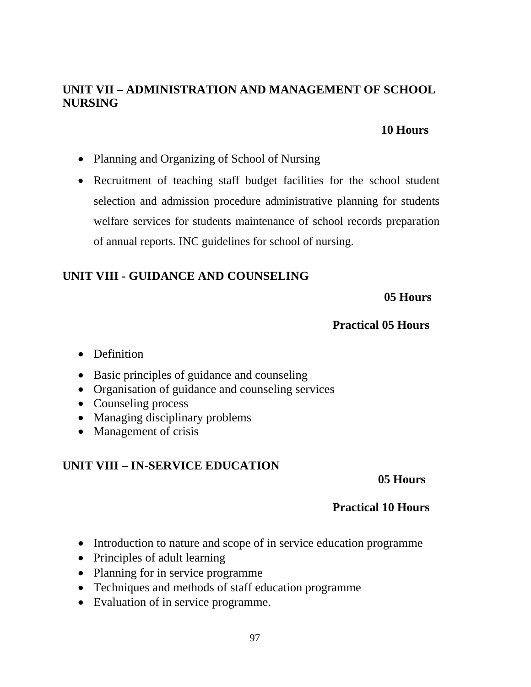### **UNIT VII – ADMINISTRATION AND MANAGEMENT OF SCHOOL NURSING**

#### **10 Hours**

- Planning and Organizing of School of Nursing
- Recruitment of teaching staff budget facilities for the school student selection and admission procedure administrative planning for students welfare services for students maintenance of school records preparation of annual reports. INC guidelines for school of nursing.

# **UNIT VIII - GUIDANCE AND COUNSELING**

 **05 Hours** 

### **Practical 05 Hours**

- Definition
- Basic principles of guidance and counseling
- Organisation of guidance and counseling services
- Counseling process
- Managing disciplinary problems
- Management of crisis

### **UNIT VIII – IN-SERVICE EDUCATION**

#### **05 Hours**

- Introduction to nature and scope of in service education programme
- Principles of adult learning
- Planning for in service programme
- Techniques and methods of staff education programme
- Evaluation of in service programme.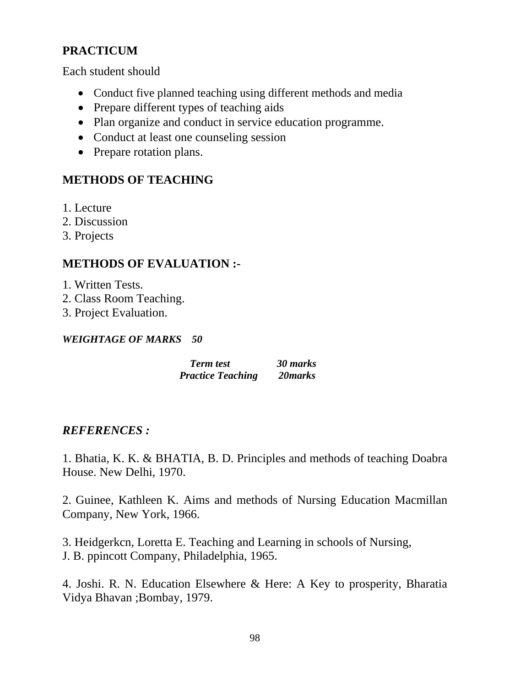### **PRACTICUM**

Each student should

- Conduct five planned teaching using different methods and media
- Prepare different types of teaching aids
- Plan organize and conduct in service education programme.
- Conduct at least one counseling session
- Prepare rotation plans.

### **METHODS OF TEACHING**

- 1. Lecture
- 2. Discussion
- 3. Projects

### **METHODS OF EVALUATION :-**

- 1. Written Tests.
- 2. Class Room Teaching.
- 3. Project Evaluation.

#### *WEIGHTAGE OF MARKS 50*

 *Term test 30 marks Practice Teaching 20marks*

### *REFERENCES :*

1. Bhatia, K. K. & BHATIA, B. D. Principles and methods of teaching Doabra House. New Delhi, 1970.

2. Guinee, Kathleen K. Aims and methods of Nursing Education Macmillan Company, New York, 1966.

3. Heidgerkcn, Loretta E. Teaching and Learning in schools of Nursing, J. B. ppincott Company, Philadelphia, 1965.

4. Joshi. R. N. Education Elsewhere & Here: A Key to prosperity, Bharatia Vidya Bhavan ;Bombay, 1979.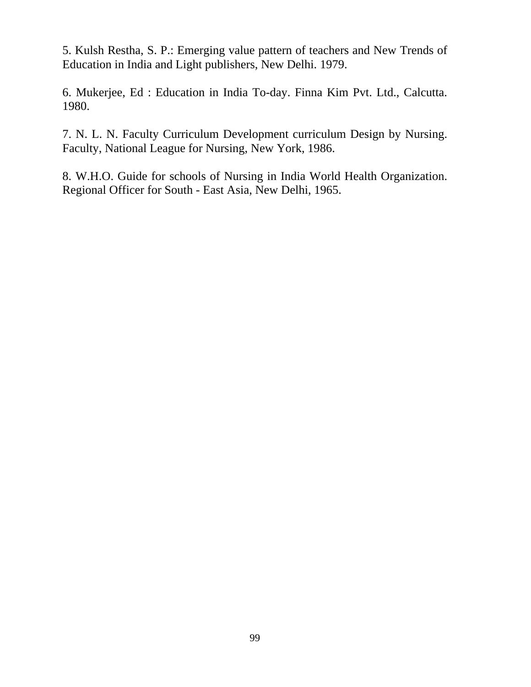5. Kulsh Restha, S. P.: Emerging value pattern of teachers and New Trends of Education in India and Light publishers, New Delhi. 1979.

6. Mukerjee, Ed : Education in India To-day. Finna Kim Pvt. Ltd., Calcutta. 1980.

7. N. L. N. Faculty Curriculum Development curriculum Design by Nursing. Faculty, National League for Nursing, New York, 1986.

8. W.H.O. Guide for schools of Nursing in India World Health Organization. Regional Officer for South - East Asia, New Delhi, 1965.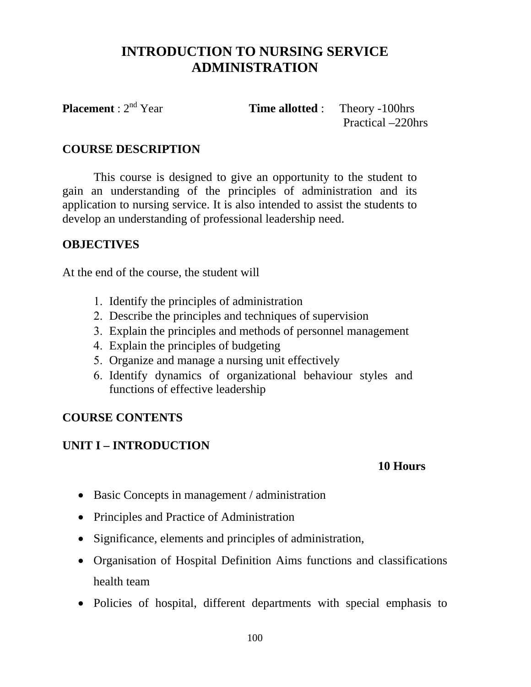# **INTRODUCTION TO NURSING SERVICE ADMINISTRATION**

**Placement** :  $2^{nd}$  Year **Time allotted** : Theory -100hrs

Practical –220hrs

### **COURSE DESCRIPTION**

This course is designed to give an opportunity to the student to gain an understanding of the principles of administration and its application to nursing service. It is also intended to assist the students to develop an understanding of professional leadership need.

### **OBJECTIVES**

At the end of the course, the student will

- 1. Identify the principles of administration
- 2. Describe the principles and techniques of supervision
- 3. Explain the principles and methods of personnel management
- 4. Explain the principles of budgeting
- 5. Organize and manage a nursing unit effectively
- 6. Identify dynamics of organizational behaviour styles and functions of effective leadership

### **COURSE CONTENTS**

### **UNIT I – INTRODUCTION**

### **10 Hours**

- Basic Concepts in management / administration
- Principles and Practice of Administration
- Significance, elements and principles of administration,
- Organisation of Hospital Definition Aims functions and classifications health team
- Policies of hospital, different departments with special emphasis to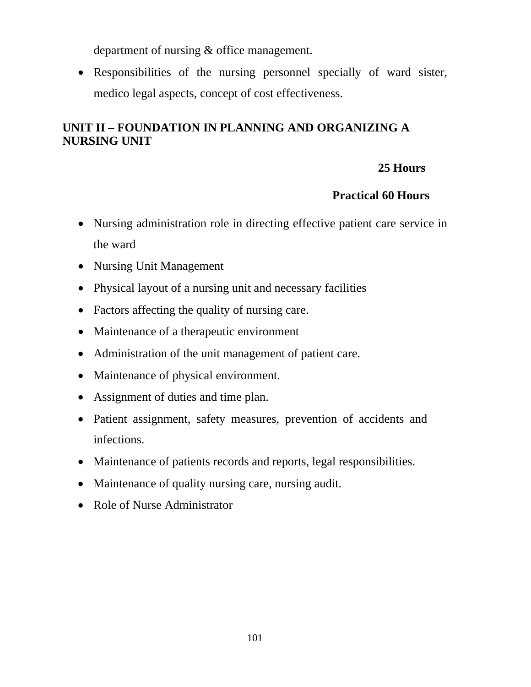department of nursing & office management.

• Responsibilities of the nursing personnel specially of ward sister, medico legal aspects, concept of cost effectiveness.

# **UNIT II – FOUNDATION IN PLANNING AND ORGANIZING A NURSING UNIT**

# **25 Hours**

- Nursing administration role in directing effective patient care service in the ward
- Nursing Unit Management
- Physical layout of a nursing unit and necessary facilities
- Factors affecting the quality of nursing care.
- Maintenance of a therapeutic environment
- Administration of the unit management of patient care.
- Maintenance of physical environment.
- Assignment of duties and time plan.
- Patient assignment, safety measures, prevention of accidents and infections.
- Maintenance of patients records and reports, legal responsibilities.
- Maintenance of quality nursing care, nursing audit.
- Role of Nurse Administrator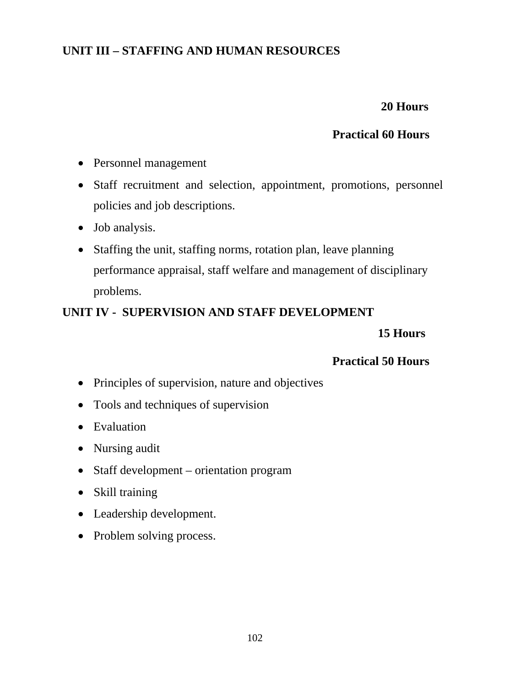### **UNIT III – STAFFING AND HUMAN RESOURCES**

# **20 Hours**

### **Practical 60 Hours**

- Personnel management
- Staff recruitment and selection, appointment, promotions, personnel policies and job descriptions.
- Job analysis.
- Staffing the unit, staffing norms, rotation plan, leave planning performance appraisal, staff welfare and management of disciplinary problems.

### **UNIT IV - SUPERVISION AND STAFF DEVELOPMENT**

### **15 Hours**

- Principles of supervision, nature and objectives
- Tools and techniques of supervision
- Evaluation
- Nursing audit
- Staff development orientation program
- Skill training
- Leadership development.
- Problem solving process.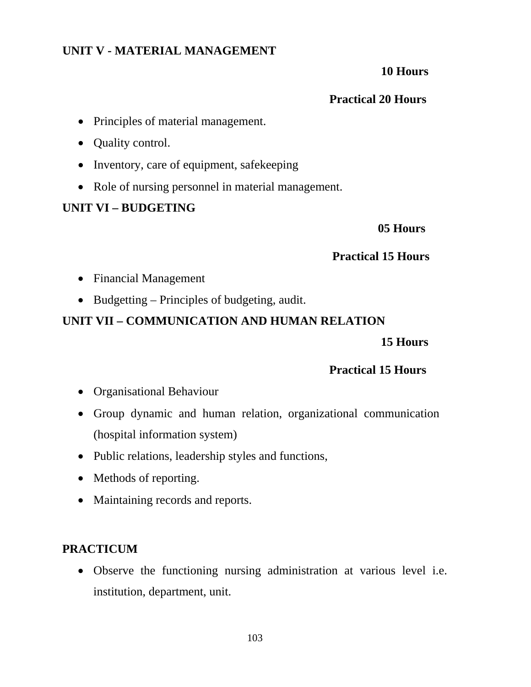### **UNIT V - MATERIAL MANAGEMENT**

#### **10 Hours**

### **Practical 20 Hours**

- Principles of material management.
- Quality control.
- Inventory, care of equipment, safekeeping
- Role of nursing personnel in material management.

### **UNIT VI – BUDGETING**

#### **05 Hours**

### **Practical 15 Hours**

- Financial Management
- Budgetting Principles of budgeting, audit.

## **UNIT VII – COMMUNICATION AND HUMAN RELATION**

#### **15 Hours**

### **Practical 15 Hours**

- Organisational Behaviour
- Group dynamic and human relation, organizational communication (hospital information system)
- Public relations, leadership styles and functions,
- Methods of reporting.
- Maintaining records and reports.

### **PRACTICUM**

• Observe the functioning nursing administration at various level i.e. institution, department, unit.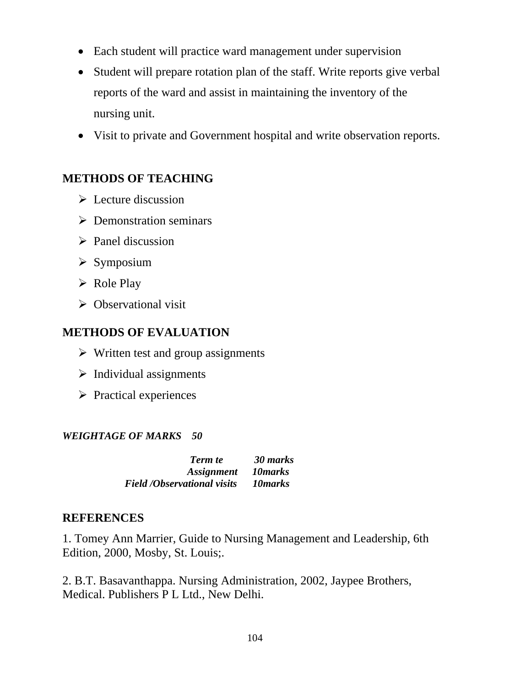- Each student will practice ward management under supervision
- Student will prepare rotation plan of the staff. Write reports give verbal reports of the ward and assist in maintaining the inventory of the nursing unit.
- Visit to private and Government hospital and write observation reports.

### **METHODS OF TEACHING**

- $\triangleright$  Lecture discussion
- $\triangleright$  Demonstration seminars
- $\triangleright$  Panel discussion
- $\triangleright$  Symposium
- $\triangleright$  Role Play
- $\triangleright$  Observational visit

### **METHODS OF EVALUATION**

- $\triangleright$  Written test and group assignments
- $\triangleright$  Individual assignments
- $\triangleright$  Practical experiences

#### *WEIGHTAGE OF MARKS 50*

| <b>Term</b> te                     | 30 marks |
|------------------------------------|----------|
| Assignment 10 marks                |          |
| <b>Field /Observational visits</b> | 10 marks |

### **REFERENCES**

1. Tomey Ann Marrier, Guide to Nursing Management and Leadership, 6th Edition, 2000, Mosby, St. Louis;.

2. B.T. Basavanthappa. Nursing Administration, 2002, Jaypee Brothers, Medical. Publishers P L Ltd., New Delhi.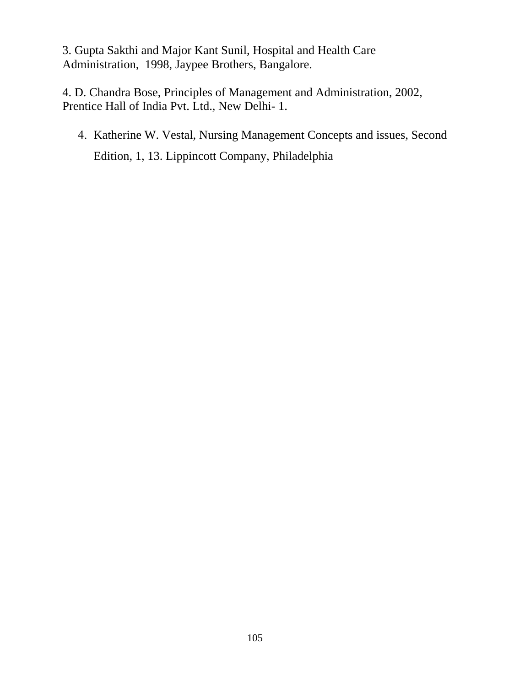3. Gupta Sakthi and Major Kant Sunil, Hospital and Health Care Administration, 1998, Jaypee Brothers, Bangalore.

4. D. Chandra Bose, Principles of Management and Administration, 2002, Prentice Hall of India Pvt. Ltd., New Delhi- 1.

4. Katherine W. Vestal, Nursing Management Concepts and issues, Second Edition, 1, 13. Lippincott Company, Philadelphia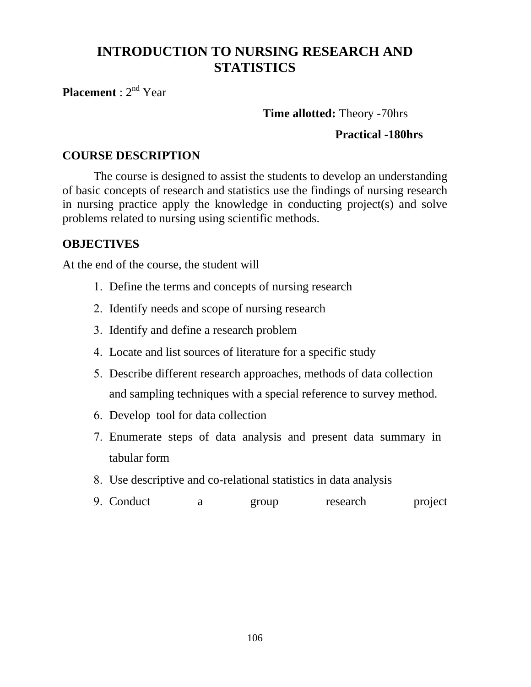# **INTRODUCTION TO NURSING RESEARCH AND STATISTICS**

**Placement** : 2nd Year

### **Time allotted:** Theory -70hrs

### **Practical -180hrs**

#### **COURSE DESCRIPTION**

The course is designed to assist the students to develop an understanding of basic concepts of research and statistics use the findings of nursing research in nursing practice apply the knowledge in conducting project(s) and solve problems related to nursing using scientific methods.

### **OBJECTIVES**

At the end of the course, the student will

- 1. Define the terms and concepts of nursing research
- 2. Identify needs and scope of nursing research
- 3. Identify and define a research problem
- 4. Locate and list sources of literature for a specific study
- 5. Describe different research approaches, methods of data collection and sampling techniques with a special reference to survey method.
- 6. Develop tool for data collection
- 7. Enumerate steps of data analysis and present data summary in tabular form
- 8. Use descriptive and co-relational statistics in data analysis
- 9. Conduct a group research project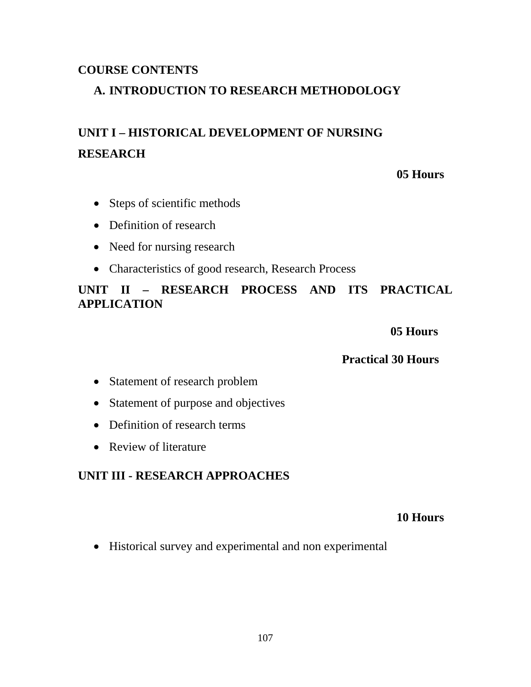### **COURSE CONTENTS**

### **A. INTRODUCTION TO RESEARCH METHODOLOGY**

# **UNIT I – HISTORICAL DEVELOPMENT OF NURSING RESEARCH**

#### **05 Hours**

- Steps of scientific methods
- Definition of research
- Need for nursing research
- Characteristics of good research, Research Process

### **UNIT II – RESEARCH PROCESS AND ITS PRACTICAL APPLICATION**

 **05 Hours** 

#### **Practical 30 Hours**

- Statement of research problem
- Statement of purpose and objectives
- Definition of research terms
- Review of literature

### **UNIT III - RESEARCH APPROACHES**

#### **10 Hours**

• Historical survey and experimental and non experimental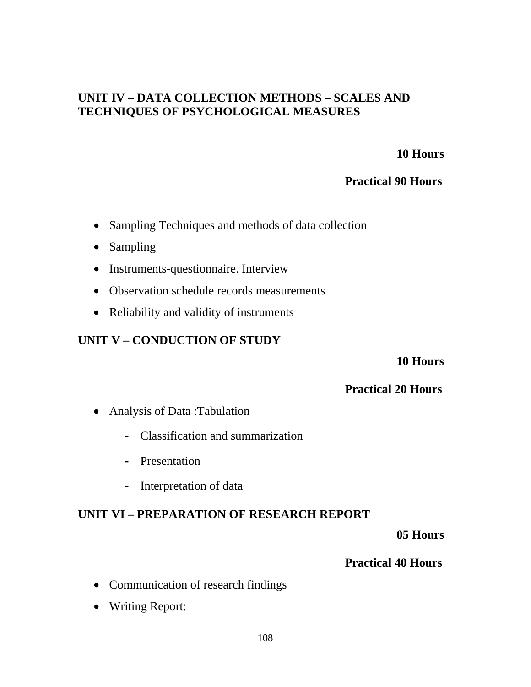### **UNIT IV – DATA COLLECTION METHODS – SCALES AND TECHNIQUES OF PSYCHOLOGICAL MEASURES**

#### **10 Hours**

#### **Practical 90 Hours**

- Sampling Techniques and methods of data collection
- Sampling
- Instruments-questionnaire. Interview
- Observation schedule records measurements
- Reliability and validity of instruments

### **UNIT V – CONDUCTION OF STUDY**

 **10 Hours** 

#### **Practical 20 Hours**

- Analysis of Data: Tabulation
	- Classification and summarization
	- Presentation
	- Interpretation of data

### **UNIT VI – PREPARATION OF RESEARCH REPORT**

 **05 Hours** 

- Communication of research findings
- Writing Report: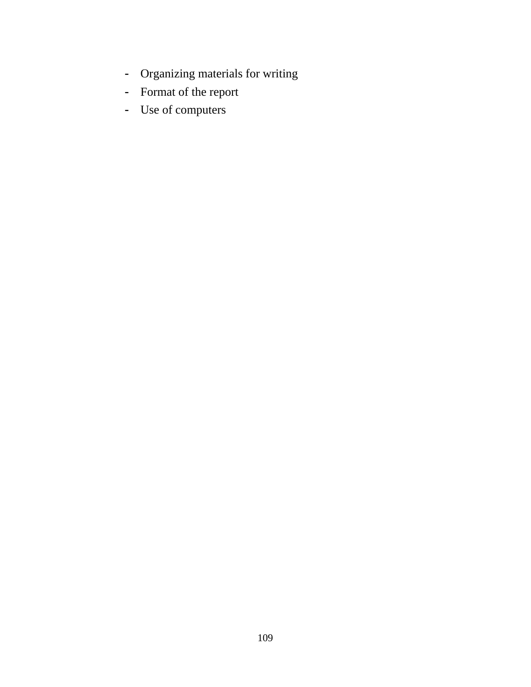- Organizing materials for writing
- Format of the report
- Use of computers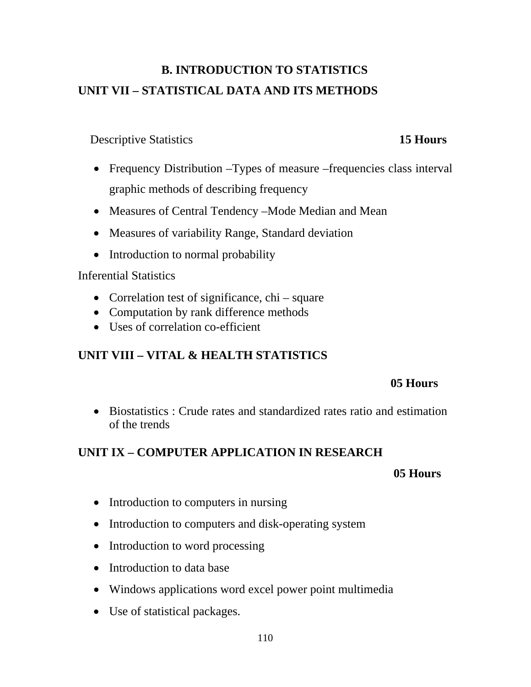# **B. INTRODUCTION TO STATISTICS UNIT VII – STATISTICAL DATA AND ITS METHODS**

## **Descriptive Statistics 15 Hours**

# • Frequency Distribution –Types of measure –frequencies class interval graphic methods of describing frequency

- Measures of Central Tendency –Mode Median and Mean
- Measures of variability Range, Standard deviation
- Introduction to normal probability

### Inferential Statistics

- Correlation test of significance, chi square
- Computation by rank difference methods
- Uses of correlation co-efficient

# **UNIT VIII – VITAL & HEALTH STATISTICS**

## **05 Hours**

• Biostatistics : Crude rates and standardized rates ratio and estimation of the trends

# **UNIT IX – COMPUTER APPLICATION IN RESEARCH**

### **05 Hours**

- Introduction to computers in nursing
- Introduction to computers and disk-operating system
- Introduction to word processing
- Introduction to data base
- Windows applications word excel power point multimedia
- Use of statistical packages.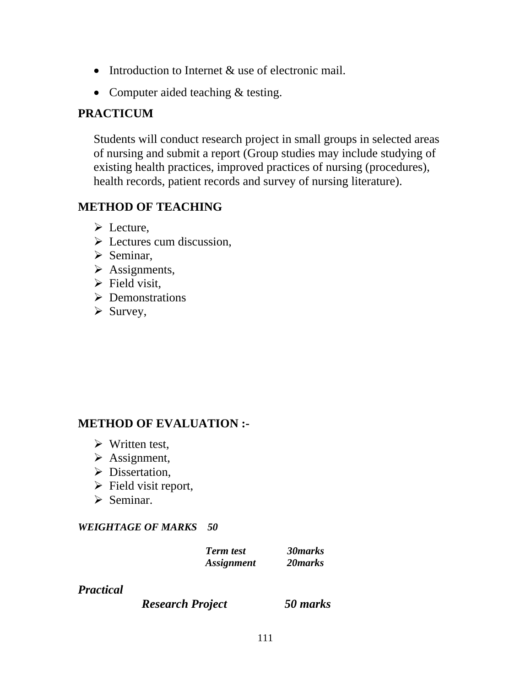- Introduction to Internet & use of electronic mail.
- Computer aided teaching & testing.

## **PRACTICUM**

Students will conduct research project in small groups in selected areas of nursing and submit a report (Group studies may include studying of existing health practices, improved practices of nursing (procedures), health records, patient records and survey of nursing literature).

# **METHOD OF TEACHING**

- $\triangleright$  Lecture,
- $\triangleright$  Lectures cum discussion,
- $\triangleright$  Seminar,
- $\triangleright$  Assignments,
- $\triangleright$  Field visit,
- $\triangleright$  Demonstrations
- $\triangleright$  Survey,

## **METHOD OF EVALUATION :-**

- $\triangleright$  Written test,
- $\triangleright$  Assignment,
- $\triangleright$  Dissertation,
- $\triangleright$  Field visit report,
- $\triangleright$  Seminar.

### *WEIGHTAGE OF MARKS 50*

| <b>Term test</b>         | 30 marks |
|--------------------------|----------|
| <i><b>Assignment</b></i> | 20 marks |

### *Practical*

 *Research Project 50 marks*